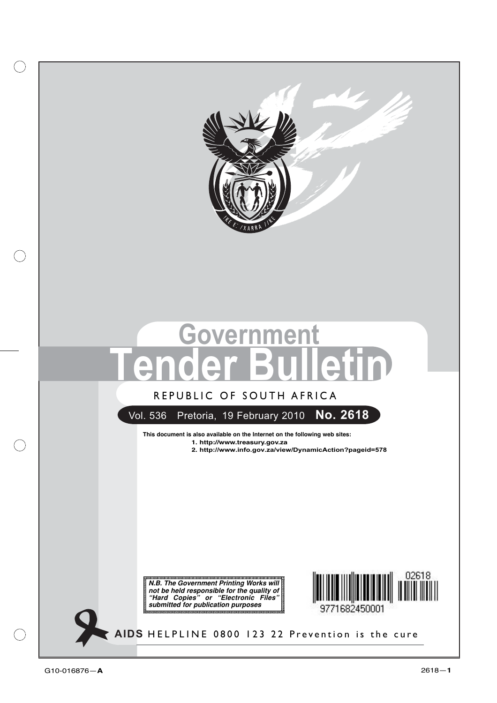

# **Tender Bulletin**

### **REPUBLIC OF SOUTH AFRICA** REPUBLIC OF SOUTH AFRICA

Vol. 536 Pretoria, 19 February 2010 **No. 2618**

**This document is also available on the Internet on the following web sites:**

- **1. http://www.treasury.gov.za**
- **2. http://www.info.gov.za/view/DynamicAction?pageid=578**

**N.B. The Government Printing Works will not be held responsible for the quality of "Hard Copies" or "Electronic Files" submitted for publication purposes**



**AIDS HELPLINE: 0800-123-22 Prevention is the cure** HELPLINE 0800 123 22 Prevention is the cure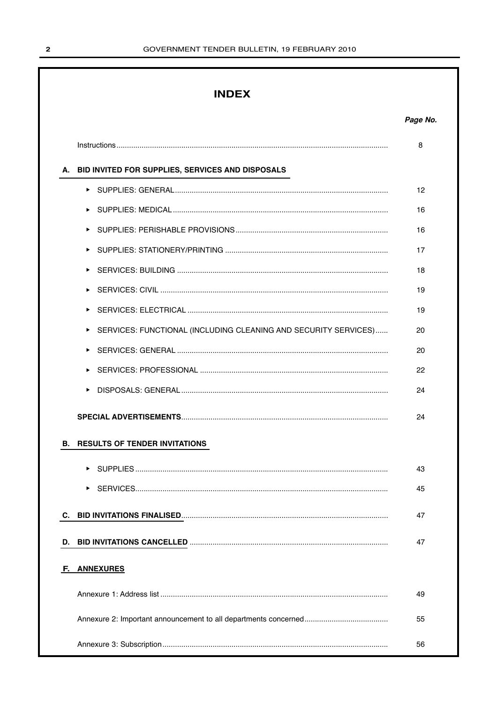### **INDEX**

|    |                                                                 | 8  |
|----|-----------------------------------------------------------------|----|
|    | A. BID INVITED FOR SUPPLIES, SERVICES AND DISPOSALS             |    |
|    |                                                                 | 12 |
|    |                                                                 | 16 |
|    |                                                                 | 16 |
|    |                                                                 | 17 |
|    |                                                                 | 18 |
|    |                                                                 | 19 |
|    |                                                                 | 19 |
|    | SERVICES: FUNCTIONAL (INCLUDING CLEANING AND SECURITY SERVICES) | 20 |
|    |                                                                 | 20 |
|    |                                                                 | 22 |
|    |                                                                 | 24 |
|    |                                                                 | 24 |
| В. | <b>RESULTS OF TENDER INVITATIONS</b>                            |    |
|    |                                                                 | 43 |
|    |                                                                 | 45 |
|    |                                                                 | 47 |
| D. |                                                                 | 47 |
| F. | <b>ANNEXURES</b>                                                |    |
|    |                                                                 | 49 |
|    |                                                                 | 55 |
|    |                                                                 | 56 |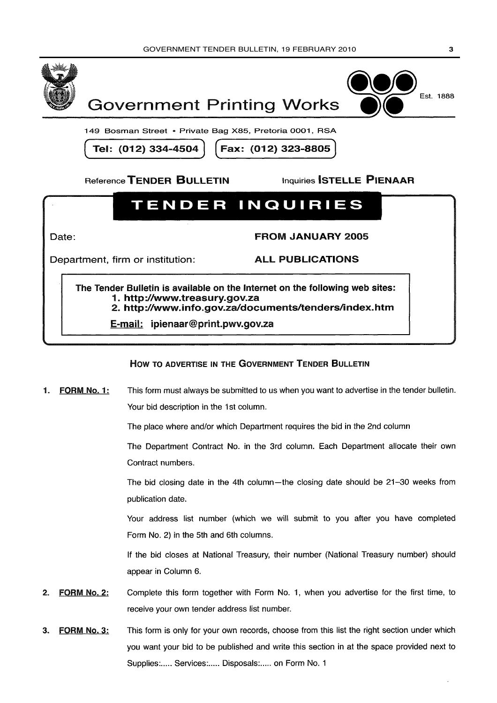



149 Bosman Street • Private Bag X85, Pretoria 0001, RSA

Tel: (012) 334-4504

Fax: (012) 323-8805

Reference TENDER BULLETIN

**Inquiries STELLE PIENAAR** 

### **TENDER INQUIRIES**

Date:

**FROM JANUARY 2005** 

Department, firm or institution:

**ALL PUBLICATIONS** 

The Tender Bulletin is available on the Internet on the following web sites: 1. http://www.treasurv.gov.za 2. http://www.info.gov.za/documents/tenders/index.htm

E-mail: ipienaar@print.pwv.gov.za

### HOW TO ADVERTISE IN THE GOVERNMENT TENDER BULLETIN

This form must always be submitted to us when you want to advertise in the tender bulletin. FORM No. 1: 1. Your bid description in the 1st column.

The place where and/or which Department requires the bid in the 2nd column

The Department Contract No. in the 3rd column. Each Department allocate their own Contract numbers.

The bid closing date in the 4th column—the closing date should be 21-30 weeks from publication date.

Your address list number (which we will submit to you after you have completed Form No. 2) in the 5th and 6th columns.

If the bid closes at National Treasury, their number (National Treasury number) should appear in Column 6.

- **FORM No. 2:** Complete this form together with Form No. 1, when you advertise for the first time, to  $2.$ receive your own tender address list number.
- This form is only for your own records, choose from this list the right section under which **FORM No. 3:**  $\mathbf{R}$ you want your bid to be published and write this section in at the space provided next to Supplies:..... Services:..... Disposals:..... on Form No. 1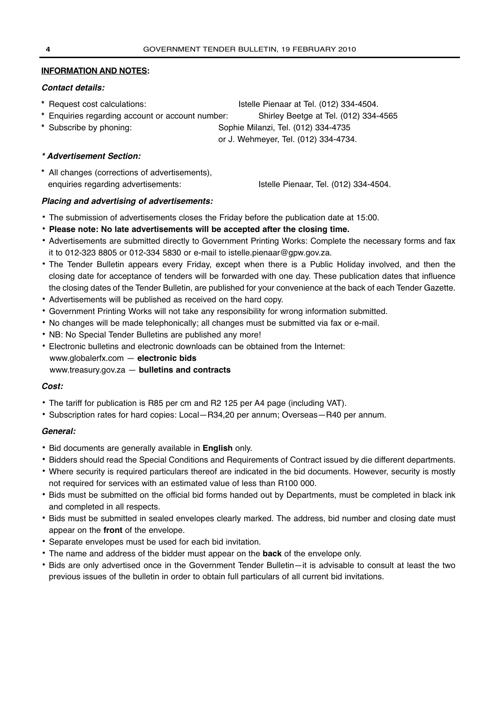### **INFORMATION AND NOTES:**

### **Contact details:**

- **\*** Request cost calculations: Istelle Pienaar at Tel. (012) 334-4504.
- **\*** Enquiries regarding account or account number: Shirley Beetge at Tel. (012) 334-4565
- **\*** Subscribe by phoning: Sophie Milanzi, Tel. (012) 334-4735

or J. Wehmeyer, Tel. (012) 334-4734.

### **\* Advertisement Section:**

**\*** All changes (corrections of advertisements), enquiries regarding advertisements: Istelle Pienaar, Tel. (012) 334-4504.

### **Placing and advertising of advertisements:**

- **•** The submission of advertisements closes the Friday before the publication date at 15:00.
- **• Please note: No late advertisements will be accepted after the closing time.**
- **•** Advertisements are submitted directly to Government Printing Works: Complete the necessary forms and fax it to 012-323 8805 or 012-334 5830 or e-mail to istelle.pienaar@gpw.gov.za.
- **•** The Tender Bulletin appears every Friday, except when there is a Public Holiday involved, and then the closing date for acceptance of tenders will be forwarded with one day. These publication dates that influence the closing dates of the Tender Bulletin, are published for your convenience at the back of each Tender Gazette.
- **•** Advertisements will be published as received on the hard copy.
- **•** Government Printing Works will not take any responsibility for wrong information submitted.
- **•** No changes will be made telephonically; all changes must be submitted via fax or e-mail.
- **•** NB: No Special Tender Bulletins are published any more!
- **•** Electronic bulletins and electronic downloads can be obtained from the Internet:
- www.globalerfx.com **electronic bids**
- www.treasury.gov.za **bulletins and contracts**

### **Cost:**

- **•** The tariff for publication is R85 per cm and R2 125 per A4 page (including VAT).
- **•** Subscription rates for hard copies: Local—R34,20 per annum; Overseas—R40 per annum.

### **General:**

- **•** Bid documents are generally available in **English** only.
- **•** Bidders should read the Special Conditions and Requirements of Contract issued by die different departments.
- **•** Where security is required particulars thereof are indicated in the bid documents. However, security is mostly not required for services with an estimated value of less than R100 000.
- **•** Bids must be submitted on the official bid forms handed out by Departments, must be completed in black ink and completed in all respects.
- **•** Bids must be submitted in sealed envelopes clearly marked. The address, bid number and closing date must appear on the **front** of the envelope.
- **•** Separate envelopes must be used for each bid invitation.
- **•** The name and address of the bidder must appear on the **back** of the envelope only.
- **•** Bids are only advertised once in the Government Tender Bulletin—it is advisable to consult at least the two previous issues of the bulletin in order to obtain full particulars of all current bid invitations.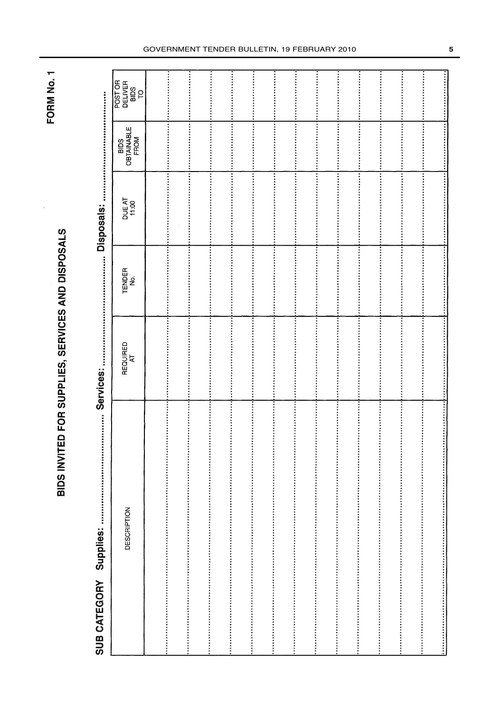FORM No. 1

# BIDS INVITED FOR SUPPLIES, SERVICES AND DISPOSALS

# Services: SUB CATEGORY Supplies:

**Disnosals:** 

| ww.pr              | 的复数教育的自然教育的复数形式的变体性的复数形式的复数形式的自然的自然性感觉的感觉的<br>-<br>כלום ה |               | Choost Action   | 我就定然说过这种特定地位很多多多的的数字就会在我特殊日常有自我中国对某的故障的问题和 |                                  |
|--------------------|-----------------------------------------------------------|---------------|-----------------|--------------------------------------------|----------------------------------|
| <b>DESCRIPTION</b> | REQUIRED<br>AT                                            | TENDER<br>No. | DUE AT<br>11:00 | BIDS<br>OBTAINABLE<br>FROM                 | POST OR<br>DELIVER<br>BIDS<br>TO |
|                    |                                                           |               |                 |                                            |                                  |
|                    |                                                           |               |                 |                                            |                                  |
|                    |                                                           |               |                 |                                            |                                  |
|                    |                                                           |               |                 |                                            |                                  |
|                    |                                                           |               |                 |                                            |                                  |
|                    |                                                           |               |                 |                                            |                                  |
|                    |                                                           |               |                 |                                            |                                  |
|                    |                                                           |               |                 |                                            |                                  |
|                    |                                                           |               |                 |                                            |                                  |
|                    |                                                           |               |                 |                                            |                                  |
|                    |                                                           |               |                 |                                            |                                  |
|                    |                                                           |               |                 |                                            |                                  |
|                    |                                                           |               |                 |                                            |                                  |
|                    |                                                           |               |                 |                                            |                                  |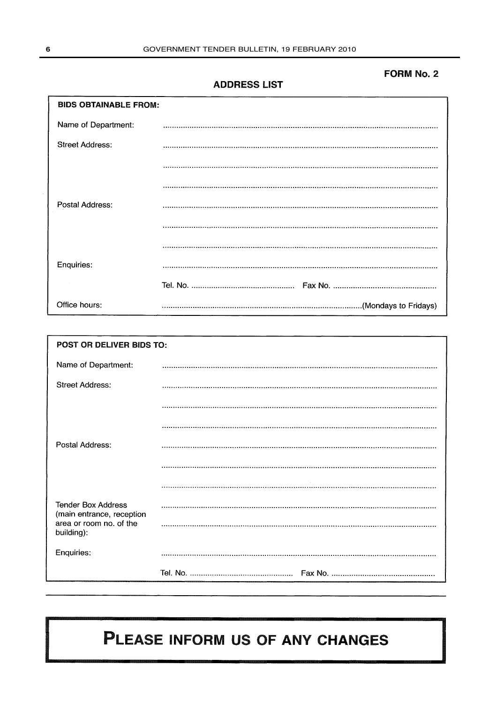### **FORM No. 2**

**ADDRESS LIST** 

| <b>BIDS OBTAINABLE FROM:</b> |  |  |  |  |
|------------------------------|--|--|--|--|
| Name of Department:          |  |  |  |  |
| <b>Street Address:</b>       |  |  |  |  |
|                              |  |  |  |  |
|                              |  |  |  |  |
| Postal Address:              |  |  |  |  |
|                              |  |  |  |  |
|                              |  |  |  |  |
| Enquiries:                   |  |  |  |  |
|                              |  |  |  |  |
| Office hours:                |  |  |  |  |

| POST OR DELIVER BIDS TO:                               |  |  |  |  |  |
|--------------------------------------------------------|--|--|--|--|--|
| Name of Department:                                    |  |  |  |  |  |
| <b>Street Address:</b>                                 |  |  |  |  |  |
|                                                        |  |  |  |  |  |
|                                                        |  |  |  |  |  |
| Postal Address:                                        |  |  |  |  |  |
|                                                        |  |  |  |  |  |
|                                                        |  |  |  |  |  |
| <b>Tender Box Address</b><br>(main entrance, reception |  |  |  |  |  |
| area or room no. of the<br>building):                  |  |  |  |  |  |
| Enquiries:                                             |  |  |  |  |  |
|                                                        |  |  |  |  |  |

### PLEASE INFORM US OF ANY CHANGES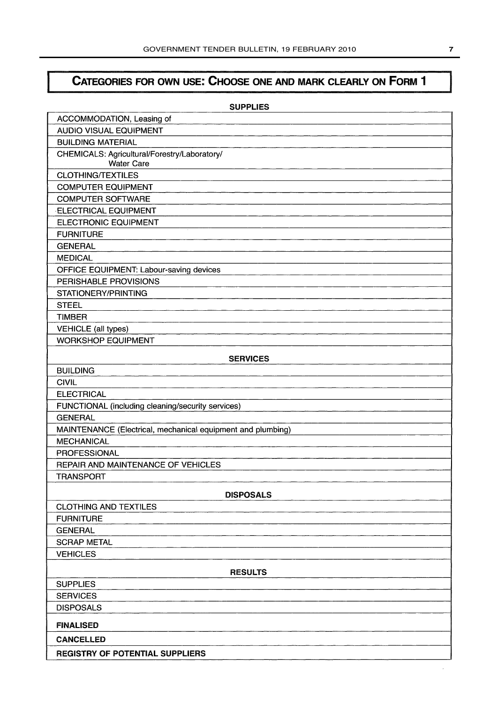### CATEGORIES FOR OWN USE: CHOOSE ONE AND MARK CLEARLY ON FORM 1

| ACCOMMODATION, Leasing of<br><b>AUDIO VISUAL EQUIPMENT</b><br><b>BUILDING MATERIAL</b><br>CHEMICALS: Agricultural/Forestry/Laboratory/<br><b>Water Care</b><br><b>CLOTHING/TEXTILES</b><br><b>COMPUTER EQUIPMENT</b><br><b>COMPUTER SOFTWARE</b><br><b>ELECTRICAL EQUIPMENT</b><br><b>ELECTRONIC EQUIPMENT</b><br><b>FURNITURE</b><br><b>GENERAL</b><br><b>MEDICAL</b><br>OFFICE EQUIPMENT: Labour-saving devices<br>PERISHABLE PROVISIONS<br>STATIONERY/PRINTING<br><b>STEEL</b><br><b>TIMBER</b><br><b>VEHICLE</b> (all types)<br><b>WORKSHOP EQUIPMENT</b><br><b>SERVICES</b><br><b>BUILDING</b><br><b>CIVIL</b><br><b>ELECTRICAL</b><br>FUNCTIONAL (including cleaning/security services)<br><b>GENERAL</b><br>MAINTENANCE (Electrical, mechanical equipment and plumbing)<br><b>MECHANICAL</b><br><b>PROFESSIONAL</b><br>REPAIR AND MAINTENANCE OF VEHICLES<br><b>TRANSPORT</b><br><b>DISPOSALS</b><br><b>CLOTHING AND TEXTILES</b><br><b>FURNITURE</b><br><b>GENERAL</b><br><b>SCRAP METAL</b><br><b>VEHICLES</b><br><b>RESULTS</b><br><b>SUPPLIES</b><br><b>SERVICES</b><br><b>DISPOSALS</b> | <b>SUPPLIES</b>  |
|-----------------------------------------------------------------------------------------------------------------------------------------------------------------------------------------------------------------------------------------------------------------------------------------------------------------------------------------------------------------------------------------------------------------------------------------------------------------------------------------------------------------------------------------------------------------------------------------------------------------------------------------------------------------------------------------------------------------------------------------------------------------------------------------------------------------------------------------------------------------------------------------------------------------------------------------------------------------------------------------------------------------------------------------------------------------------------------------------------|------------------|
|                                                                                                                                                                                                                                                                                                                                                                                                                                                                                                                                                                                                                                                                                                                                                                                                                                                                                                                                                                                                                                                                                                     |                  |
|                                                                                                                                                                                                                                                                                                                                                                                                                                                                                                                                                                                                                                                                                                                                                                                                                                                                                                                                                                                                                                                                                                     |                  |
|                                                                                                                                                                                                                                                                                                                                                                                                                                                                                                                                                                                                                                                                                                                                                                                                                                                                                                                                                                                                                                                                                                     |                  |
|                                                                                                                                                                                                                                                                                                                                                                                                                                                                                                                                                                                                                                                                                                                                                                                                                                                                                                                                                                                                                                                                                                     |                  |
|                                                                                                                                                                                                                                                                                                                                                                                                                                                                                                                                                                                                                                                                                                                                                                                                                                                                                                                                                                                                                                                                                                     |                  |
|                                                                                                                                                                                                                                                                                                                                                                                                                                                                                                                                                                                                                                                                                                                                                                                                                                                                                                                                                                                                                                                                                                     |                  |
|                                                                                                                                                                                                                                                                                                                                                                                                                                                                                                                                                                                                                                                                                                                                                                                                                                                                                                                                                                                                                                                                                                     |                  |
|                                                                                                                                                                                                                                                                                                                                                                                                                                                                                                                                                                                                                                                                                                                                                                                                                                                                                                                                                                                                                                                                                                     |                  |
|                                                                                                                                                                                                                                                                                                                                                                                                                                                                                                                                                                                                                                                                                                                                                                                                                                                                                                                                                                                                                                                                                                     |                  |
|                                                                                                                                                                                                                                                                                                                                                                                                                                                                                                                                                                                                                                                                                                                                                                                                                                                                                                                                                                                                                                                                                                     |                  |
|                                                                                                                                                                                                                                                                                                                                                                                                                                                                                                                                                                                                                                                                                                                                                                                                                                                                                                                                                                                                                                                                                                     |                  |
|                                                                                                                                                                                                                                                                                                                                                                                                                                                                                                                                                                                                                                                                                                                                                                                                                                                                                                                                                                                                                                                                                                     |                  |
|                                                                                                                                                                                                                                                                                                                                                                                                                                                                                                                                                                                                                                                                                                                                                                                                                                                                                                                                                                                                                                                                                                     |                  |
|                                                                                                                                                                                                                                                                                                                                                                                                                                                                                                                                                                                                                                                                                                                                                                                                                                                                                                                                                                                                                                                                                                     |                  |
|                                                                                                                                                                                                                                                                                                                                                                                                                                                                                                                                                                                                                                                                                                                                                                                                                                                                                                                                                                                                                                                                                                     |                  |
|                                                                                                                                                                                                                                                                                                                                                                                                                                                                                                                                                                                                                                                                                                                                                                                                                                                                                                                                                                                                                                                                                                     |                  |
|                                                                                                                                                                                                                                                                                                                                                                                                                                                                                                                                                                                                                                                                                                                                                                                                                                                                                                                                                                                                                                                                                                     |                  |
|                                                                                                                                                                                                                                                                                                                                                                                                                                                                                                                                                                                                                                                                                                                                                                                                                                                                                                                                                                                                                                                                                                     |                  |
|                                                                                                                                                                                                                                                                                                                                                                                                                                                                                                                                                                                                                                                                                                                                                                                                                                                                                                                                                                                                                                                                                                     |                  |
|                                                                                                                                                                                                                                                                                                                                                                                                                                                                                                                                                                                                                                                                                                                                                                                                                                                                                                                                                                                                                                                                                                     |                  |
|                                                                                                                                                                                                                                                                                                                                                                                                                                                                                                                                                                                                                                                                                                                                                                                                                                                                                                                                                                                                                                                                                                     |                  |
|                                                                                                                                                                                                                                                                                                                                                                                                                                                                                                                                                                                                                                                                                                                                                                                                                                                                                                                                                                                                                                                                                                     |                  |
|                                                                                                                                                                                                                                                                                                                                                                                                                                                                                                                                                                                                                                                                                                                                                                                                                                                                                                                                                                                                                                                                                                     |                  |
|                                                                                                                                                                                                                                                                                                                                                                                                                                                                                                                                                                                                                                                                                                                                                                                                                                                                                                                                                                                                                                                                                                     |                  |
|                                                                                                                                                                                                                                                                                                                                                                                                                                                                                                                                                                                                                                                                                                                                                                                                                                                                                                                                                                                                                                                                                                     |                  |
|                                                                                                                                                                                                                                                                                                                                                                                                                                                                                                                                                                                                                                                                                                                                                                                                                                                                                                                                                                                                                                                                                                     |                  |
|                                                                                                                                                                                                                                                                                                                                                                                                                                                                                                                                                                                                                                                                                                                                                                                                                                                                                                                                                                                                                                                                                                     |                  |
|                                                                                                                                                                                                                                                                                                                                                                                                                                                                                                                                                                                                                                                                                                                                                                                                                                                                                                                                                                                                                                                                                                     |                  |
|                                                                                                                                                                                                                                                                                                                                                                                                                                                                                                                                                                                                                                                                                                                                                                                                                                                                                                                                                                                                                                                                                                     |                  |
|                                                                                                                                                                                                                                                                                                                                                                                                                                                                                                                                                                                                                                                                                                                                                                                                                                                                                                                                                                                                                                                                                                     |                  |
|                                                                                                                                                                                                                                                                                                                                                                                                                                                                                                                                                                                                                                                                                                                                                                                                                                                                                                                                                                                                                                                                                                     |                  |
|                                                                                                                                                                                                                                                                                                                                                                                                                                                                                                                                                                                                                                                                                                                                                                                                                                                                                                                                                                                                                                                                                                     |                  |
|                                                                                                                                                                                                                                                                                                                                                                                                                                                                                                                                                                                                                                                                                                                                                                                                                                                                                                                                                                                                                                                                                                     |                  |
|                                                                                                                                                                                                                                                                                                                                                                                                                                                                                                                                                                                                                                                                                                                                                                                                                                                                                                                                                                                                                                                                                                     |                  |
|                                                                                                                                                                                                                                                                                                                                                                                                                                                                                                                                                                                                                                                                                                                                                                                                                                                                                                                                                                                                                                                                                                     |                  |
|                                                                                                                                                                                                                                                                                                                                                                                                                                                                                                                                                                                                                                                                                                                                                                                                                                                                                                                                                                                                                                                                                                     |                  |
|                                                                                                                                                                                                                                                                                                                                                                                                                                                                                                                                                                                                                                                                                                                                                                                                                                                                                                                                                                                                                                                                                                     |                  |
|                                                                                                                                                                                                                                                                                                                                                                                                                                                                                                                                                                                                                                                                                                                                                                                                                                                                                                                                                                                                                                                                                                     |                  |
|                                                                                                                                                                                                                                                                                                                                                                                                                                                                                                                                                                                                                                                                                                                                                                                                                                                                                                                                                                                                                                                                                                     |                  |
|                                                                                                                                                                                                                                                                                                                                                                                                                                                                                                                                                                                                                                                                                                                                                                                                                                                                                                                                                                                                                                                                                                     |                  |
|                                                                                                                                                                                                                                                                                                                                                                                                                                                                                                                                                                                                                                                                                                                                                                                                                                                                                                                                                                                                                                                                                                     | <b>FINALISED</b> |
| <b>CANCELLED</b>                                                                                                                                                                                                                                                                                                                                                                                                                                                                                                                                                                                                                                                                                                                                                                                                                                                                                                                                                                                                                                                                                    |                  |
| <b>REGISTRY OF POTENTIAL SUPPLIERS</b>                                                                                                                                                                                                                                                                                                                                                                                                                                                                                                                                                                                                                                                                                                                                                                                                                                                                                                                                                                                                                                                              |                  |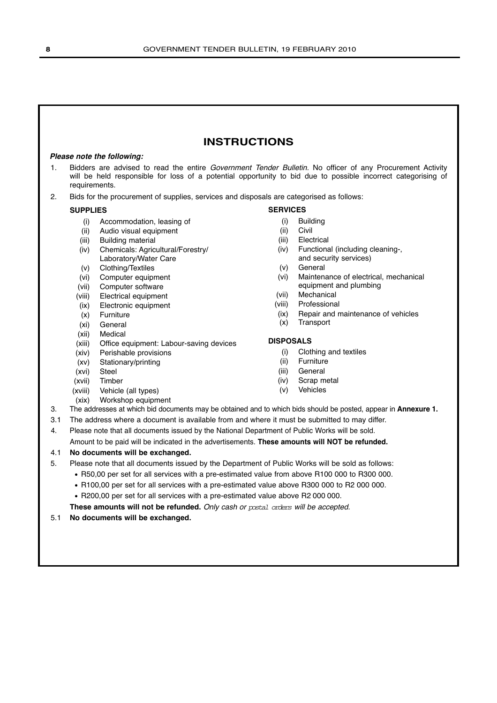### **INSTRUCTIONS**

### **Please note the following:**

- 1. Bidders are advised to read the entire Government Tender Bulletin. No officer of any Procurement Activity will be held responsible for loss of a potential opportunity to bid due to possible incorrect categorising of requirements.
- 2. Bids for the procurement of supplies, services and disposals are categorised as follows:

### **SUPPLIES**

- (i) Accommodation, leasing of
- (ii) Audio visual equipment
- (iii) Building material
- (iv) Chemicals: Agricultural/Forestry/ Laboratory/Water Care
- (v) Clothing/Textiles
- (vi) Computer equipment
- (vii) Computer software
- (viii) Electrical equipment
- (ix) Electronic equipment
- (x) Furniture
- (xi) General
- (xii) Medical
- (xiii) Office equipment: Labour-saving devices
- (xiv) Perishable provisions
- (xv) Stationary/printing
- (xvi) Steel
- (xvii) Timber
- (xviii) Vehicle (all types)
- (xix) Workshop equipment

### **SERVICES**

- (i) Building
- (ii) Civil
- (iii) Electrical
- (iv) Functional (including cleaning-, and security services)
- (v) General
- (vi) Maintenance of electrical, mechanical equipment and plumbing
- (vii) Mechanical
- (viii) Professional
- (ix) Repair and maintenance of vehicles
- (x) Transport

### **DISPOSALS**

- (i) Clothing and textiles
- (ii) Furniture
- (iii) General
- (iv) Scrap metal
- (v) Vehicles
- 
- 3. The addresses at which bid documents may be obtained and to which bids should be posted, appear in **Annexure 1.**
- 3.1 The address where a document is available from and where it must be submitted to may differ.
- 4. Please note that all documents issued by the National Department of Public Works will be sold.

Amount to be paid will be indicated in the advertisements. **These amounts will NOT be refunded.**

### 4.1 **No documents will be exchanged.**

- 5. Please note that all documents issued by the Department of Public Works will be sold as follows:
	- R50,00 per set for all services with a pre-estimated value from above R100 000 to R300 000.
	- R100,00 per set for all services with a pre-estimated value above R300 000 to R2 000 000.
	- R200,00 per set for all services with a pre-estimated value above R2 000 000.

**These amounts will not be refunded.** Only cash or postal orders will be accepted.

5.1 **No documents will be exchanged.**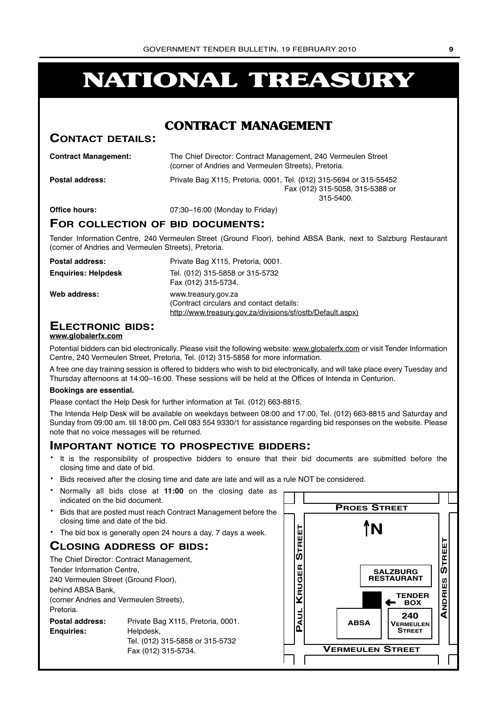### **NATIONAL TREASURY**

### **CONTRACT MANAGEMENT**

### **CONTACT DETAILS:**

| <b>Contract Management:</b> | The Chief Director: Contract Management, 240 Vermeulen Street<br>(corner of Andries and Vermeulen Streets), Pretoria. |
|-----------------------------|-----------------------------------------------------------------------------------------------------------------------|
| <b>Postal address:</b>      | Private Bag X115, Pretoria, 0001, Tel. (012) 315-5694 or 315-55452<br>Fax (012) 315-5058, 315-5388 or<br>$315 - 5400$ |
| Office hours:               | 07:30-16:00 (Monday to Friday)                                                                                        |

### **FOR COLLECTION OF BID DOCUMENTS:**

Tender Information Centre, 240 Vermeulen Street (Ground Floor), behind ABSA Bank, next to Salzburg Restaurant (corner of Andries and Vermeulen Streets), Pretoria.

| Postal address:            | Private Bag X115, Pretoria, 0001.                                                                                             |
|----------------------------|-------------------------------------------------------------------------------------------------------------------------------|
| <b>Enguiries: Helpdesk</b> | Tel. (012) 315-5858 or 315-5732<br>Fax (012) 315-5734.                                                                        |
| Web address:               | www.treasury.gov.za<br>(Contract circulars and contact details:<br>http://www.treasury.gov.za/divisions/sf/ostb/Default.aspx) |

### **ELECTRONIC BIDS:**

### **www.globalerfx.com**

Potential bidders can bid electronically. Please visit the following website: www.globalerfx.com or visit Tender Information Centre, 240 Vermeulen Street, Pretoria, Tel. (012) 315-5858 for more information.

A free one day training session is offered to bidders who wish to bid electronically, and will take place every Tuesday and Thursday afternoons at 14:00–16:00. These sessions will be held at the Offices of Intenda in Centurion.

### **Bookings are essential.**

Please contact the Help Desk for further information at Tel. (012) 663-8815.

The Intenda Help Desk will be available on weekdays between 08:00 and 17:00, Tel. (012) 663-8815 and Saturday and Sunday from 09:00 am. till 18:00 pm, Cell 083 554 9330/1 for assistance regarding bid responses on the website. Please note that no voice messages will be returned.

### **IMPORTANT NOTICE TO PROSPECTIVE BIDDERS:**

- It is the responsibility of prospective bidders to ensure that their bid documents are submitted before the closing time and date of bid.
- Bids received after the closing time and date are late and will as a rule NOT be considered.
- Normally all bids close at **11:00** on the closing date as indicated on the bid document.
- Bids that are posted must reach Contract Management before the closing time and date of the bid.
- The bid box is generally open 24 hours a day, 7 days a week.

### **CLOSING ADDRESS OF BIDS:**

| The Chief Director: Contract Management, |                                   |  |  |  |  |
|------------------------------------------|-----------------------------------|--|--|--|--|
| Tender Information Centre,               |                                   |  |  |  |  |
| 240 Vermeulen Street (Ground Floor),     |                                   |  |  |  |  |
| behind ABSA Bank,                        |                                   |  |  |  |  |
| (corner Andries and Vermeulen Streets),  |                                   |  |  |  |  |
| Pretoria.                                |                                   |  |  |  |  |
| <b>Postal address:</b>                   | Private Bag X115, Pretoria, 0001. |  |  |  |  |
| <b>Enguiries:</b>                        | Helpdesk,                         |  |  |  |  |
|                                          | Tel. (012) 315-5858 or 315-5732   |  |  |  |  |
|                                          | Fax (012) 315-5734.               |  |  |  |  |

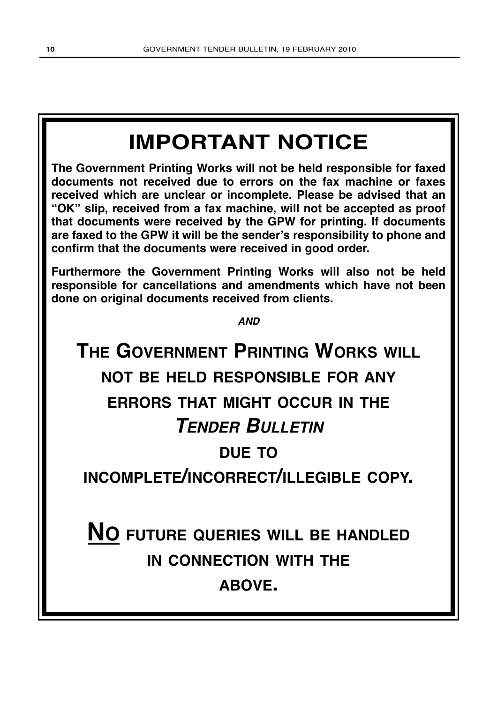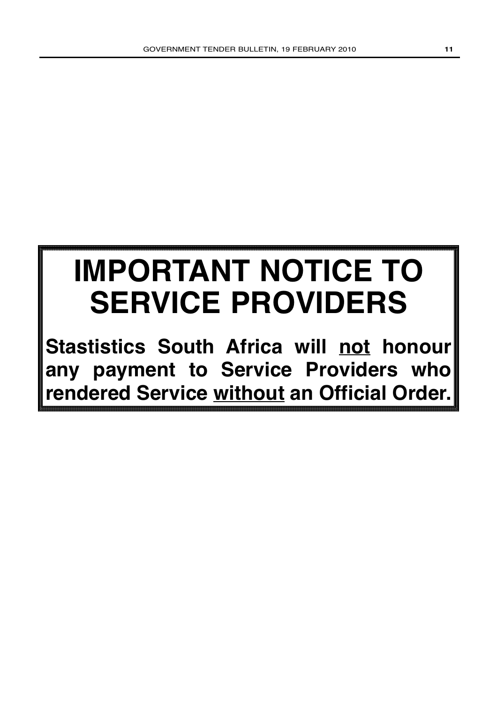## **IMPORTANT NOTICE TO SERVICE PROVIDERS**

**Stastistics South Africa will not honour any payment to Service Providers who rendered Service without an Official Order.**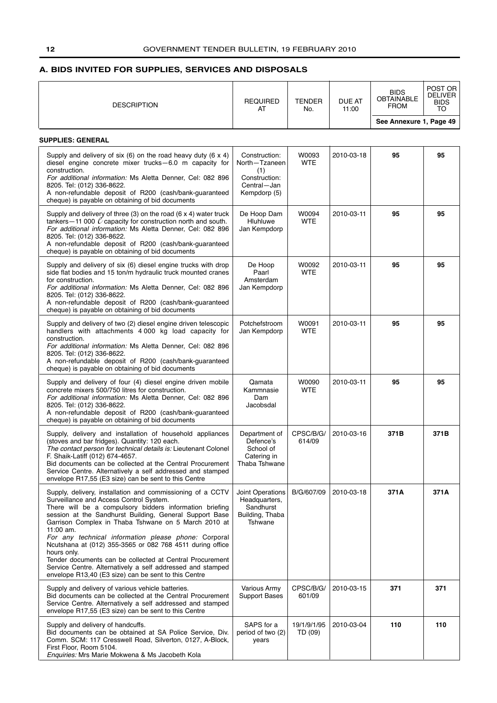### <span id="page-11-0"></span>**A. BIDS INVITED FOR SUPPLIES, SERVICES AND DISPOSALS**

| <b>DESCRIPTION</b>                                                                                                                                                                                                                                                                                                                                                                                                                                                                                                                                                                                                     | <b>REQUIRED</b><br>AT                                                                 | <b>TENDER</b><br>No.   | <b>DUE AT</b><br>11:00 | <b>BIDS</b><br><b>OBTAINABLE</b><br><b>FROM</b> | POST OR<br><b>DELIVER</b><br><b>BIDS</b><br>TO |
|------------------------------------------------------------------------------------------------------------------------------------------------------------------------------------------------------------------------------------------------------------------------------------------------------------------------------------------------------------------------------------------------------------------------------------------------------------------------------------------------------------------------------------------------------------------------------------------------------------------------|---------------------------------------------------------------------------------------|------------------------|------------------------|-------------------------------------------------|------------------------------------------------|
|                                                                                                                                                                                                                                                                                                                                                                                                                                                                                                                                                                                                                        |                                                                                       |                        |                        | See Annexure 1, Page 49                         |                                                |
| <b>SUPPLIES: GENERAL</b>                                                                                                                                                                                                                                                                                                                                                                                                                                                                                                                                                                                               |                                                                                       |                        |                        |                                                 |                                                |
| Supply and delivery of six (6) on the road heavy duty (6 $\times$ 4)<br>diesel engine concrete mixer trucks-6.0 m capacity for<br>construction.<br>For additional information: Ms Aletta Denner, Cel: 082 896<br>8205. Tel: (012) 336-8622.<br>A non-refundable deposit of R200 (cash/bank-guaranteed<br>cheque) is payable on obtaining of bid documents                                                                                                                                                                                                                                                              | Construction:<br>North-Tzaneen<br>(1)<br>Construction:<br>Central-Jan<br>Kempdorp (5) | W0093<br><b>WTE</b>    | 2010-03-18             | 95                                              | 95                                             |
| Supply and delivery of three $(3)$ on the road $(6 \times 4)$ water truck<br>tankers – 11 000 $\ell$ capacity for construction north and south.<br>For additional information: Ms Aletta Denner, Cel: 082 896<br>8205. Tel: (012) 336-8622.<br>A non-refundable deposit of R200 (cash/bank-guaranteed<br>cheque) is payable on obtaining of bid documents                                                                                                                                                                                                                                                              | De Hoop Dam<br>Hluhluwe<br>Jan Kempdorp                                               | W0094<br><b>WTE</b>    | 2010-03-11             | 95                                              | 95                                             |
| Supply and delivery of six (6) diesel engine trucks with drop<br>side flat bodies and 15 ton/m hydraulic truck mounted cranes<br>for construction.<br>For additional information: Ms Aletta Denner, Cel: 082 896<br>8205. Tel: (012) 336-8622.<br>A non-refundable deposit of R200 (cash/bank-guaranteed<br>cheque) is payable on obtaining of bid documents                                                                                                                                                                                                                                                           | De Hoop<br>Paarl<br>Amsterdam<br>Jan Kempdorp                                         | W0092<br><b>WTE</b>    | 2010-03-11             | 95                                              | 95                                             |
| Supply and delivery of two (2) diesel engine driven telescopic<br>handlers with attachments 4000 kg load capacity for<br>construction.<br>For additional information: Ms Aletta Denner, Cel: 082 896<br>8205. Tel: (012) 336-8622.<br>A non-refundable deposit of R200 (cash/bank-guaranteed<br>cheque) is payable on obtaining of bid documents                                                                                                                                                                                                                                                                       | Potchefstroom<br>Jan Kempdorp                                                         | W0091<br><b>WTE</b>    | 2010-03-11             | 95                                              | 95                                             |
| Supply and delivery of four (4) diesel engine driven mobile<br>concrete mixers 500/750 litres for construction.<br>For additional information: Ms Aletta Denner, Cel: 082 896<br>8205. Tel: (012) 336-8622.<br>A non-refundable deposit of R200 (cash/bank-guaranteed<br>cheque) is payable on obtaining of bid documents                                                                                                                                                                                                                                                                                              | Qamata<br>Kammnasie<br>Dam<br>Jacobsdal                                               | W0090<br><b>WTE</b>    | 2010-03-11             | 95                                              | 95                                             |
| Supply, delivery and installation of household appliances<br>(stoves and bar fridges). Quantity: 120 each.<br>The contact person for technical details is: Lieutenant Colonel<br>F. Shaik-Latiff (012) 674-4657.<br>Bid documents can be collected at the Central Procurement<br>Service Centre. Alternatively a self addressed and stamped<br>envelope R17,55 (E3 size) can be sent to this Centre                                                                                                                                                                                                                    | Department of<br>Defence's<br>School of<br>Catering in<br>Thaba Tshwane               | CPSC/B/G/<br>614/09    | 2010-03-16             | 371B                                            | 371B                                           |
| Supply, delivery, installation and commissioning of a CCTV<br>Surveillance and Access Control System.<br>There will be a compulsory bidders information briefing<br>session at the Sandhurst Building, General Support Base<br>Garrison Complex in Thaba Tshwane on 5 March 2010 at<br>11:00 am.<br>For any technical information please phone: Corporal<br>Ncutshana at (012) 355-3565 or 082 768 4511 during office<br>hours only.<br>Tender documents can be collected at Central Procurement<br>Service Centre. Alternatively a self addressed and stamped<br>envelope R13,40 (E3 size) can be sent to this Centre | Joint Operations<br>Headquarters,<br>Sandhurst<br>Building, Thaba<br>Tshwane          | B/G/607/09             | 2010-03-18             | 371A                                            | 371A                                           |
| Supply and delivery of various vehicle batteries.<br>Bid documents can be collected at the Central Procurement<br>Service Centre. Alternatively a self addressed and stamped<br>envelope R17,55 (E3 size) can be sent to this Centre                                                                                                                                                                                                                                                                                                                                                                                   | Various Army<br><b>Support Bases</b>                                                  | CPSC/B/G/<br>601/09    | 2010-03-15             | 371                                             | 371                                            |
| Supply and delivery of handcuffs.<br>Bid documents can be obtained at SA Police Service, Div.<br>Comm. SCM: 117 Cresswell Road, Silverton, 0127, A-Block,<br>First Floor, Room 5104.<br>Enquiries: Mrs Marie Mokwena & Ms Jacobeth Kola                                                                                                                                                                                                                                                                                                                                                                                | SAPS for a<br>period of two (2)<br>years                                              | 19/1/9/1/95<br>TD (09) | 2010-03-04             | 110                                             | 110                                            |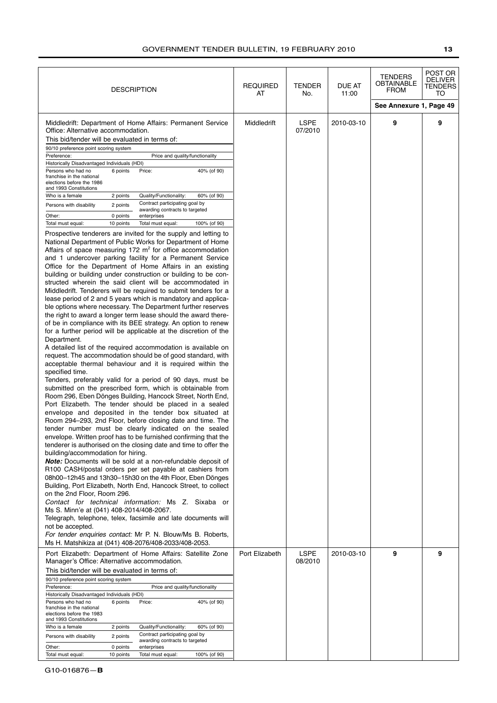| <b>DESCRIPTION</b>                                                                                                                                                                                                                                                                                                                                                                                                                                                                                                                                                                                                                                                                                                                                                                                                                                                                                                                                                                                                                                                                                                                                                                                                                                                                                                                                                                                                                                                                                                                                                                                                                                                                                                                                                                                                                                                                                                                                                                                                                                                                                                                                                                                                                                                                                                                                                                                                                                                                                                                                                                                                                                                                                                                                                                                                                                                                                                                                                                                                                                                                        | <b>REQUIRED</b><br>AT | TENDER<br>No.          | DUE AT<br>11:00 | <b>TENDERS</b><br>OBTAINABLE<br><b>FROM</b> | POST OR<br><b>DELIVER</b><br>TENDERS<br>то |
|-------------------------------------------------------------------------------------------------------------------------------------------------------------------------------------------------------------------------------------------------------------------------------------------------------------------------------------------------------------------------------------------------------------------------------------------------------------------------------------------------------------------------------------------------------------------------------------------------------------------------------------------------------------------------------------------------------------------------------------------------------------------------------------------------------------------------------------------------------------------------------------------------------------------------------------------------------------------------------------------------------------------------------------------------------------------------------------------------------------------------------------------------------------------------------------------------------------------------------------------------------------------------------------------------------------------------------------------------------------------------------------------------------------------------------------------------------------------------------------------------------------------------------------------------------------------------------------------------------------------------------------------------------------------------------------------------------------------------------------------------------------------------------------------------------------------------------------------------------------------------------------------------------------------------------------------------------------------------------------------------------------------------------------------------------------------------------------------------------------------------------------------------------------------------------------------------------------------------------------------------------------------------------------------------------------------------------------------------------------------------------------------------------------------------------------------------------------------------------------------------------------------------------------------------------------------------------------------------------------------------------------------------------------------------------------------------------------------------------------------------------------------------------------------------------------------------------------------------------------------------------------------------------------------------------------------------------------------------------------------------------------------------------------------------------------------------------------------|-----------------------|------------------------|-----------------|---------------------------------------------|--------------------------------------------|
|                                                                                                                                                                                                                                                                                                                                                                                                                                                                                                                                                                                                                                                                                                                                                                                                                                                                                                                                                                                                                                                                                                                                                                                                                                                                                                                                                                                                                                                                                                                                                                                                                                                                                                                                                                                                                                                                                                                                                                                                                                                                                                                                                                                                                                                                                                                                                                                                                                                                                                                                                                                                                                                                                                                                                                                                                                                                                                                                                                                                                                                                                           |                       |                        |                 | See Annexure 1, Page 49                     |                                            |
| Middledrift: Department of Home Affairs: Permanent Service<br>Office: Alternative accommodation.<br>This bid/tender will be evaluated in terms of:<br>90/10 preference point scoring system<br>Preference:<br>Price and quality/functionality<br>Historically Disadvantaged Individuals (HDI)<br>Persons who had no<br>6 points<br>Price:<br>40% (of 90)<br>franchise in the national<br>elections before the 1986<br>and 1993 Constitutions<br>Who is a female<br>2 points<br>Quality/Functionality:<br>60% (of 90)<br>Contract participating goal by<br>Persons with disability<br>2 points<br>awarding contracts to targeted<br>Other:<br>0 points<br>enterprises<br>Total must equal:<br>10 points<br>Total must equal:<br>100% (of 90)<br>Prospective tenderers are invited for the supply and letting to<br>National Department of Public Works for Department of Home<br>Affairs of space measuring $172 \text{ m}^2$ for office accommodation<br>and 1 undercover parking facility for a Permanent Service<br>Office for the Department of Home Affairs in an existing<br>building or building under construction or building to be con-<br>structed wherein the said client will be accommodated in<br>Middledrift. Tenderers will be required to submit tenders for a<br>lease period of 2 and 5 years which is mandatory and applica-<br>ble options where necessary. The Department further reserves<br>the right to award a longer term lease should the award there-<br>of be in compliance with its BEE strategy. An option to renew<br>for a further period will be applicable at the discretion of the<br>Department.<br>A detailed list of the required accommodation is available on<br>request. The accommodation should be of good standard, with<br>acceptable thermal behaviour and it is required within the<br>specified time.<br>Tenders, preferably valid for a period of 90 days, must be<br>submitted on the prescribed form, which is obtainable from<br>Room 296, Eben Dönges Building, Hancock Street, North End,<br>Port Elizabeth. The tender should be placed in a sealed<br>envelope and deposited in the tender box situated at<br>Room 294-293, 2nd Floor, before closing date and time. The<br>tender number must be clearly indicated on the sealed<br>envelope. Written proof has to be furnished confirming that the<br>tenderer is authorised on the closing date and time to offer the<br>building/accommodation for hiring.<br><b>Note:</b> Documents will be sold at a non-refundable deposit of<br>R100 CASH/postal orders per set payable at cashiers from<br>08h00-12h45 and 13h30-15h30 on the 4th Floor, Eben Dönges<br>Building, Port Elizabeth, North End, Hancock Street, to collect<br>on the 2nd Floor, Room 296.<br>Contact for technical information: Ms Z. Sixaba or<br>Ms S. Minn'e at (041) 408-2014/408-2067.<br>Telegraph, telephone, telex, facsimile and late documents will<br>not be accepted.<br>For tender enquiries contact: Mr P. N. Blouw/Ms B. Roberts,<br>Ms H. Matshikiza at (041) 408-2076/408-2033/408-2053. | Middledrift           | LSPE<br>07/2010        | 2010-03-10      | 9                                           | 9                                          |
| Port Elizabeth: Department of Home Affairs: Satellite Zone<br>Manager's Office: Alternative accommodation.<br>This bid/tender will be evaluated in terms of:<br>90/10 preference point scoring system<br>Preference:<br>Price and quality/functionality<br>Historically Disadvantaged Individuals (HDI)<br>Persons who had no<br>6 points<br>40% (of 90)<br>Price:<br>franchise in the national<br>elections before the 1983<br>and 1993 Constitutions<br>Who is a female<br>Quality/Functionality:<br>60% (of 90)<br>2 points                                                                                                                                                                                                                                                                                                                                                                                                                                                                                                                                                                                                                                                                                                                                                                                                                                                                                                                                                                                                                                                                                                                                                                                                                                                                                                                                                                                                                                                                                                                                                                                                                                                                                                                                                                                                                                                                                                                                                                                                                                                                                                                                                                                                                                                                                                                                                                                                                                                                                                                                                            | Port Elizabeth        | <b>LSPE</b><br>08/2010 | 2010-03-10      | 9                                           | 9                                          |
| Contract participating goal by<br>2 points<br>Persons with disability<br>awarding contracts to targeted<br>Other:<br>0 points<br>enterprises<br>Total must equal:<br>10 points<br>Total must equal:<br>100% (of 90)                                                                                                                                                                                                                                                                                                                                                                                                                                                                                                                                                                                                                                                                                                                                                                                                                                                                                                                                                                                                                                                                                                                                                                                                                                                                                                                                                                                                                                                                                                                                                                                                                                                                                                                                                                                                                                                                                                                                                                                                                                                                                                                                                                                                                                                                                                                                                                                                                                                                                                                                                                                                                                                                                                                                                                                                                                                                       |                       |                        |                 |                                             |                                            |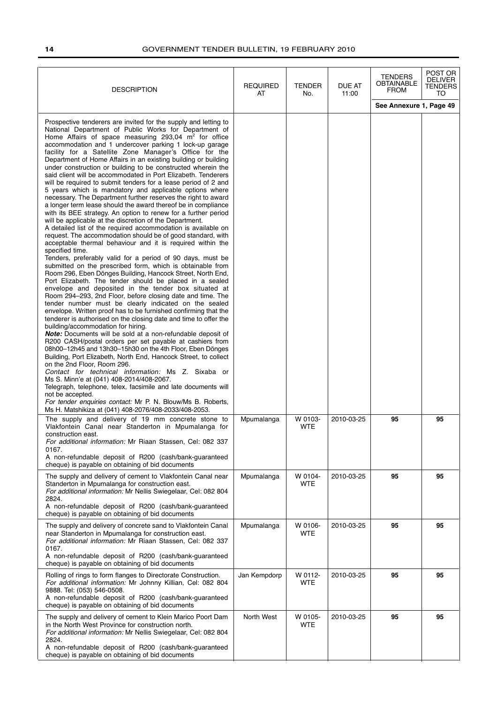| <b>DESCRIPTION</b>                                                                                                                                                                                                                                                                                                                                                                                                                                                                                                                                                                                                                                                                                                                                                                                                                                                                                                                                                                                                                                                                                                                                                                                                                                                                                                                                                                                                                                                                                                                                                                                                                                                                                                                                                                                                                                                                                                                                                                                                                                                                                                                                                                                                                                                                                                                                                    | <b>REQUIRED</b><br>AT | <b>TENDER</b><br>No.  | DUE AT<br>11:00 | <b>TENDERS</b><br>OBTAINABLE<br><b>FROM</b> | POST OR<br><b>DELIVER</b><br>TENDERS<br>TO |
|-----------------------------------------------------------------------------------------------------------------------------------------------------------------------------------------------------------------------------------------------------------------------------------------------------------------------------------------------------------------------------------------------------------------------------------------------------------------------------------------------------------------------------------------------------------------------------------------------------------------------------------------------------------------------------------------------------------------------------------------------------------------------------------------------------------------------------------------------------------------------------------------------------------------------------------------------------------------------------------------------------------------------------------------------------------------------------------------------------------------------------------------------------------------------------------------------------------------------------------------------------------------------------------------------------------------------------------------------------------------------------------------------------------------------------------------------------------------------------------------------------------------------------------------------------------------------------------------------------------------------------------------------------------------------------------------------------------------------------------------------------------------------------------------------------------------------------------------------------------------------------------------------------------------------------------------------------------------------------------------------------------------------------------------------------------------------------------------------------------------------------------------------------------------------------------------------------------------------------------------------------------------------------------------------------------------------------------------------------------------------|-----------------------|-----------------------|-----------------|---------------------------------------------|--------------------------------------------|
|                                                                                                                                                                                                                                                                                                                                                                                                                                                                                                                                                                                                                                                                                                                                                                                                                                                                                                                                                                                                                                                                                                                                                                                                                                                                                                                                                                                                                                                                                                                                                                                                                                                                                                                                                                                                                                                                                                                                                                                                                                                                                                                                                                                                                                                                                                                                                                       |                       |                       |                 | See Annexure 1, Page 49                     |                                            |
| Prospective tenderers are invited for the supply and letting to<br>National Department of Public Works for Department of<br>Home Affairs of space measuring $293,04$ m <sup>2</sup> for office<br>accommodation and 1 undercover parking 1 lock-up garage<br>facility for a Satellite Zone Manager's Office for the<br>Department of Home Affairs in an existing building or building<br>under construction or building to be constructed wherein the<br>said client will be accommodated in Port Elizabeth. Tenderers<br>will be required to submit tenders for a lease period of 2 and<br>5 years which is mandatory and applicable options where<br>necessary. The Department further reserves the right to award<br>a longer term lease should the award thereof be in compliance<br>with its BEE strategy. An option to renew for a further period<br>will be applicable at the discretion of the Department.<br>A detailed list of the required accommodation is available on<br>request. The accommodation should be of good standard, with<br>acceptable thermal behaviour and it is required within the<br>specified time.<br>Tenders, preferably valid for a period of 90 days, must be<br>submitted on the prescribed form, which is obtainable from<br>Room 296, Eben Dönges Building, Hancock Street, North End,<br>Port Elizabeth. The tender should be placed in a sealed<br>envelope and deposited in the tender box situated at<br>Room 294-293, 2nd Floor, before closing date and time. The<br>tender number must be clearly indicated on the sealed<br>envelope. Written proof has to be furnished confirming that the<br>tenderer is authorised on the closing date and time to offer the<br>building/accommodation for hiring.<br><b>Note:</b> Documents will be sold at a non-refundable deposit of<br>R200 CASH/postal orders per set payable at cashiers from<br>08h00-12h45 and 13h30-15h30 on the 4th Floor, Eben Dönges<br>Building, Port Elizabeth, North End, Hancock Street, to collect<br>on the 2nd Floor, Room 296.<br>Contact for technical information: Ms Z. Sixaba or<br>Ms S. Minn'e at (041) 408-2014/408-2067.<br>Telegraph, telephone, telex, facsimile and late documents will<br>not be accepted.<br>For tender enquiries contact: Mr P. N. Blouw/Ms B. Roberts,<br>Ms H. Matshikiza at (041) 408-2076/408-2033/408-2053. |                       |                       |                 |                                             |                                            |
| The supply and delivery of 19 mm concrete stone to<br>Vlakfontein Canal near Standerton in Mpumalanga for<br>construction east.<br>For additional information: Mr Riaan Stassen, Cel: 082 337<br>0167.<br>A non-refundable deposit of R200 (cash/bank-guaranteed<br>cheque) is payable on obtaining of bid documents                                                                                                                                                                                                                                                                                                                                                                                                                                                                                                                                                                                                                                                                                                                                                                                                                                                                                                                                                                                                                                                                                                                                                                                                                                                                                                                                                                                                                                                                                                                                                                                                                                                                                                                                                                                                                                                                                                                                                                                                                                                  | Mpumalanga            | W 0103-<br><b>WTE</b> | 2010-03-25      | 95                                          | 95                                         |
| The supply and delivery of cement to Vlakfontein Canal near<br>Standerton in Mpumalanga for construction east.<br>For additional information: Mr Nellis Swiegelaar, Cel: 082 804<br>2824.<br>A non-refundable deposit of R200 (cash/bank-guaranteed<br>cheque) is payable on obtaining of bid documents                                                                                                                                                                                                                                                                                                                                                                                                                                                                                                                                                                                                                                                                                                                                                                                                                                                                                                                                                                                                                                                                                                                                                                                                                                                                                                                                                                                                                                                                                                                                                                                                                                                                                                                                                                                                                                                                                                                                                                                                                                                               | Mpumalanga            | W 0104-<br><b>WTE</b> | 2010-03-25      | 95                                          | 95                                         |
| The supply and delivery of concrete sand to Vlakfontein Canal<br>near Standerton in Mpumalanga for construction east.<br>For additional information: Mr Riaan Stassen, Cel: 082 337<br>0167.<br>A non-refundable deposit of R200 (cash/bank-guaranteed<br>cheque) is payable on obtaining of bid documents                                                                                                                                                                                                                                                                                                                                                                                                                                                                                                                                                                                                                                                                                                                                                                                                                                                                                                                                                                                                                                                                                                                                                                                                                                                                                                                                                                                                                                                                                                                                                                                                                                                                                                                                                                                                                                                                                                                                                                                                                                                            | Mpumalanga            | W 0106-<br><b>WTE</b> | 2010-03-25      | 95                                          | 95                                         |
| Rolling of rings to form flanges to Directorate Construction.<br>For additional information: Mr Johnny Killian, Cel: 082 804<br>9888. Tel: (053) 546-0508.<br>A non-refundable deposit of R200 (cash/bank-guaranteed<br>cheque) is payable on obtaining of bid documents                                                                                                                                                                                                                                                                                                                                                                                                                                                                                                                                                                                                                                                                                                                                                                                                                                                                                                                                                                                                                                                                                                                                                                                                                                                                                                                                                                                                                                                                                                                                                                                                                                                                                                                                                                                                                                                                                                                                                                                                                                                                                              | Jan Kempdorp          | W 0112-<br><b>WTE</b> | 2010-03-25      | 95                                          | 95                                         |
| The supply and delivery of cement to Klein Marico Poort Dam<br>in the North West Province for construction north.<br>For additional information: Mr Nellis Swiegelaar, Cel: 082 804<br>2824.<br>A non-refundable deposit of R200 (cash/bank-guaranteed<br>cheque) is payable on obtaining of bid documents                                                                                                                                                                                                                                                                                                                                                                                                                                                                                                                                                                                                                                                                                                                                                                                                                                                                                                                                                                                                                                                                                                                                                                                                                                                                                                                                                                                                                                                                                                                                                                                                                                                                                                                                                                                                                                                                                                                                                                                                                                                            | North West            | W 0105-<br><b>WTE</b> | 2010-03-25      | 95                                          | 95                                         |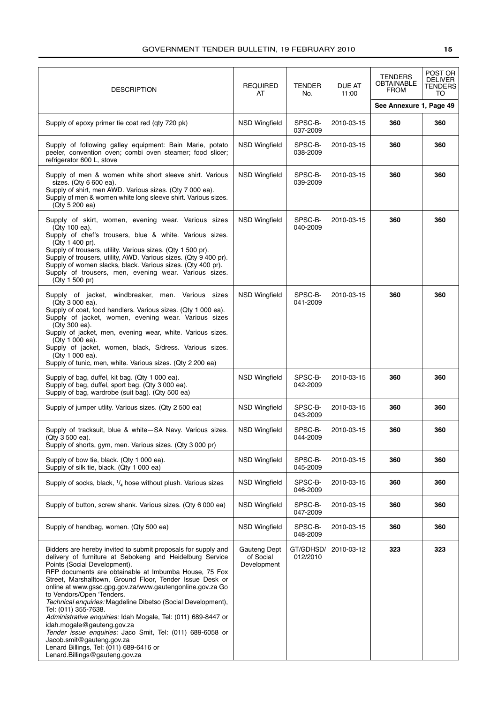| <b>DESCRIPTION</b>                                                                                                                                                                                                                                                                                                                                                                                                                                                                                                                                                                                                                                                                                                                     | <b>REQUIRED</b><br>AT                           | <b>TENDER</b><br>No.  | DUE AT<br>11:00 | <b>TENDERS</b><br><b>OBTAINABLE</b><br><b>FROM</b> | POST OR<br><b>DELIVER</b><br><b>TENDERS</b><br>TO |
|----------------------------------------------------------------------------------------------------------------------------------------------------------------------------------------------------------------------------------------------------------------------------------------------------------------------------------------------------------------------------------------------------------------------------------------------------------------------------------------------------------------------------------------------------------------------------------------------------------------------------------------------------------------------------------------------------------------------------------------|-------------------------------------------------|-----------------------|-----------------|----------------------------------------------------|---------------------------------------------------|
|                                                                                                                                                                                                                                                                                                                                                                                                                                                                                                                                                                                                                                                                                                                                        |                                                 |                       |                 | See Annexure 1, Page 49                            |                                                   |
| Supply of epoxy primer tie coat red (qty 720 pk)                                                                                                                                                                                                                                                                                                                                                                                                                                                                                                                                                                                                                                                                                       | <b>NSD Wingfield</b>                            | SPSC-B-<br>037-2009   | 2010-03-15      | 360                                                | 360                                               |
| Supply of following galley equipment: Bain Marie, potato<br>peeler, convention oven; combi oven steamer; food slicer;<br>refrigerator 600 L, stove                                                                                                                                                                                                                                                                                                                                                                                                                                                                                                                                                                                     | <b>NSD Wingfield</b>                            | SPSC-B-<br>038-2009   | 2010-03-15      | 360                                                | 360                                               |
| Supply of men & women white short sleeve shirt. Various<br>sizes. (Qty 6 600 ea).<br>Supply of shirt, men AWD. Various sizes. (Qty 7 000 ea).<br>Supply of men & women white long sleeve shirt. Various sizes.<br>(Qty 5 200 ea)                                                                                                                                                                                                                                                                                                                                                                                                                                                                                                       | <b>NSD Wingfield</b>                            | SPSC-B-<br>039-2009   | 2010-03-15      | 360                                                | 360                                               |
| Supply of skirt, women, evening wear. Various sizes<br>(Qty 100 ea).<br>Supply of chef's trousers, blue & white. Various sizes.<br>(Qty 1 400 pr).<br>Supply of trousers, utility. Various sizes. (Qty 1 500 pr).<br>Supply of trousers, utility, AWD. Various sizes. (Qty 9 400 pr).<br>Supply of women slacks, black. Various sizes. (Qty 400 pr).<br>Supply of trousers, men, evening wear. Various sizes.<br>(Qty 1 500 pr)                                                                                                                                                                                                                                                                                                        | <b>NSD Wingfield</b>                            | SPSC-B-<br>040-2009   | 2010-03-15      | 360                                                | 360                                               |
| Supply of jacket, windbreaker, men. Various sizes<br>(Qty 3 000 ea).<br>Supply of coat, food handlers. Various sizes. (Qty 1 000 ea).<br>Supply of jacket, women, evening wear. Various sizes<br>(Qty 300 ea).<br>Supply of jacket, men, evening wear, white. Various sizes.<br>(Qty 1 000 ea).<br>Supply of jacket, women, black, S/dress. Various sizes.<br>(Qty 1 000 ea).<br>Supply of tunic, men, white. Various sizes. (Qty 2 200 ea)                                                                                                                                                                                                                                                                                            | <b>NSD Wingfield</b>                            | SPSC-B-<br>041-2009   | 2010-03-15      | 360                                                | 360                                               |
| Supply of bag, duffel, kit bag. (Qty 1 000 ea).<br>Supply of bag, duffel, sport bag. (Qty 3 000 ea).<br>Supply of bag, wardrobe (suit bag). (Qty 500 ea)                                                                                                                                                                                                                                                                                                                                                                                                                                                                                                                                                                               | <b>NSD Wingfield</b>                            | SPSC-B-<br>042-2009   | 2010-03-15      | 360                                                | 360                                               |
| Supply of jumper utlity. Various sizes. (Qty 2 500 ea)                                                                                                                                                                                                                                                                                                                                                                                                                                                                                                                                                                                                                                                                                 | <b>NSD Wingfield</b>                            | SPSC-B-<br>043-2009   | 2010-03-15      | 360                                                | 360                                               |
| Supply of tracksuit, blue & white–SA Navy. Various sizes.<br>(Qty 3 500 ea).<br>Supply of shorts, gym, men. Various sizes. (Qty 3 000 pr)                                                                                                                                                                                                                                                                                                                                                                                                                                                                                                                                                                                              | <b>NSD Wingfield</b>                            | SPSC-B-<br>044-2009   | 2010-03-15      | 360                                                | 360                                               |
| Supply of bow tie, black. (Qty 1 000 ea).<br>Supply of silk tie, black. (Qty 1 000 ea)                                                                                                                                                                                                                                                                                                                                                                                                                                                                                                                                                                                                                                                 | <b>NSD Wingfield</b>                            | SPSC-B-<br>045-2009   | 2010-03-15      | 360                                                | 360                                               |
| Supply of socks, black, $\frac{1}{4}$ hose without plush. Various sizes                                                                                                                                                                                                                                                                                                                                                                                                                                                                                                                                                                                                                                                                | <b>NSD Wingfield</b>                            | SPSC-B-<br>046-2009   | 2010-03-15      | 360                                                | 360                                               |
| Supply of button, screw shank. Various sizes. (Qty 6 000 ea)                                                                                                                                                                                                                                                                                                                                                                                                                                                                                                                                                                                                                                                                           | <b>NSD Wingfield</b>                            | SPSC-B-<br>047-2009   | 2010-03-15      | 360                                                | 360                                               |
| Supply of handbag, women. (Qty 500 ea)                                                                                                                                                                                                                                                                                                                                                                                                                                                                                                                                                                                                                                                                                                 | <b>NSD Wingfield</b>                            | SPSC-B-<br>048-2009   | 2010-03-15      | 360                                                | 360                                               |
| Bidders are hereby invited to submit proposals for supply and<br>delivery of furniture at Sebokeng and Heidelburg Service<br>Points (Social Development).<br>RFP documents are obtainable at Imbumba House, 75 Fox<br>Street, Marshalltown, Ground Floor, Tender Issue Desk or<br>online at www.gssc.gpg.gov.za/www.gautengonline.gov.za Go<br>to Vendors/Open 'Tenders.<br>Technical enquiries: Magdeline Dibetso (Social Development),<br>Tel: (011) 355-7638.<br>Administrative enquiries: Idah Mogale, Tel: (011) 689-8447 or<br>idah.mogale@gauteng.gov.za<br>Tender issue enquiries: Jaco Smit, Tel: (011) 689-6058 or<br>Jacob.smit@gauteng.gov.za<br>Lenard Billings, Tel: (011) 689-6416 or<br>Lenard.Billings@gauteng.gov.za | <b>Gauteng Dept</b><br>of Social<br>Development | GT/GDHSD/<br>012/2010 | 2010-03-12      | 323                                                | 323                                               |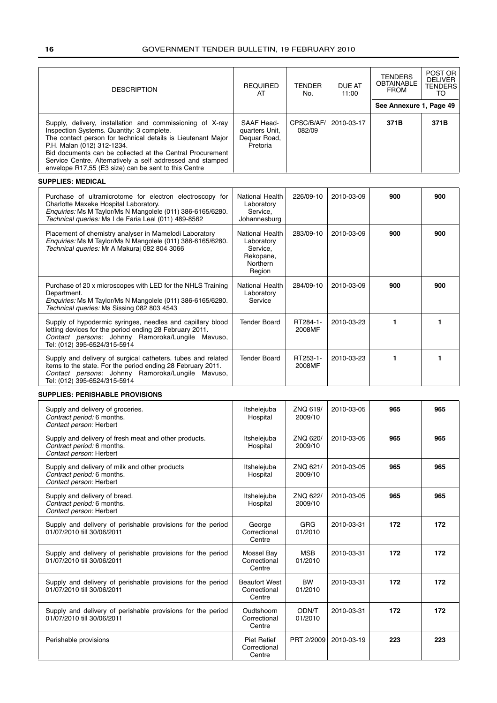| <b>DESCRIPTION</b>                                                                                                                                                                                                                                                                                                                                                                      | <b>REQUIRED</b><br>AT                                                        | TENDER<br>No.         | DUE AT<br>11:00 | <b>TENDERS</b><br><b>OBTAINABLE</b><br><b>FROM</b> | POST OR<br><b>DELIVER</b><br><b>TENDERS</b><br>TO |
|-----------------------------------------------------------------------------------------------------------------------------------------------------------------------------------------------------------------------------------------------------------------------------------------------------------------------------------------------------------------------------------------|------------------------------------------------------------------------------|-----------------------|-----------------|----------------------------------------------------|---------------------------------------------------|
|                                                                                                                                                                                                                                                                                                                                                                                         |                                                                              |                       |                 | See Annexure 1, Page 49                            |                                                   |
| Supply, delivery, installation and commissioning of X-ray<br>Inspection Systems. Quantity: 3 complete.<br>The contact person for technical details is Lieutenant Major<br>P.H. Malan (012) 312-1234.<br>Bid documents can be collected at the Central Procurement<br>Service Centre. Alternatively a self addressed and stamped<br>envelope R17,55 (E3 size) can be sent to this Centre | SAAF Head-<br>quarters Unit,<br>Dequar Road,<br>Pretoria                     | CPSC/B/AF/<br>082/09  | 2010-03-17      | 371B                                               | 371B                                              |
| <b>SUPPLIES: MEDICAL</b>                                                                                                                                                                                                                                                                                                                                                                |                                                                              |                       |                 |                                                    |                                                   |
| Purchase of ultramicrotome for electron electroscopy for<br>Charlotte Maxeke Hospital Laboratory.<br>Enquiries: Ms M Taylor/Ms N Mangolele (011) 386-6165/6280.<br>Technical queries: Ms I de Faria Leal (011) 489-8562                                                                                                                                                                 | National Health<br>Laboratory<br>Service,<br>Johannesburg                    | 226/09-10             | 2010-03-09      | 900                                                | 900                                               |
| Placement of chemistry analyser in Mamelodi Laboratory<br>Enquiries: Ms M Taylor/Ms N Mangolele (011) 386-6165/6280.<br>Technical queries: Mr A Makuraj 082 804 3066                                                                                                                                                                                                                    | National Health<br>Laboratory<br>Service.<br>Rekopane,<br>Northern<br>Region | 283/09-10             | 2010-03-09      | 900                                                | 900                                               |
| Purchase of 20 x microscopes with LED for the NHLS Training<br>Department.<br>Enquiries: Ms M Taylor/Ms N Mangolele (011) 386-6165/6280.<br>Technical queries: Ms Sissing 082 803 4543                                                                                                                                                                                                  | <b>National Health</b><br>Laboratory<br>Service                              | 284/09-10             | 2010-03-09      | 900                                                | 900                                               |
| Supply of hypodermic syringes, needles and capillary blood<br>letting devices for the period ending 28 February 2011.<br>Contact persons: Johnny Ramoroka/Lungile Mavuso,<br>Tel: (012) 395-6524/315-5914                                                                                                                                                                               | <b>Tender Board</b>                                                          | RT284-1-<br>2008MF    | 2010-03-23      | 1                                                  | 1                                                 |
| Supply and delivery of surgical catheters, tubes and related<br>items to the state. For the period ending 28 February 2011.<br>Contact persons: Johnny Ramoroka/Lungile Mavuso,<br>Tel: (012) 395-6524/315-5914                                                                                                                                                                         | <b>Tender Board</b>                                                          | RT253-1-<br>2008MF    | 2010-03-23      | 1                                                  | $\mathbf{1}$                                      |
| <b>SUPPLIES: PERISHABLE PROVISIONS</b>                                                                                                                                                                                                                                                                                                                                                  |                                                                              |                       |                 |                                                    |                                                   |
| Supply and delivery of groceries.<br>Contract period: 6 months.<br>Contact person: Herbert                                                                                                                                                                                                                                                                                              | Itshelejuba<br>Hospital                                                      | ZNQ 619/<br>2009/10   | 2010-03-05      | 965                                                | 965                                               |
| Supply and delivery of fresh meat and other products.<br>Contract period: 6 months.<br>Contact person: Herbert                                                                                                                                                                                                                                                                          | Itshelejuba<br>Hospital                                                      | ZNQ 620/<br>2009/10   | 2010-03-05      | 965                                                | 965                                               |
| Supply and delivery of milk and other products<br>Contract period: 6 months.<br>Contact person: Herbert                                                                                                                                                                                                                                                                                 | Itshelejuba<br>Hospital                                                      | ZNQ 621/<br>2009/10   | 2010-03-05      | 965                                                | 965                                               |
| Supply and delivery of bread.<br>Contract period: 6 months.<br>Contact person: Herbert                                                                                                                                                                                                                                                                                                  | Itshelejuba<br>Hospital                                                      | ZNQ 622/<br>2009/10   | 2010-03-05      | 965                                                | 965                                               |
| Supply and delivery of perishable provisions for the period<br>01/07/2010 till 30/06/2011                                                                                                                                                                                                                                                                                               | George<br>Correctional<br>Centre                                             | GRG<br>01/2010        | 2010-03-31      | 172                                                | 172                                               |
| Supply and delivery of perishable provisions for the period<br>01/07/2010 till 30/06/2011                                                                                                                                                                                                                                                                                               | Mossel Bay<br>Correctional<br>Centre                                         | <b>MSB</b><br>01/2010 | 2010-03-31      | 172                                                | 172                                               |
| Supply and delivery of perishable provisions for the period<br>01/07/2010 till 30/06/2011                                                                                                                                                                                                                                                                                               | <b>Beaufort West</b><br>Correctional<br>Centre                               | BW<br>01/2010         | 2010-03-31      | 172                                                | 172                                               |
| Supply and delivery of perishable provisions for the period<br>01/07/2010 till 30/06/2011                                                                                                                                                                                                                                                                                               | Oudtshoorn<br>Correctional<br>Centre                                         | ODN/T<br>01/2010      | 2010-03-31      | 172                                                | 172                                               |
| Perishable provisions                                                                                                                                                                                                                                                                                                                                                                   | Piet Retief<br>Correctional<br>Centre                                        | PRT 2/2009            | 2010-03-19      | 223                                                | 223                                               |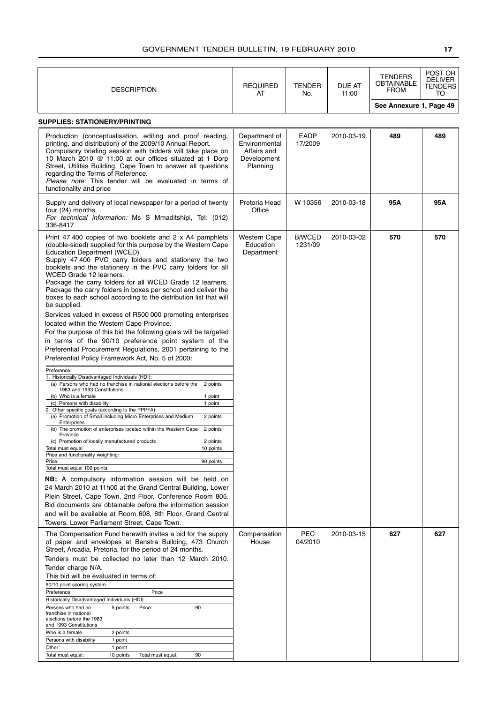| <b>DESCRIPTION</b>                                                                                                                                                                                                                                                                                                                                                                                                                                                                                                                                                                                                                                                                                                                                                                                                                                                                                                                                                                                                                                                                                                                                                                                                                                                                                                                                                                                                                                                                                                                                                                                                                                                                                                                                                                                                                                                                                                                                                       | <b>REQUIRED</b><br>AT                                                    | <b>TENDER</b><br>No.     | DUE AT<br>11:00 | <b>TENDERS</b><br>OBTAINABLE<br><b>FROM</b> | POST OR<br><b>DELIVER</b><br>TENDERS<br>то |
|--------------------------------------------------------------------------------------------------------------------------------------------------------------------------------------------------------------------------------------------------------------------------------------------------------------------------------------------------------------------------------------------------------------------------------------------------------------------------------------------------------------------------------------------------------------------------------------------------------------------------------------------------------------------------------------------------------------------------------------------------------------------------------------------------------------------------------------------------------------------------------------------------------------------------------------------------------------------------------------------------------------------------------------------------------------------------------------------------------------------------------------------------------------------------------------------------------------------------------------------------------------------------------------------------------------------------------------------------------------------------------------------------------------------------------------------------------------------------------------------------------------------------------------------------------------------------------------------------------------------------------------------------------------------------------------------------------------------------------------------------------------------------------------------------------------------------------------------------------------------------------------------------------------------------------------------------------------------------|--------------------------------------------------------------------------|--------------------------|-----------------|---------------------------------------------|--------------------------------------------|
|                                                                                                                                                                                                                                                                                                                                                                                                                                                                                                                                                                                                                                                                                                                                                                                                                                                                                                                                                                                                                                                                                                                                                                                                                                                                                                                                                                                                                                                                                                                                                                                                                                                                                                                                                                                                                                                                                                                                                                          |                                                                          |                          |                 | See Annexure 1, Page 49                     |                                            |
| <b>SUPPLIES: STATIONERY/PRINTING</b>                                                                                                                                                                                                                                                                                                                                                                                                                                                                                                                                                                                                                                                                                                                                                                                                                                                                                                                                                                                                                                                                                                                                                                                                                                                                                                                                                                                                                                                                                                                                                                                                                                                                                                                                                                                                                                                                                                                                     |                                                                          |                          |                 |                                             |                                            |
| Production (conceptualisation, editing and proof reading,<br>printing, and distribution) of the 2009/10 Annual Report.<br>Compulsory briefing session with bidders will take place on<br>10 March 2010 @ 11:00 at our offices situated at 1 Dorp<br>Street, Utilitas Building, Cape Town to answer all questions<br>regarding the Terms of Reference.<br>Please note: This tender will be evaluated in terms of<br>functionality and price                                                                                                                                                                                                                                                                                                                                                                                                                                                                                                                                                                                                                                                                                                                                                                                                                                                                                                                                                                                                                                                                                                                                                                                                                                                                                                                                                                                                                                                                                                                               | Department of<br>Environmental<br>Affairs and<br>Development<br>Planning | EADP<br>17/2009          | 2010-03-19      | 489                                         | 489                                        |
| Supply and delivery of local newspaper for a period of twenty<br>four (24) months.<br>For technical information: Ms S Mmaditshipi, Tel: (012)<br>336-8417                                                                                                                                                                                                                                                                                                                                                                                                                                                                                                                                                                                                                                                                                                                                                                                                                                                                                                                                                                                                                                                                                                                                                                                                                                                                                                                                                                                                                                                                                                                                                                                                                                                                                                                                                                                                                | Pretoria Head<br>Office                                                  | W 10356                  | 2010-03-18      | 95A                                         | 95A                                        |
| Print 47 400 copies of two booklets and 2 x A4 pamphlets<br>(double-sided) supplied for this purpose by the Western Cape<br>Education Department (WCED).<br>Supply 47 400 PVC carry folders and stationery the two<br>booklets and the stationery in the PVC carry folders for all<br>WCED Grade 12 learners.<br>Package the carry folders for all WCED Grade 12 learners.<br>Package the carry folders in boxes per school and deliver the<br>boxes to each school according to the distribution list that will<br>be supplied.<br>Services valued in excess of R500 000 promoting enterprises<br>located within the Western Cape Province.<br>For the purpose of this bid the following goals will be targeted<br>in terms of the 90/10 preference point system of the<br>Preferential Procurement Regulations, 2001 pertaining to the<br>Preferential Policy Framework Act, No. 5 of 2000:<br>Preference:<br>1. Historically Disadvantaged Individuals (HDI):<br>(a) Persons who had no franchise in national elections before the<br>2 points<br>1983 and 1993 Constitutions<br>(b) Who is a female<br>1 point<br>(c) Persons with disability<br>1 point<br>2. Other specific goals (according to the PPPFA):<br>(a) Promotion of Small including Micro Enterprises and Medium<br>2 points<br>Enterprises<br>(b) The promotion of enterprises located within the Western Cape 2 points<br>Province<br>(c) Promotion of locally manufactured products<br>2 points<br>10 points<br>Total must equal<br>Price and functionality weighting:<br>Price:<br>90 points<br>Total must equal 100 points<br><b>NB:</b> A compulsory information session will be held on<br>24 March 2010 at 11h00 at the Grand Central Building, Lower<br>Plein Street, Cape Town, 2nd Floor, Conference Room 805.<br>Bid documents are obtainable before the information session<br>and will be available at Room 608, 6th Floor, Grand Central<br>Towers, Lower Parliament Street, Cape Town. | <b>Western Cape</b><br>Education<br>Department                           | <b>B/WCED</b><br>1231/09 | 2010-03-02      | 570                                         | 570                                        |
| The Compensation Fund herewith invites a bid for the supply<br>of paper and envelopes at Benstra Building, 473 Church<br>Street, Arcadia, Pretoria, for the period of 24 months.<br>Tenders must be collected no later than 12 March 2010.                                                                                                                                                                                                                                                                                                                                                                                                                                                                                                                                                                                                                                                                                                                                                                                                                                                                                                                                                                                                                                                                                                                                                                                                                                                                                                                                                                                                                                                                                                                                                                                                                                                                                                                               | Compensation<br>House                                                    | PEC<br>04/2010           | 2010-03-15      | 627                                         | 627                                        |
| Tender charge N/A.<br>This bid will be evaluated in terms of:<br>90/10 point scoring system<br>Preference:<br>Price<br>Historically Disadvantaged Individuals (HDI)<br>90<br>Persons who had no<br>5 points<br>Price:<br>franchise in national<br>elections before the 1983<br>and 1993 Constitutions<br>Who is a female<br>2 points<br>Persons with disability<br>1 point<br>Other:<br>1 point<br>Total must equal:<br>10 points<br>Total must equal:<br>90                                                                                                                                                                                                                                                                                                                                                                                                                                                                                                                                                                                                                                                                                                                                                                                                                                                                                                                                                                                                                                                                                                                                                                                                                                                                                                                                                                                                                                                                                                             |                                                                          |                          |                 |                                             |                                            |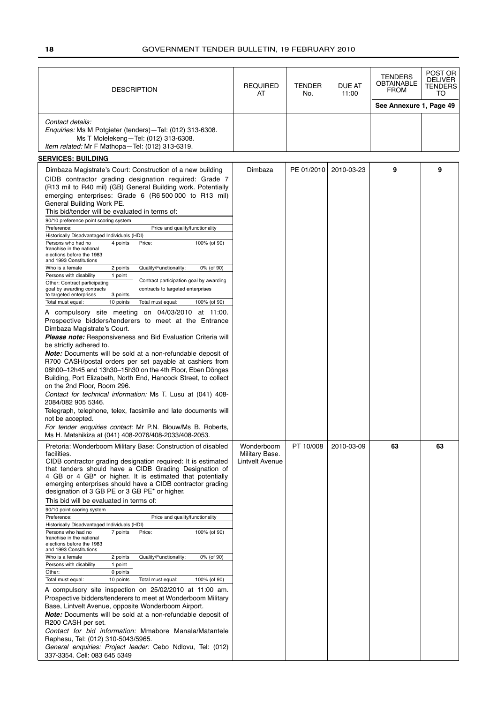| <b>DESCRIPTION</b>                                                                                                                                                                                                                                                                                                                                                                                                                                                                                                                                                                                                                                                                                                                                                                                                                                                                                                                                                                                                                                                                                                                                                                                                                                                                                                                                                                                                                                                                                                                                                                                                                                                                                                                                                                                                                                 | <b>REQUIRED</b><br>AT                           | <b>TENDER</b><br>No. | <b>DUE AT</b><br>11:00 | <b>TENDERS</b><br><b>OBTAINABLE</b><br><b>FROM</b> | POST OR<br><b>DELIVER</b><br>TENDERS<br>TO |
|----------------------------------------------------------------------------------------------------------------------------------------------------------------------------------------------------------------------------------------------------------------------------------------------------------------------------------------------------------------------------------------------------------------------------------------------------------------------------------------------------------------------------------------------------------------------------------------------------------------------------------------------------------------------------------------------------------------------------------------------------------------------------------------------------------------------------------------------------------------------------------------------------------------------------------------------------------------------------------------------------------------------------------------------------------------------------------------------------------------------------------------------------------------------------------------------------------------------------------------------------------------------------------------------------------------------------------------------------------------------------------------------------------------------------------------------------------------------------------------------------------------------------------------------------------------------------------------------------------------------------------------------------------------------------------------------------------------------------------------------------------------------------------------------------------------------------------------------------|-------------------------------------------------|----------------------|------------------------|----------------------------------------------------|--------------------------------------------|
|                                                                                                                                                                                                                                                                                                                                                                                                                                                                                                                                                                                                                                                                                                                                                                                                                                                                                                                                                                                                                                                                                                                                                                                                                                                                                                                                                                                                                                                                                                                                                                                                                                                                                                                                                                                                                                                    |                                                 |                      |                        | See Annexure 1, Page 49                            |                                            |
| Contact details:<br>Enquiries: Ms M Potgieter (tenders) - Tel: (012) 313-6308.<br>Ms T Molelekeng-Tel: (012) 313-6308.<br>Item related: Mr F Mathopa-Tel: (012) 313-6319.                                                                                                                                                                                                                                                                                                                                                                                                                                                                                                                                                                                                                                                                                                                                                                                                                                                                                                                                                                                                                                                                                                                                                                                                                                                                                                                                                                                                                                                                                                                                                                                                                                                                          |                                                 |                      |                        |                                                    |                                            |
| <b>SERVICES: BUILDING</b>                                                                                                                                                                                                                                                                                                                                                                                                                                                                                                                                                                                                                                                                                                                                                                                                                                                                                                                                                                                                                                                                                                                                                                                                                                                                                                                                                                                                                                                                                                                                                                                                                                                                                                                                                                                                                          |                                                 |                      |                        |                                                    |                                            |
| Dimbaza Magistrate's Court: Construction of a new building<br>CIDB contractor grading designation required: Grade 7<br>(R13 mil to R40 mil) (GB) General Building work. Potentially<br>emerging enterprises: Grade 6 (R6 500 000 to R13 mil)<br>General Building Work PE.<br>This bid/tender will be evaluated in terms of:<br>90/10 preference point scoring system<br>Preference:<br>Price and quality/functionality<br>Historically Disadvantaged Individuals (HDI)<br>Persons who had no<br>4 points<br>Price:<br>100% (of 90)<br>franchise in the national<br>elections before the 1983<br>and 1993 Constitutions<br>Quality/Functionality:<br>Who is a female<br>2 points<br>0% (of 90)<br>Persons with disability<br>1 point<br>Contract participation goal by awarding<br>Other: Contract participating<br>goal by awarding contracts<br>contracts to targeted enterprises<br>to targeted enterprises<br>3 points<br>10 points<br>Total must equal:<br>Total must equal:<br>100% (of 90)<br>A compulsory site meeting on 04/03/2010 at 11:00.<br>Prospective bidders/tenderers to meet at the Entrance<br>Dimbaza Magistrate's Court.<br><b>Please note:</b> Responsiveness and Bid Evaluation Criteria will<br>be strictly adhered to.<br><b>Note:</b> Documents will be sold at a non-refundable deposit of<br>R700 CASH/postal orders per set payable at cashiers from<br>08h00-12h45 and 13h30-15h30 on the 4th Floor, Eben Dönges<br>Building, Port Elizabeth, North End, Hancock Street, to collect<br>on the 2nd Floor, Room 296.<br>Contact for technical information: Ms T. Lusu at (041) 408-<br>2084/082 905 5346.<br>Telegraph, telephone, telex, facsimile and late documents will<br>not be accepted.<br>For tender enquiries contact: Mr P.N. Blouw/Ms B. Roberts,<br>Ms H. Matshikiza at (041) 408-2076/408-2033/408-2053. | Dimbaza                                         | PE 01/2010           | 2010-03-23             | 9                                                  | 9                                          |
| Pretoria: Wonderboom Military Base: Construction of disabled<br>facilities.<br>CIDB contractor grading designation required: It is estimated<br>that tenders should have a CIDB Grading Designation of<br>4 GB or 4 GB* or higher. It is estimated that potentially<br>emerging enterprises should have a CIDB contractor grading<br>designation of 3 GB PE or 3 GB PE* or higher.<br>This bid will be evaluated in terms of:<br>90/10 point scoring system<br>Price and quality/functionality<br>Preference:<br>Historically Disadvantaged Individuals (HDI)<br>Persons who had no<br>7 points<br>Price:<br>100% (of 90)<br>franchise in the national<br>elections before the 1983<br>and 1993 Constitutions<br>0% (of 90)<br>Who is a female<br>2 points<br>Quality/Functionality:<br>Persons with disability<br>1 point<br>Other:<br>0 points<br>Total must equal:<br>10 points<br>Total must equal:<br>100% (of 90)<br>A compulsory site inspection on 25/02/2010 at 11:00 am.<br>Prospective bidders/tenderers to meet at Wonderboom Military<br>Base, Lintvelt Avenue, opposite Wonderboom Airport.<br>Note: Documents will be sold at a non-refundable deposit of<br>R200 CASH per set.<br>Contact for bid information: Mmabore Manala/Matantele<br>Raphesu, Tel: (012) 310-5043/5965.<br>General enquiries: Project leader: Cebo Ndlovu, Tel: (012)<br>337-3354. Cell: 083 645 5349                                                                                                                                                                                                                                                                                                                                                                                                                                                        | Wonderboom<br>Military Base.<br>Lintvelt Avenue | PT 10/008            | 2010-03-09             | 63                                                 | 63                                         |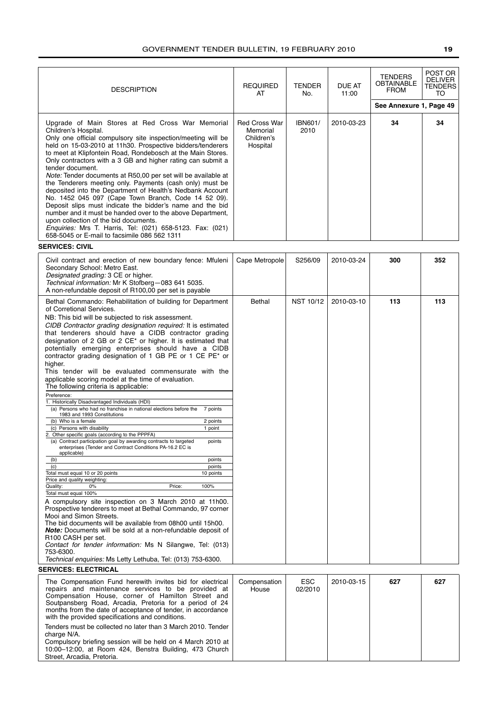| <b>DESCRIPTION</b>                                                                                                                                                                                                                                                                                                                                                                                                                                                                                                                                                                                                                                                                                                                                                                                                                                                                                                                                                                                                                                                                                                                                                                                                                                                                                                                                                                                                                                                                                                                                                                                                                                                                                                                                        | <b>REQUIRED</b><br>AT                                      | <b>TENDER</b><br>No.   | DUE AT<br>11:00 | <b>TENDERS</b><br><b>OBTAINABLE</b><br><b>FROM</b> | POST OR<br><b>DELIVER</b><br>TENDERS<br>TO |
|-----------------------------------------------------------------------------------------------------------------------------------------------------------------------------------------------------------------------------------------------------------------------------------------------------------------------------------------------------------------------------------------------------------------------------------------------------------------------------------------------------------------------------------------------------------------------------------------------------------------------------------------------------------------------------------------------------------------------------------------------------------------------------------------------------------------------------------------------------------------------------------------------------------------------------------------------------------------------------------------------------------------------------------------------------------------------------------------------------------------------------------------------------------------------------------------------------------------------------------------------------------------------------------------------------------------------------------------------------------------------------------------------------------------------------------------------------------------------------------------------------------------------------------------------------------------------------------------------------------------------------------------------------------------------------------------------------------------------------------------------------------|------------------------------------------------------------|------------------------|-----------------|----------------------------------------------------|--------------------------------------------|
|                                                                                                                                                                                                                                                                                                                                                                                                                                                                                                                                                                                                                                                                                                                                                                                                                                                                                                                                                                                                                                                                                                                                                                                                                                                                                                                                                                                                                                                                                                                                                                                                                                                                                                                                                           |                                                            |                        |                 | See Annexure 1, Page 49                            |                                            |
| Upgrade of Main Stores at Red Cross War Memorial<br>Children's Hospital.<br>Only one official compulsory site inspection/meeting will be<br>held on 15-03-2010 at 11h30. Prospective bidders/tenderers<br>to meet at Klipfontein Road, Rondebosch at the Main Stores.<br>Only contractors with a 3 GB and higher rating can submit a<br>tender document.<br>Note: Tender documents at R50,00 per set will be available at<br>the Tenderers meeting only. Payments (cash only) must be<br>deposited into the Department of Health's Nedbank Account<br>No. 1452 045 097 (Cape Town Branch, Code 14 52 09).<br>Deposit slips must indicate the bidder's name and the bid<br>number and it must be handed over to the above Department,<br>upon collection of the bid documents.<br>Enquiries: Mrs T. Harris, Tel: (021) 658-5123. Fax: (021)<br>658-5045 or E-mail to facsimile 086 562 1311                                                                                                                                                                                                                                                                                                                                                                                                                                                                                                                                                                                                                                                                                                                                                                                                                                                                | <b>Red Cross War</b><br>Memorial<br>Children's<br>Hospital | <b>IBN601/</b><br>2010 | 2010-03-23      | 34                                                 | 34                                         |
| <b>SERVICES: CIVIL</b>                                                                                                                                                                                                                                                                                                                                                                                                                                                                                                                                                                                                                                                                                                                                                                                                                                                                                                                                                                                                                                                                                                                                                                                                                                                                                                                                                                                                                                                                                                                                                                                                                                                                                                                                    |                                                            |                        |                 |                                                    |                                            |
| Civil contract and erection of new boundary fence: Mfuleni<br>Secondary School: Metro East.<br>Designated grading: 3 CE or higher.<br>Technical information: Mr K Stofberg-083 641 5035.<br>A non-refundable deposit of R100,00 per set is payable                                                                                                                                                                                                                                                                                                                                                                                                                                                                                                                                                                                                                                                                                                                                                                                                                                                                                                                                                                                                                                                                                                                                                                                                                                                                                                                                                                                                                                                                                                        | Cape Metropole                                             | S256/09                | 2010-03-24      | 300                                                | 352                                        |
| Bethal Commando: Rehabilitation of building for Department<br>of Corretional Services.<br>NB: This bid will be subjected to risk assessment.<br>CIDB Contractor grading designation required: It is estimated<br>that tenderers should have a CIDB contractor grading<br>designation of 2 GB or 2 CE* or higher. It is estimated that<br>potentially emerging enterprises should have a CIDB<br>contractor grading designation of 1 GB PE or 1 CE PE* or<br>higher.<br>This tender will be evaluated commensurate with the<br>applicable scoring model at the time of evaluation.<br>The following criteria is applicable:<br>Preference:<br>1. Historically Disadvantaged Individuals (HDI)<br>(a) Persons who had no franchise in national elections before the 7 points<br>1983 and 1993 Constitutions<br>(b) Who is a female<br>2 points<br>1 point<br>(c) Persons with disability<br>2. Other specific goals (according to the PPPFA)<br>(a) Contract participation goal by awarding contracts to targeted<br>points<br>enterprises (Tender and Contract Conditions PA-16.2 EC is<br>applicable)<br>(b)<br>points<br>(c)<br>points<br>Total must equal 10 or 20 points<br>10 points<br>Price and quality weighting:<br>Quality:<br>100%<br>0%<br>Price:<br>Total must equal 100%<br>A compulsory site inspection on 3 March 2010 at 11h00.<br>Prospective tenderers to meet at Bethal Commando, 97 corner<br>Mooi and Simon Streets.<br>The bid documents will be available from 08h00 until 15h00.<br><b>Note:</b> Documents will be sold at a non-refundable deposit of<br>R <sub>100</sub> CASH per set.<br>Contact for tender information: Ms N Silangwe, Tel: (013)<br>753-6300.<br>Technical enquiries: Ms Letty Lethuba, Tel: (013) 753-6300. | <b>Bethal</b>                                              | <b>NST 10/12</b>       | 2010-03-10      | 113                                                | 113                                        |
| <b>SERVICES: ELECTRICAL</b>                                                                                                                                                                                                                                                                                                                                                                                                                                                                                                                                                                                                                                                                                                                                                                                                                                                                                                                                                                                                                                                                                                                                                                                                                                                                                                                                                                                                                                                                                                                                                                                                                                                                                                                               |                                                            |                        |                 |                                                    |                                            |
| The Compensation Fund herewith invites bid for electrical<br>repairs and maintenance services to be provided at<br>Compensation House, corner of Hamilton Street and<br>Soutpansberg Road, Arcadia, Pretoria for a period of 24<br>months from the date of acceptance of tender, in accordance<br>with the provided specifications and conditions.                                                                                                                                                                                                                                                                                                                                                                                                                                                                                                                                                                                                                                                                                                                                                                                                                                                                                                                                                                                                                                                                                                                                                                                                                                                                                                                                                                                                        | Compensation<br>House                                      | <b>ESC</b><br>02/2010  | 2010-03-15      | 627                                                | 627                                        |

Tenders must be collected no later than 3 March 2010. Tender charge N/A. Compulsory briefing session will be held on 4 March 2010 at

10:00–12:00, at Room 424, Benstra Building, 473 Church Street, Arcadia, Pretoria.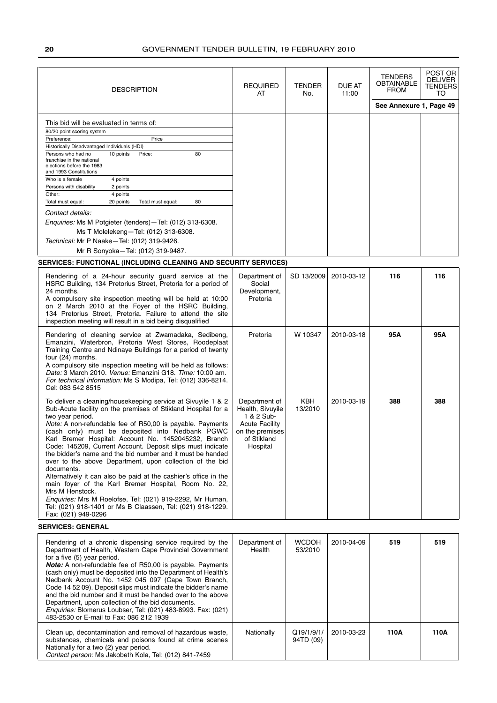| <b>DESCRIPTION</b>                                                                                                                                                                                                                                                                                                                                                                                                                                                                                                                                                                                                                                                                                                                                                                                                               | <b>REQUIRED</b><br>TENDER<br>AT<br>No.                                                                                 | DUE AT<br>11:00         | TENDERS<br><b>OBTAINABLE</b><br><b>FROM</b> | POST OR<br><b>DELIVER</b><br><b>TENDERS</b><br>TO |      |
|----------------------------------------------------------------------------------------------------------------------------------------------------------------------------------------------------------------------------------------------------------------------------------------------------------------------------------------------------------------------------------------------------------------------------------------------------------------------------------------------------------------------------------------------------------------------------------------------------------------------------------------------------------------------------------------------------------------------------------------------------------------------------------------------------------------------------------|------------------------------------------------------------------------------------------------------------------------|-------------------------|---------------------------------------------|---------------------------------------------------|------|
|                                                                                                                                                                                                                                                                                                                                                                                                                                                                                                                                                                                                                                                                                                                                                                                                                                  |                                                                                                                        |                         |                                             | See Annexure 1, Page 49                           |      |
| This bid will be evaluated in terms of:<br>80/20 point scoring system<br>Price<br>Preference:<br>Historically Disadvantaged Individuals (HDI)<br>Persons who had no<br>10 points<br>Price:<br>80<br>franchise in the national<br>elections before the 1983<br>and 1993 Constitutions<br>Who is a female<br>4 points<br>2 points<br>Persons with disability<br>4 points<br>Other:<br>Total must equal:<br>20 points<br>Total must equal:<br>80<br>Contact details:<br>Enquiries: Ms M Potgieter (tenders)-Tel: (012) 313-6308.<br>Ms T Molelekeng-Tel: (012) 313-6308.<br>Technical: Mr P Naake-Tel: (012) 319-9426.<br>Mr R Sonyoka-Tel: (012) 319-9487.                                                                                                                                                                         |                                                                                                                        |                         |                                             |                                                   |      |
| SERVICES: FUNCTIONAL (INCLUDING CLEANING AND SECURITY SERVICES)                                                                                                                                                                                                                                                                                                                                                                                                                                                                                                                                                                                                                                                                                                                                                                  |                                                                                                                        |                         |                                             |                                                   |      |
| Rendering of a 24-hour security guard service at the<br>HSRC Building, 134 Pretorius Street, Pretoria for a period of<br>24 months.<br>A compulsory site inspection meeting will be held at 10:00<br>on 2 March 2010 at the Foyer of the HSRC Building,<br>134 Pretorius Street, Pretoria. Failure to attend the site<br>inspection meeting will result in a bid being disqualified                                                                                                                                                                                                                                                                                                                                                                                                                                              | Department of<br>Social<br>Development,<br>Pretoria                                                                    | SD 13/2009              | 2010-03-12                                  | 116                                               | 116  |
| Rendering of cleaning service at Zwamadaka, Sedibeng,<br>Emanzini, Waterbron, Pretoria West Stores, Roodeplaat<br>Training Centre and Ndinaye Buildings for a period of twenty<br>four (24) months.<br>A compulsory site inspection meeting will be held as follows:<br>Date: 3 March 2010. Venue: Emanzini G18. Time: 10:00 am.<br>For technical information: Ms S Modipa, Tel: (012) 336-8214.<br>Cel: 083 542 8515                                                                                                                                                                                                                                                                                                                                                                                                            | Pretoria                                                                                                               | W 10347                 | 2010-03-18                                  | 95A                                               | 95A  |
| To deliver a cleaning/housekeeping service at Sivuyile 1 & 2<br>Sub-Acute facility on the premises of Stikland Hospital for a<br>two year period.<br>Note: A non-refundable fee of R50,00 is payable. Payments<br>(cash only) must be deposited into Nedbank PGWC<br>Karl Bremer Hospital: Account No. 1452045232, Branch<br>Code: 145209, Current Account. Deposit slips must indicate<br>the bidder's name and the bid number and it must be handed<br>over to the above Department, upon collection of the bid<br>documents.<br>Alternatively it can also be paid at the cashier's office in the<br>main foyer of the Karl Bremer Hospital, Room No. 22,<br>Mrs M Henstock.<br>Enquiries: Mrs M Roelofse, Tel: (021) 919-2292, Mr Human,<br>Tel: (021) 918-1401 or Ms B Claassen, Tel: (021) 918-1229.<br>Fax: (021) 949-0296 | Department of<br>Health, Sivuyile<br>1 & 2 Sub-<br><b>Acute Facility</b><br>on the premises<br>of Stikland<br>Hospital | KBH<br>13/2010          | 2010-03-19                                  | 388                                               | 388  |
| <b>SERVICES: GENERAL</b>                                                                                                                                                                                                                                                                                                                                                                                                                                                                                                                                                                                                                                                                                                                                                                                                         |                                                                                                                        |                         |                                             |                                                   |      |
| Rendering of a chronic dispensing service required by the<br>Department of Health, Western Cape Provincial Government<br>for a five (5) year period.<br><b>Note:</b> A non-refundable fee of R50,00 is payable. Payments<br>(cash only) must be deposited into the Department of Health's<br>Nedbank Account No. 1452 045 097 (Cape Town Branch,<br>Code 14 52 09). Deposit slips must indicate the bidder's name<br>and the bid number and it must be handed over to the above<br>Department, upon collection of the bid documents.<br>Enquiries: Blomerus Loubser, Tel: (021) 483-8993. Fax: (021)<br>483-2530 or E-mail to Fax: 086 212 1939                                                                                                                                                                                  | Department of<br>Health                                                                                                | <b>WCDOH</b><br>53/2010 | 2010-04-09                                  | 519                                               | 519  |
| Clean up, decontamination and removal of hazardous waste,<br>substances, chemicals and poisons found at crime scenes<br>Nationally for a two (2) year period.<br>Contact person: Ms Jakobeth Kola, Tel: (012) 841-7459                                                                                                                                                                                                                                                                                                                                                                                                                                                                                                                                                                                                           | Nationally                                                                                                             | Q19/1/9/1/<br>94TD (09) | 2010-03-23                                  | 110A                                              | 110A |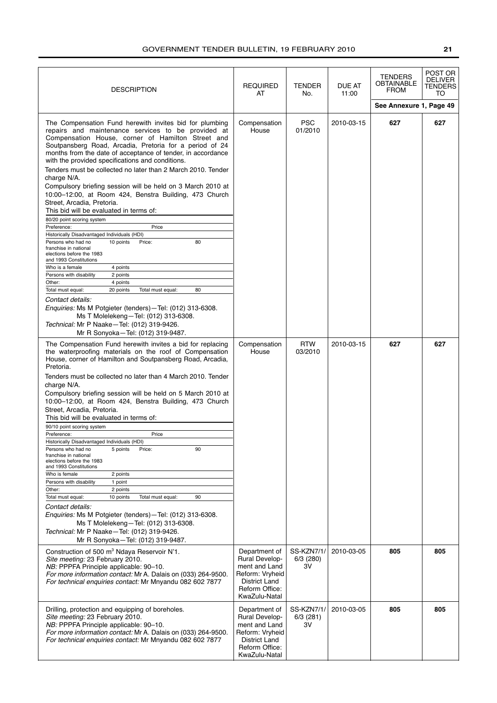| <b>DESCRIPTION</b>                                                                                                                                                                                                                                                                                                                                                                                                                                                                                                                                                                                                                                                                                                                                                                                                                                                                                                                                                                                                                                                                                                                                                                                                                                      | <b>REQUIRED</b><br>AT                                                                                                          | TENDER<br>No.                          | DUE AT<br>11:00 | <b>TENDERS</b><br><b>OBTAINABLE</b><br>FROM | POST OR<br><b>DELIVER</b><br>TENDERS<br>TO |
|---------------------------------------------------------------------------------------------------------------------------------------------------------------------------------------------------------------------------------------------------------------------------------------------------------------------------------------------------------------------------------------------------------------------------------------------------------------------------------------------------------------------------------------------------------------------------------------------------------------------------------------------------------------------------------------------------------------------------------------------------------------------------------------------------------------------------------------------------------------------------------------------------------------------------------------------------------------------------------------------------------------------------------------------------------------------------------------------------------------------------------------------------------------------------------------------------------------------------------------------------------|--------------------------------------------------------------------------------------------------------------------------------|----------------------------------------|-----------------|---------------------------------------------|--------------------------------------------|
|                                                                                                                                                                                                                                                                                                                                                                                                                                                                                                                                                                                                                                                                                                                                                                                                                                                                                                                                                                                                                                                                                                                                                                                                                                                         |                                                                                                                                |                                        |                 | See Annexure 1, Page 49                     |                                            |
| The Compensation Fund herewith invites bid for plumbing<br>repairs and maintenance services to be provided at<br>Compensation House, corner of Hamilton Street and<br>Soutpansberg Road, Arcadia, Pretoria for a period of 24<br>months from the date of acceptance of tender, in accordance<br>with the provided specifications and conditions.<br>Tenders must be collected no later than 2 March 2010. Tender<br>charge N/A.<br>Compulsory briefing session will be held on 3 March 2010 at<br>10:00-12:00, at Room 424, Benstra Building, 473 Church<br>Street, Arcadia, Pretoria.<br>This bid will be evaluated in terms of:<br>80/20 point scoring system<br>Preference:<br>Price<br>Historically Disadvantaged Individuals (HDI)<br>80<br>Persons who had no<br>10 points<br>Price:<br>franchise in national<br>elections before the 1983<br>and 1993 Constitutions<br>Who is a female<br>4 points<br>Persons with disability<br>2 points<br>Other:<br>4 points<br>Total must equal:<br>20 points<br>Total must equal:<br>80<br>Contact details:<br><i>Enquiries:</i> Ms M Potgieter (tenders) - Tel: (012) 313-6308.<br>Ms T Molelekeng-Tel: (012) 313-6308.<br>Technical: Mr P Naake-Tel: (012) 319-9426.<br>Mr R Sonyoka-Tel: (012) 319-9487. | Compensation<br>House                                                                                                          | <b>PSC</b><br>01/2010                  | 2010-03-15      | 627                                         | 627                                        |
| The Compensation Fund herewith invites a bid for replacing<br>the waterproofing materials on the roof of Compensation<br>House, corner of Hamilton and Soutpansberg Road, Arcadia,<br>Pretoria.<br>Tenders must be collected no later than 4 March 2010. Tender<br>charge N/A.<br>Compulsory briefing session will be held on 5 March 2010 at<br>10:00-12:00, at Room 424, Benstra Building, 473 Church<br>Street, Arcadia, Pretoria.<br>This bid will be evaluated in terms of:<br>90/10 point scoring system<br>Preference:<br>Price<br>Historically Disadvantaged Individuals (HDI)<br>5 points<br>90<br>Persons who had no<br>Price:<br>franchise in national<br>elections before the 1983<br>and 1993 Constitutions<br>Who is female<br>2 points<br>Persons with disability<br>1 point<br>Other:<br>2 points<br>Total must equal:<br>10 points<br>Total must equal:<br>90<br>Contact details:<br><i>Enquiries:</i> Ms M Potgieter (tenders) - Tel: (012) 313-6308.<br>Ms T Molelekeng-Tel: (012) 313-6308.<br>Technical: Mr P Naake-Tel: (012) 319-9426.<br>Mr R Sonyoka-Tel: (012) 319-9487.                                                                                                                                                      | Compensation<br>House                                                                                                          | <b>RTW</b><br>03/2010                  | 2010-03-15      | 627                                         | 627                                        |
| Construction of 500 m <sup>3</sup> Ndaya Reservoir N'1.<br>Site meeting: 23 February 2010.<br>NB: PPPFA Principle applicable: 90-10.<br>For more information contact: Mr A. Dalais on (033) 264-9500.<br>For technical enquiries contact: Mr Mnyandu 082 602 7877                                                                                                                                                                                                                                                                                                                                                                                                                                                                                                                                                                                                                                                                                                                                                                                                                                                                                                                                                                                       | Department of<br><b>Rural Develop-</b><br>ment and Land<br>Reform: Vryheid<br>District Land<br>Reform Office:<br>KwaZulu-Natal | <b>SS-KZN7/1/</b><br>6/3 (280)<br>3V   | 2010-03-05      | 805                                         | 805                                        |
| Drilling, protection and equipping of boreholes.<br>Site meeting: 23 February 2010.<br>NB: PPPFA Principle applicable: 90-10.<br>For more information contact: Mr A. Dalais on (033) 264-9500.<br>For technical enquiries contact: Mr Mnyandu 082 602 7877                                                                                                                                                                                                                                                                                                                                                                                                                                                                                                                                                                                                                                                                                                                                                                                                                                                                                                                                                                                              | Department of<br><b>Rural Develop-</b><br>ment and Land<br>Reform: Vryheid<br>District Land<br>Reform Office:<br>KwaZulu-Natal | <b>SS-KZN7/1/</b><br>$6/3$ (281)<br>зv | 2010-03-05      | 805                                         | 805                                        |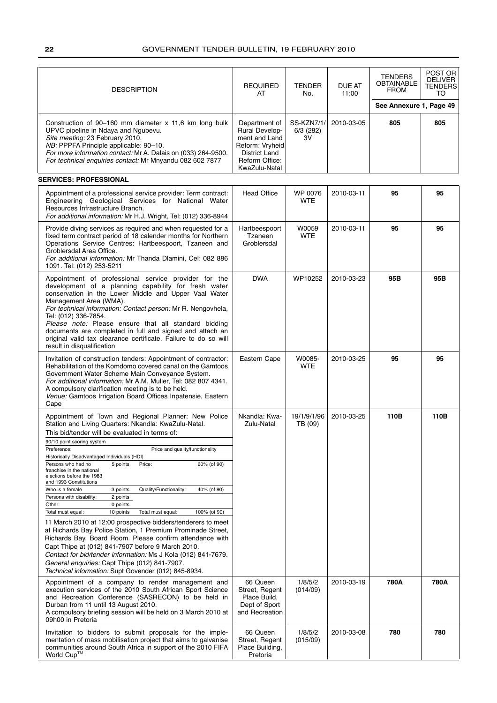| <b>DESCRIPTION</b>                                                                                                                                                                                                                                                                                                                                                                                                                                                                                                                                                                                                                                                                                                                                                                                                                                                                                                                                                                                                                                                                   | <b>REQUIRED</b><br>AT                                                                                                                 | <b>TENDER</b><br>No.          | <b>DUE AT</b><br>11:00 | <b>TENDERS</b><br><b>OBTAINABLE</b><br><b>FROM</b> | POST OR<br><b>DELIVER</b><br><b>TENDERS</b><br>TO |
|--------------------------------------------------------------------------------------------------------------------------------------------------------------------------------------------------------------------------------------------------------------------------------------------------------------------------------------------------------------------------------------------------------------------------------------------------------------------------------------------------------------------------------------------------------------------------------------------------------------------------------------------------------------------------------------------------------------------------------------------------------------------------------------------------------------------------------------------------------------------------------------------------------------------------------------------------------------------------------------------------------------------------------------------------------------------------------------|---------------------------------------------------------------------------------------------------------------------------------------|-------------------------------|------------------------|----------------------------------------------------|---------------------------------------------------|
|                                                                                                                                                                                                                                                                                                                                                                                                                                                                                                                                                                                                                                                                                                                                                                                                                                                                                                                                                                                                                                                                                      |                                                                                                                                       |                               |                        | See Annexure 1, Page 49                            |                                                   |
| Construction of 90–160 mm diameter $x$ 11,6 km long bulk<br>UPVC pipeline in Ndaya and Ngubevu.<br>Site meeting: 23 February 2010.<br>NB: PPPFA Principle applicable: 90-10.<br>For more information contact: Mr A. Dalais on (033) 264-9500.<br>For technical enquiries contact: Mr Mnyandu 082 602 7877<br><b>SERVICES: PROFESSIONAL</b>                                                                                                                                                                                                                                                                                                                                                                                                                                                                                                                                                                                                                                                                                                                                           | Department of<br><b>Rural Develop-</b><br>ment and Land<br>Reform: Vryheid<br><b>District Land</b><br>Reform Office:<br>KwaZulu-Natal | SS-KZN7/1/<br>6/3 (282)<br>3V | 2010-03-05             | 805                                                | 805                                               |
|                                                                                                                                                                                                                                                                                                                                                                                                                                                                                                                                                                                                                                                                                                                                                                                                                                                                                                                                                                                                                                                                                      |                                                                                                                                       |                               |                        |                                                    |                                                   |
| Appointment of a professional service provider: Term contract:<br>Engineering Geological Services for National Water<br>Resources Infrastructure Branch.<br>For additional information: Mr H.J. Wright, Tel: (012) 336-8944                                                                                                                                                                                                                                                                                                                                                                                                                                                                                                                                                                                                                                                                                                                                                                                                                                                          | <b>Head Office</b>                                                                                                                    | WP 0076<br><b>WTE</b>         | 2010-03-11             | 95                                                 | 95                                                |
| Provide diving services as required and when requested for a<br>fixed term contract period of 18 calender months for Northern<br>Operations Service Centres: Hartbeespoort, Tzaneen and<br>Groblersdal Area Office.<br>For additional information: Mr Thanda Dlamini, Cel: 082 886<br>1091. Tel: (012) 253-5211                                                                                                                                                                                                                                                                                                                                                                                                                                                                                                                                                                                                                                                                                                                                                                      | Hartbeespoort<br>Tzaneen<br>Groblersdal                                                                                               | W0059<br><b>WTE</b>           | 2010-03-11             | 95                                                 | 95                                                |
| Appointment of professional service provider for the<br>development of a planning capability for fresh water<br>conservation in the Lower Middle and Upper Vaal Water<br>Management Area (WMA).<br>For technical information: Contact person: Mr R. Nengovhela,<br>Tel: (012) 336-7854.<br>Please note: Please ensure that all standard bidding<br>documents are completed in full and signed and attach an<br>original valid tax clearance certificate. Failure to do so will<br>result in disqualification                                                                                                                                                                                                                                                                                                                                                                                                                                                                                                                                                                         | <b>DWA</b>                                                                                                                            | WP10252                       | 2010-03-23             | 95B                                                | 95B                                               |
| Invitation of construction tenders: Appointment of contractor:<br>Rehabilitation of the Komdomo covered canal on the Gamtoos<br>Government Water Scheme Main Conveyance System.<br>For additional information: Mr A.M. Muller, Tel: 082 807 4341.<br>A compulsory clarification meeting is to be held.<br>Venue: Gamtoos Irrigation Board Offices Inpatensie, Eastern<br>Cape                                                                                                                                                                                                                                                                                                                                                                                                                                                                                                                                                                                                                                                                                                        | Eastern Cape                                                                                                                          | W0085-<br><b>WTE</b>          | 2010-03-25             | 95                                                 | 95                                                |
| Appointment of Town and Regional Planner: New Police<br>Station and Living Quarters: Nkandla: KwaZulu-Natal.<br>This bid/tender will be evaluated in terms of:<br>90/10 point scoring system<br>Price and quality/functionality<br>Preference:<br>Historically Disadvantaged Individuals (HDI)<br>60% (of 90)<br>Persons who had no<br>5 points<br>Price:<br>franchise in the national<br>elections before the 1983<br>and 1993 Constitutions<br>Quality/Functionality:<br>Who is a female<br>3 points<br>40% (of 90)<br>Persons with disability:<br>2 points<br>0 points<br>Other:<br>Total must equal:<br>10 points<br>Total must equal:<br>100% (of 90)<br>11 March 2010 at 12:00 prospective bidders/tenderers to meet<br>at Richards Bay Police Station, 1 Premium Prominade Street,<br>Richards Bay, Board Room. Please confirm attendance with<br>Capt Thipe at (012) 841-7907 before 9 March 2010.<br>Contact for bid/tender information: Ms J Kola (012) 841-7679.<br>General enguiries: Capt Thipe (012) 841-7907.<br>Technical information: Supt Govender (012) 845-8934. | Nkandla: Kwa-<br>Zulu-Natal                                                                                                           | 19/1/9/1/96<br>TB (09)        | 2010-03-25             | 110B                                               | 110B                                              |
| Appointment of a company to render management and<br>execution services of the 2010 South African Sport Science<br>and Recreation Conference (SASRECON) to be held in<br>Durban from 11 until 13 August 2010.<br>A compulsory briefing session will be held on 3 March 2010 at<br>09h00 in Pretoria                                                                                                                                                                                                                                                                                                                                                                                                                                                                                                                                                                                                                                                                                                                                                                                  | 66 Queen<br>Street, Regent<br>Place Build,<br>Dept of Sport<br>and Recreation                                                         | 1/8/5/2<br>(014/09)           | 2010-03-19             | 780A                                               | 780A                                              |
| Invitation to bidders to submit proposals for the imple-<br>mentation of mass mobilisation project that aims to galvanise<br>communities around South Africa in support of the 2010 FIFA<br>World Cup™                                                                                                                                                                                                                                                                                                                                                                                                                                                                                                                                                                                                                                                                                                                                                                                                                                                                               | 66 Queen<br>Street, Regent<br>Place Building,<br>Pretoria                                                                             | 1/8/5/2<br>(015/09)           | 2010-03-08             | 780                                                | 780                                               |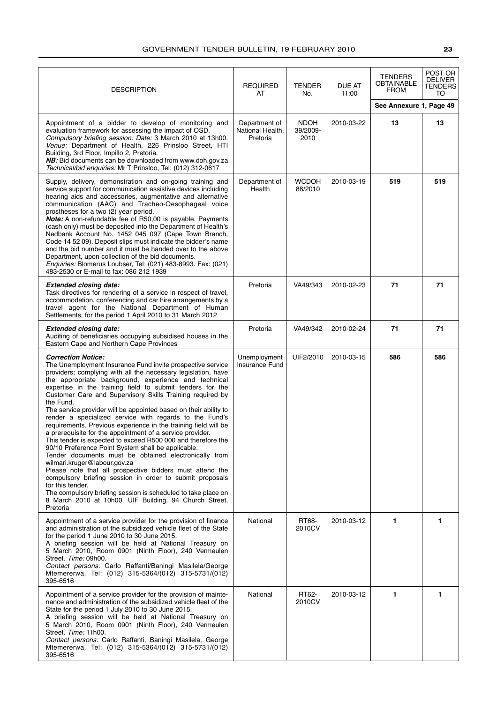| <b>DESCRIPTION</b>                                                                                                                                                                                                                                                                                                                                                                                                                                                                                                                                                                                                                                                                                                                                                                                                                                                                                                                                                                                                                                                                                                       | <b>REQUIRED</b><br>AT                         | <b>TENDER</b><br>No.            | DUE AT<br>11:00 | <b>TENDERS</b><br>OBTAINABLE<br>FROM | POST OR<br><b>DELIVER</b><br>TENDERS<br>TO |
|--------------------------------------------------------------------------------------------------------------------------------------------------------------------------------------------------------------------------------------------------------------------------------------------------------------------------------------------------------------------------------------------------------------------------------------------------------------------------------------------------------------------------------------------------------------------------------------------------------------------------------------------------------------------------------------------------------------------------------------------------------------------------------------------------------------------------------------------------------------------------------------------------------------------------------------------------------------------------------------------------------------------------------------------------------------------------------------------------------------------------|-----------------------------------------------|---------------------------------|-----------------|--------------------------------------|--------------------------------------------|
|                                                                                                                                                                                                                                                                                                                                                                                                                                                                                                                                                                                                                                                                                                                                                                                                                                                                                                                                                                                                                                                                                                                          |                                               |                                 |                 | See Annexure 1, Page 49              |                                            |
| Appointment of a bidder to develop of monitoring and<br>evaluation framework for assessing the impact of OSD.<br>Compulsory briefing session: Date: 3 March 2010 at 13h00.<br>Venue: Department of Health, 226 Prinsloo Street, HTI<br>Building, 3rd Floor, Impillo 2, Pretoria.<br>NB: Bid documents can be downloaded from www.doh.gov.za<br>Technical/bid enquiries: Mr T Prinsloo, Tel: (012) 312-0617                                                                                                                                                                                                                                                                                                                                                                                                                                                                                                                                                                                                                                                                                                               | Department of<br>National Health,<br>Pretoria | <b>NDOH</b><br>39/2009-<br>2010 | 2010-03-22      | 13                                   | 13                                         |
| Supply, delivery, demonstration and on-going training and<br>service support for communication assistive devices including<br>hearing aids and accessories, augmentative and alternative<br>communication (AAC) and Tracheo-Oesophageal voice<br>prostheses for a two (2) year period.<br><b>Note:</b> A non-refundable fee of R50,00 is payable. Payments<br>(cash only) must be deposited into the Department of Health's<br>Nedbank Account No. 1452 045 097 (Cape Town Branch,<br>Code 14 52 09). Deposit slips must indicate the bidder's name<br>and the bid number and it must be handed over to the above<br>Department, upon collection of the bid documents.<br>Enquiries: Blomerus Loubser, Tel: (021) 483-8993. Fax: (021)<br>483-2530 or E-mail to fax: 086 212 1939                                                                                                                                                                                                                                                                                                                                        | Department of<br>Health                       | <b>WCDOH</b><br>88/2010         | 2010-03-19      | 519                                  | 519                                        |
| <b>Extended closing date:</b><br>Task directives for rendering of a service in respect of travel,<br>accommodation, conferencing and car hire arrangements by a<br>travel agent for the National Department of Human<br>Settlements, for the period 1 April 2010 to 31 March 2012                                                                                                                                                                                                                                                                                                                                                                                                                                                                                                                                                                                                                                                                                                                                                                                                                                        | Pretoria                                      | VA49/343                        | 2010-02-23      | 71                                   | 71                                         |
| <b>Extended closing date:</b><br>Auditing of beneficiaries occupying subsidised houses in the<br>Eastern Cape and Northern Cape Provinces                                                                                                                                                                                                                                                                                                                                                                                                                                                                                                                                                                                                                                                                                                                                                                                                                                                                                                                                                                                | Pretoria                                      | VA49/342                        | 2010-02-24      | 71                                   | 71                                         |
| <b>Correction Notice:</b><br>The Unemployment Insurance Fund invite prospective service<br>providers; complying with all the necessary legislation, have<br>the appropriate background, experience and technical<br>expertise in the training field to submit tenders for the<br>Customer Care and Supervisory Skills Training required by<br>the Fund.<br>The service provider will be appointed based on their ability to<br>render a specialized service with regards to the Fund's<br>requirements. Previous experience in the training field will be<br>a prerequisite for the appointment of a service provider.<br>This tender is expected to exceed R500 000 and therefore the<br>90/10 Preference Point System shall be applicable.<br>Tender documents must be obtained electronically from<br>wilmari.kruger@labour.gov.za<br>Please note that all prospective bidders must attend the<br>compulsory briefing session in order to submit proposals<br>for this tender.<br>The compulsory briefing session is scheduled to take place on<br>8 March 2010 at 10h00, UIF Building, 94 Church Street,<br>Pretoria | Unemployment<br>Insurance Fund                | UIF2/2010                       | 2010-03-15      | 586                                  | 586                                        |
| Appointment of a service provider for the provision of finance<br>and administration of the subsidized vehicle fleet of the State<br>for the period 1 June 2010 to 30 June 2015.<br>A briefing session will be held at National Treasury on<br>5 March 2010, Room 0901 (Ninth Floor), 240 Vermeulen<br>Street. Time: 09h00.<br>Contact persons: Carlo Raffanti/Baningi Masilela/George<br>Mtemererwa, Tel: (012) 315-5364/(012) 315-5731/(012)<br>395-6516                                                                                                                                                                                                                                                                                                                                                                                                                                                                                                                                                                                                                                                               | National                                      | RT68-<br>2010CV                 | 2010-03-12      | 1                                    | 1.                                         |
| Appointment of a service provider for the provision of mainte-<br>nance and administration of the subsidized vehicle fleet of the<br>State for the period 1 July 2010 to 30 June 2015.<br>A briefing session will be held at National Treasury on<br>5 March 2010, Room 0901 (Ninth Floor), 240 Vermeulen<br>Street. Time: 11h00.<br>Contact persons: Carlo Raffanti, Baningi Masilela, George<br>Mtemererwa, Tel: (012) 315-5364/(012) 315-5731/(012)<br>395-6516                                                                                                                                                                                                                                                                                                                                                                                                                                                                                                                                                                                                                                                       | National                                      | RT62-<br>2010CV                 | 2010-03-12      | $\mathbf{1}$                         | 1                                          |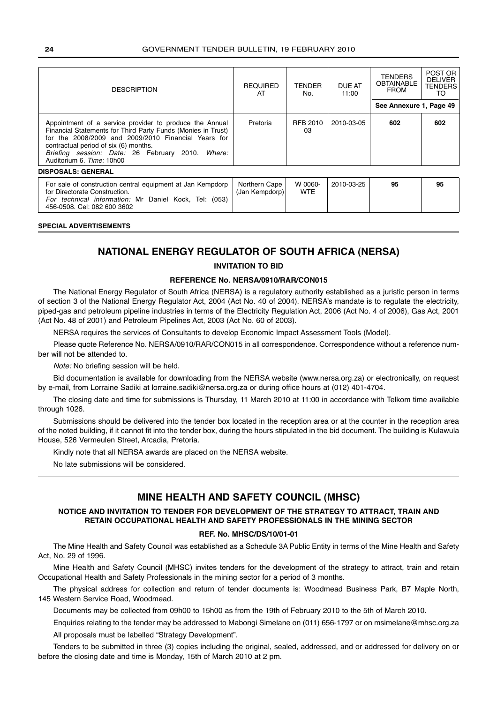| <b>DESCRIPTION</b>                                                                                                                                                                                                                                                                                       | <b>REQUIRED</b><br>AT           | TENDER<br>No.         | DUE AT<br>11:00 | <b>TENDERS</b><br><b>OBTAINABLE</b><br><b>FROM</b> | POST OR<br><b>DELIVER</b><br><b>TENDERS</b><br>TO |
|----------------------------------------------------------------------------------------------------------------------------------------------------------------------------------------------------------------------------------------------------------------------------------------------------------|---------------------------------|-----------------------|-----------------|----------------------------------------------------|---------------------------------------------------|
|                                                                                                                                                                                                                                                                                                          |                                 |                       |                 | See Annexure 1, Page 49                            |                                                   |
| Appointment of a service provider to produce the Annual<br>Financial Statements for Third Party Funds (Monies in Trust)<br>for the 2008/2009 and 2009/2010 Financial Years for<br>contractual period of six (6) months.<br>Briefing session: Date: 26 February 2010. Where:<br>Auditorium 6. Time: 10h00 | Pretoria                        | RFB 2010<br>03        | 2010-03-05      | 602                                                | 602                                               |
| <b>DISPOSALS: GENERAL</b>                                                                                                                                                                                                                                                                                |                                 |                       |                 |                                                    |                                                   |
| For sale of construction central equipment at Jan Kempdorp<br>for Directorate Construction.<br>For technical information: Mr Daniel Kock, Tel: (053)<br>456-0508, Cel: 082 600 3602                                                                                                                      | Northern Cape<br>(Jan Kempdorp) | W 0060-<br><b>WTE</b> | 2010-03-25      | 95                                                 | 95                                                |

### **SPECIAL ADVERTISEMENTS**

### **NATIONAL ENERGY REGULATOR OF SOUTH AFRICA (NERSA)**

### **INVITATION TO BID**

### **REFERENCE No. NERSA/0910/RAR/CON015**

The National Energy Regulator of South Africa (NERSA) is a regulatory authority established as a juristic person in terms of section 3 of the National Energy Regulator Act, 2004 (Act No. 40 of 2004). NERSA's mandate is to regulate the electricity, piped-gas and petroleum pipeline industries in terms of the Electricity Regulation Act, 2006 (Act No. 4 of 2006), Gas Act, 2001 (Act No. 48 of 2001) and Petroleum Pipelines Act, 2003 (Act No. 60 of 2003).

NERSA requires the services of Consultants to develop Economic Impact Assessment Tools (Model).

Please quote Reference No. NERSA/0910/RAR/CON015 in all correspondence. Correspondence without a reference number will not be attended to.

Note: No briefing session will be held.

Bid documentation is available for downloading from the NERSA website (www.nersa.org.za) or electronically, on request by e-mail, from Lorraine Sadiki at lorraine.sadiki@nersa.org.za or during office hours at (012) 401-4704.

The closing date and time for submissions is Thursday, 11 March 2010 at 11:00 in accordance with Telkom time available through 1026.

Submissions should be delivered into the tender box located in the reception area or at the counter in the reception area of the noted building, if it cannot fit into the tender box, during the hours stipulated in the bid document. The building is Kulawula House, 526 Vermeulen Street, Arcadia, Pretoria.

Kindly note that all NERSA awards are placed on the NERSA website.

No late submissions will be considered.

### **MINE HEALTH AND SAFETY COUNCIL (MHSC)**

### **NOTICE AND INVITATION TO TENDER FOR DEVELOPMENT OF THE STRATEGY TO ATTRACT, TRAIN AND RETAIN OCCUPATIONAL HEALTH AND SAFETY PROFESSIONALS IN THE MINING SECTOR**

### **REF. No. MHSC/DS/10/01-01**

The Mine Health and Safety Council was established as a Schedule 3A Public Entity in terms of the Mine Health and Safety Act, No. 29 of 1996.

Mine Health and Safety Council (MHSC) invites tenders for the development of the strategy to attract, train and retain Occupational Health and Safety Professionals in the mining sector for a period of 3 months.

The physical address for collection and return of tender documents is: Woodmead Business Park, B7 Maple North, 145 Western Service Road, Woodmead.

Documents may be collected from 09h00 to 15h00 as from the 19th of February 2010 to the 5th of March 2010.

Enquiries relating to the tender may be addressed to Mabongi Simelane on (011) 656-1797 or on msimelane@mhsc.org.za

All proposals must be labelled "Strategy Development".

Tenders to be submitted in three (3) copies including the original, sealed, addressed, and or addressed for delivery on or before the closing date and time is Monday, 15th of March 2010 at 2 pm.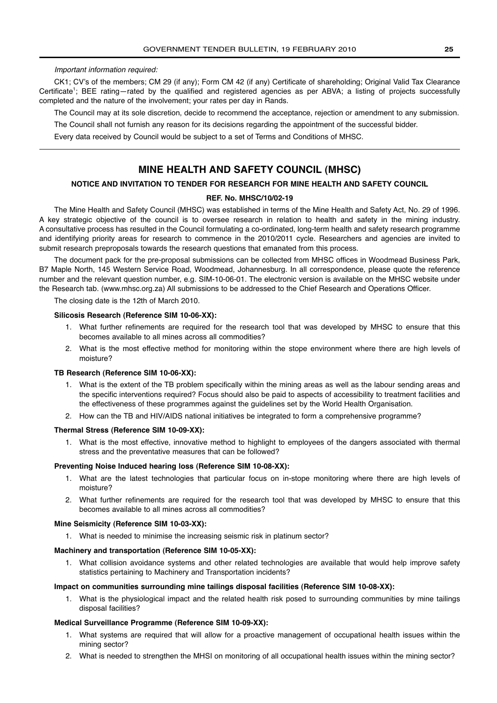### Important information required:

CK1; CV's of the members; CM 29 (if any); Form CM 42 (if any) Certificate of shareholding; Original Valid Tax Clearance Certificate<sup>1</sup>; BEE rating—rated by the qualified and registered agencies as per ABVA; a listing of projects successfully completed and the nature of the involvement; your rates per day in Rands.

The Council may at its sole discretion, decide to recommend the acceptance, rejection or amendment to any submission.

The Council shall not furnish any reason for its decisions regarding the appointment of the successful bidder.

Every data received by Council would be subject to a set of Terms and Conditions of MHSC.

### **MINE HEALTH AND SAFETY COUNCIL (MHSC)**

### **NOTICE AND INVITATION TO TENDER FOR RESEARCH FOR MINE HEALTH AND SAFETY COUNCIL**

### **REF. No. MHSC/10/02-19**

The Mine Health and Safety Council (MHSC) was established in terms of the Mine Health and Safety Act, No. 29 of 1996. A key strategic objective of the council is to oversee research in relation to health and safety in the mining industry. A consultative process has resulted in the Council formulating a co-ordinated, long-term health and safety research programme and identifying priority areas for research to commence in the 2010/2011 cycle. Researchers and agencies are invited to submit research preproposals towards the research questions that emanated from this process.

The document pack for the pre-proposal submissions can be collected from MHSC offices in Woodmead Business Park, B7 Maple North, 145 Western Service Road, Woodmead, Johannesburg. In all correspondence, please quote the reference number and the relevant question number, e.g. SIM-10-06-01. The electronic version is available on the MHSC website under the Research tab. (www.mhsc.org.za) All submissions to be addressed to the Chief Research and Operations Officer.

The closing date is the 12th of March 2010.

### **Silicosis Research (Reference SIM 10-06-XX):**

- 1. What further refinements are required for the research tool that was developed by MHSC to ensure that this becomes available to all mines across all commodities?
- 2. What is the most effective method for monitoring within the stope environment where there are high levels of moisture?

### **TB Research (Reference SIM 10-06-XX):**

- 1. What is the extent of the TB problem specifically within the mining areas as well as the labour sending areas and the specific interventions required? Focus should also be paid to aspects of accessibility to treatment facilities and the effectiveness of these programmes against the guidelines set by the World Health Organisation.
- 2. How can the TB and HIV/AIDS national initiatives be integrated to form a comprehensive programme?

### **Thermal Stress (Reference SIM 10-09-XX):**

1. What is the most effective, innovative method to highlight to employees of the dangers associated with thermal stress and the preventative measures that can be followed?

### **Preventing Noise Induced hearing loss (Reference SIM 10-08-XX):**

- 1. What are the latest technologies that particular focus on in-stope monitoring where there are high levels of moisture?
- 2. What further refinements are required for the research tool that was developed by MHSC to ensure that this becomes available to all mines across all commodities?

### **Mine Seismicity (Reference SIM 10-03-XX):**

1. What is needed to minimise the increasing seismic risk in platinum sector?

### **Machinery and transportation (Reference SIM 10-05-XX):**

1. What collision avoidance systems and other related technologies are available that would help improve safety statistics pertaining to Machinery and Transportation incidents?

### **Impact on communities surrounding mine tailings disposal facilities (Reference SIM 10-08-XX):**

1. What is the physiological impact and the related health risk posed to surrounding communities by mine tailings disposal facilities?

### **Medical Surveillance Programme (Reference SIM 10-09-XX):**

- 1. What systems are required that will allow for a proactive management of occupational health issues within the mining sector?
- 2. What is needed to strengthen the MHSI on monitoring of all occupational health issues within the mining sector?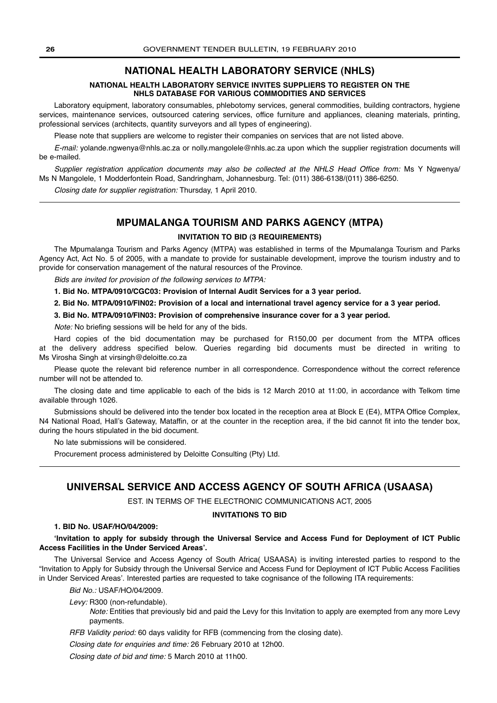### **NATIONAL HEALTH LABORATORY SERVICE (NHLS)**

### **NATIONAL HEALTH LABORATORY SERVICE INVITES SUPPLIERS TO REGISTER ON THE NHLS DATABASE FOR VARIOUS COMMODITIES AND SERVICES**

Laboratory equipment, laboratory consumables, phlebotomy services, general commodities, building contractors, hygiene services, maintenance services, outsourced catering services, office furniture and appliances, cleaning materials, printing, professional services (architects, quantity surveyors and all types of engineering).

Please note that suppliers are welcome to register their companies on services that are not listed above.

E-mail: yolande.ngwenya@nhls.ac.za or nolly.mangolele@nhls.ac.za upon which the supplier registration documents will be e-mailed.

Supplier registration application documents may also be collected at the NHLS Head Office from: Ms Y Ngwenya/ Ms N Mangolele, 1 Modderfontein Road, Sandringham, Johannesburg. Tel: (011) 386-6138/(011) 386-6250.

Closing date for supplier registration: Thursday, 1 April 2010.

### **MPUMALANGA TOURISM AND PARKS AGENCY (MTPA)**

### **INVITATION TO BID (3 REQUIREMENTS)**

The Mpumalanga Tourism and Parks Agency (MTPA) was established in terms of the Mpumalanga Tourism and Parks Agency Act, Act No. 5 of 2005, with a mandate to provide for sustainable development, improve the tourism industry and to provide for conservation management of the natural resources of the Province.

Bids are invited for provision of the following services to MTPA:

**1. Bid No. MTPA/0910/CGC03: Provision of Internal Audit Services for a 3 year period.**

**2. Bid No. MTPA/0910/FIN02: Provision of a local and international travel agency service for a 3 year period.**

**3. Bid No. MTPA/0910/FIN03: Provision of comprehensive insurance cover for a 3 year period.**

Note: No briefing sessions will be held for any of the bids.

Hard copies of the bid documentation may be purchased for R150,00 per document from the MTPA offices at the delivery address specified below. Queries regarding bid documents must be directed in writing to Ms Virosha Singh at virsingh@deloitte.co.za

Please quote the relevant bid reference number in all correspondence. Correspondence without the correct reference number will not be attended to.

The closing date and time applicable to each of the bids is 12 March 2010 at 11:00, in accordance with Telkom time available through 1026.

Submissions should be delivered into the tender box located in the reception area at Block E (E4), MTPA Office Complex, N4 National Road, Hall's Gateway, Mataffin, or at the counter in the reception area, if the bid cannot fit into the tender box, during the hours stipulated in the bid document.

No late submissions will be considered.

Procurement process administered by Deloitte Consulting (Pty) Ltd.

### **UNIVERSAL SERVICE AND ACCESS AGENCY OF SOUTH AFRICA (USAASA)**

EST. IN TERMS OF THE ELECTRONIC COMMUNICATIONS ACT, 2005

### **INVITATIONS TO BID**

### **1. BID No. USAF/HO/04/2009:**

### **'Invitation to apply for subsidy through the Universal Service and Access Fund for Deployment of ICT Public Access Facilities in the Under Serviced Areas'.**

The Universal Service and Access Agency of South Africa( USAASA) is inviting interested parties to respond to the "Invitation to Apply for Subsidy through the Universal Service and Access Fund for Deployment of ICT Public Access Facilities in Under Serviced Areas'. Interested parties are requested to take cognisance of the following ITA requirements:

Bid No.: USAF/HO/04/2009.

Levy: R300 (non-refundable).

Note: Entities that previously bid and paid the Levy for this Invitation to apply are exempted from any more Levy payments.

RFB Validity period: 60 days validity for RFB (commencing from the closing date).

Closing date for enquiries and time: 26 February 2010 at 12h00.

Closing date of bid and time: 5 March 2010 at 11h00.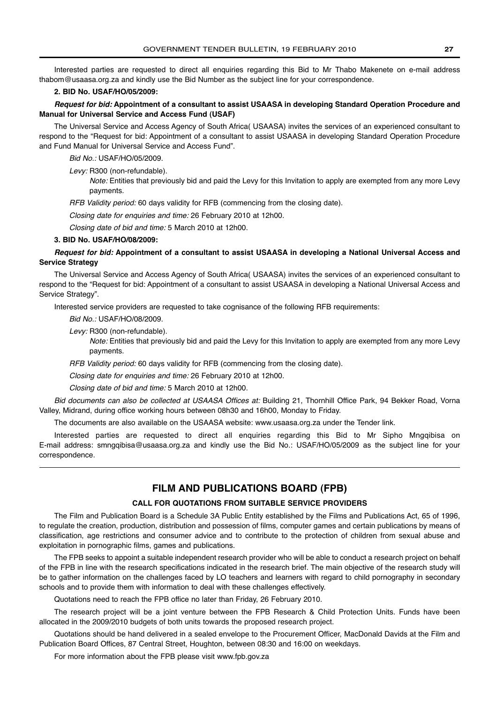Interested parties are requested to direct all enquiries regarding this Bid to Mr Thabo Makenete on e-mail address thabom@usaasa.org.za and kindly use the Bid Number as the subject line for your correspondence.

### **2. BID No. USAF/HO/05/2009:**

**Request for bid: Appointment of a consultant to assist USAASA in developing Standard Operation Procedure and Manual for Universal Service and Access Fund (USAF)**

The Universal Service and Access Agency of South Africa( USAASA) invites the services of an experienced consultant to respond to the "Request for bid: Appointment of a consultant to assist USAASA in developing Standard Operation Procedure and Fund Manual for Universal Service and Access Fund".

Bid No.: USAF/HO/05/2009.

Levy: R300 (non-refundable).

Note: Entities that previously bid and paid the Levy for this Invitation to apply are exempted from any more Levy payments.

RFB Validity period: 60 days validity for RFB (commencing from the closing date).

Closing date for enquiries and time: 26 February 2010 at 12h00.

Closing date of bid and time: 5 March 2010 at 12h00.

### **3. BID No. USAF/HO/08/2009:**

**Request for bid: Appointment of a consultant to assist USAASA in developing a National Universal Access and Service Strategy**

The Universal Service and Access Agency of South Africa( USAASA) invites the services of an experienced consultant to respond to the "Request for bid: Appointment of a consultant to assist USAASA in developing a National Universal Access and Service Strategy".

Interested service providers are requested to take cognisance of the following RFB requirements:

Bid No.: USAF/HO/08/2009.

Levy: R300 (non-refundable).

Note: Entities that previously bid and paid the Levy for this Invitation to apply are exempted from any more Levy payments.

RFB Validity period: 60 days validity for RFB (commencing from the closing date).

Closing date for enquiries and time: 26 February 2010 at 12h00.

Closing date of bid and time: 5 March 2010 at 12h00.

Bid documents can also be collected at USAASA Offices at: Building 21, Thornhill Office Park, 94 Bekker Road, Vorna Valley, Midrand, during office working hours between 08h30 and 16h00, Monday to Friday.

The documents are also available on the USAASA website: www.usaasa.org.za under the Tender link.

Interested parties are requested to direct all enquiries regarding this Bid to Mr Sipho Mngqibisa on E-mail address: smngqibisa@usaasa.org.za and kindly use the Bid No.: USAF/HO/05/2009 as the subject line for your correspondence.

### **FILM AND PUBLICATIONS BOARD (FPB)**

### **CALL FOR QUOTATIONS FROM SUITABLE SERVICE PROVIDERS**

The Film and Publication Board is a Schedule 3A Public Entity established by the Films and Publications Act, 65 of 1996, to regulate the creation, production, distribution and possession of films, computer games and certain publications by means of classification, age restrictions and consumer advice and to contribute to the protection of children from sexual abuse and exploitation in pornographic films, games and publications.

The FPB seeks to appoint a suitable independent research provider who will be able to conduct a research project on behalf of the FPB in line with the research specifications indicated in the research brief. The main objective of the research study will be to gather information on the challenges faced by LO teachers and learners with regard to child pornography in secondary schools and to provide them with information to deal with these challenges effectively.

Quotations need to reach the FPB office no later than Friday, 26 February 2010.

The research project will be a joint venture between the FPB Research & Child Protection Units. Funds have been allocated in the 2009/2010 budgets of both units towards the proposed research project.

Quotations should be hand delivered in a sealed envelope to the Procurement Officer, MacDonald Davids at the Film and Publication Board Offices, 87 Central Street, Houghton, between 08:30 and 16:00 on weekdays.

For more information about the FPB please visit www.fpb.gov.za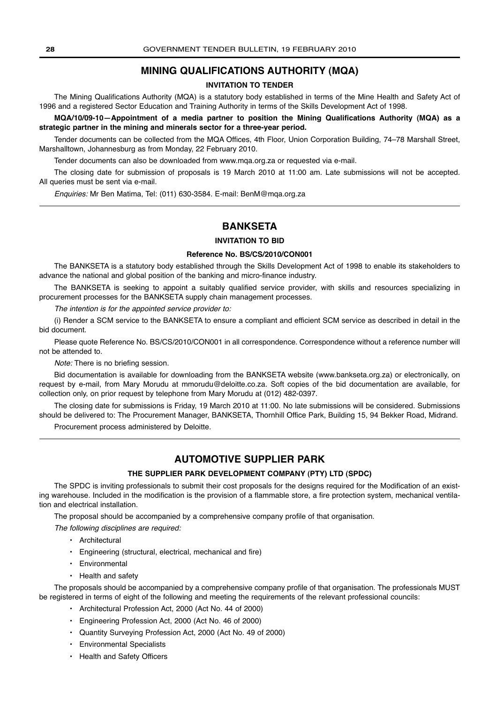### **MINING QUALIFICATIONS AUTHORITY (MQA)**

### **INVITATION TO TENDER**

The Mining Qualifications Authority (MQA) is a statutory body established in terms of the Mine Health and Safety Act of 1996 and a registered Sector Education and Training Authority in terms of the Skills Development Act of 1998.

**MQA/10/09-10—Appointment of a media partner to position the Mining Qualifications Authority (MQA) as a strategic partner in the mining and minerals sector for a three-year period.**

Tender documents can be collected from the MQA Offices, 4th Floor, Union Corporation Building, 74–78 Marshall Street, Marshalltown, Johannesburg as from Monday, 22 February 2010.

Tender documents can also be downloaded from www.mqa.org.za or requested via e-mail.

The closing date for submission of proposals is 19 March 2010 at 11:00 am. Late submissions will not be accepted. All queries must be sent via e-mail.

Enquiries: Mr Ben Matima, Tel: (011) 630-3584. E-mail: BenM@mqa.org.za

### **BANKSETA**

### **INVITATION TO BID**

### **Reference No. BS/CS/2010/CON001**

The BANKSETA is a statutory body established through the Skills Development Act of 1998 to enable its stakeholders to advance the national and global position of the banking and micro-finance industry.

The BANKSETA is seeking to appoint a suitably qualified service provider, with skills and resources specializing in procurement processes for the BANKSETA supply chain management processes.

The intention is for the appointed service provider to:

(i) Render a SCM service to the BANKSETA to ensure a compliant and efficient SCM service as described in detail in the bid document.

Please quote Reference No. BS/CS/2010/CON001 in all correspondence. Correspondence without a reference number will not be attended to.

Note: There is no briefing session.

Bid documentation is available for downloading from the BANKSETA website (www.bankseta.org.za) or electronically, on request by e-mail, from Mary Morudu at mmorudu@deloitte.co.za. Soft copies of the bid documentation are available, for collection only, on prior request by telephone from Mary Morudu at (012) 482-0397.

The closing date for submissions is Friday, 19 March 2010 at 11:00. No late submissions will be considered. Submissions should be delivered to: The Procurement Manager, BANKSETA, Thornhill Office Park, Building 15, 94 Bekker Road, Midrand.

Procurement process administered by Deloitte.

### **AUTOMOTIVE SUPPLIER PARK**

### **THE SUPPLIER PARK DEVELOPMENT COMPANY (PTY) LTD (SPDC)**

The SPDC is inviting professionals to submit their cost proposals for the designs required for the Modification of an existing warehouse. Included in the modification is the provision of a flammable store, a fire protection system, mechanical ventilation and electrical installation.

The proposal should be accompanied by a comprehensive company profile of that organisation.

The following disciplines are required:

- Architectural
- Engineering (structural, electrical, mechanical and fire)
- Environmental
- Health and safety

The proposals should be accompanied by a comprehensive company profile of that organisation. The professionals MUST be registered in terms of eight of the following and meeting the requirements of the relevant professional councils:

- Architectural Profession Act, 2000 (Act No. 44 of 2000)
- Engineering Profession Act, 2000 (Act No. 46 of 2000)
- Quantity Surveying Profession Act, 2000 (Act No. 49 of 2000)
- Environmental Specialists
- Health and Safety Officers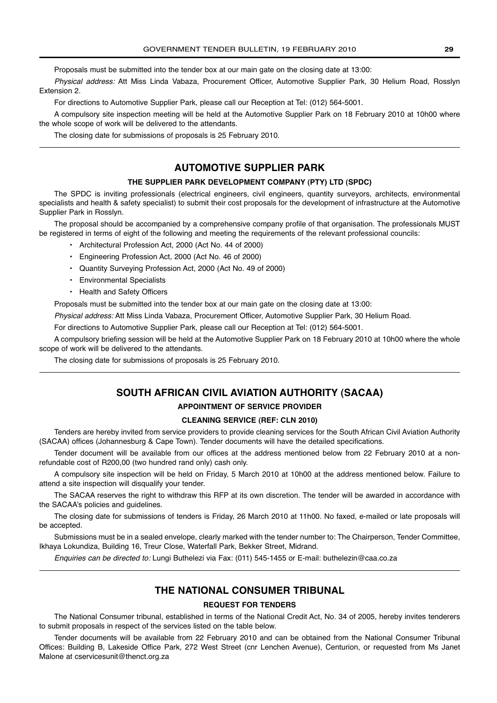Proposals must be submitted into the tender box at our main gate on the closing date at 13:00:

Physical address: Att Miss Linda Vabaza, Procurement Officer, Automotive Supplier Park, 30 Helium Road, Rosslyn Extension 2.

For directions to Automotive Supplier Park, please call our Reception at Tel: (012) 564-5001.

A compulsory site inspection meeting will be held at the Automotive Supplier Park on 18 February 2010 at 10h00 where the whole scope of work will be delivered to the attendants.

The closing date for submissions of proposals is 25 February 2010.

### **AUTOMOTIVE SUPPLIER PARK**

### **THE SUPPLIER PARK DEVELOPMENT COMPANY (PTY) LTD (SPDC)**

The SPDC is inviting professionals (electrical engineers, civil engineers, quantity surveyors, architects, environmental specialists and health & safety specialist) to submit their cost proposals for the development of infrastructure at the Automotive Supplier Park in Rosslyn.

The proposal should be accompanied by a comprehensive company profile of that organisation. The professionals MUST be registered in terms of eight of the following and meeting the requirements of the relevant professional councils:

- Architectural Profession Act, 2000 (Act No. 44 of 2000)
- Engineering Profession Act, 2000 (Act No. 46 of 2000)
- Quantity Surveying Profession Act, 2000 (Act No. 49 of 2000)
- Environmental Specialists
- Health and Safety Officers

Proposals must be submitted into the tender box at our main gate on the closing date at 13:00:

Physical address: Att Miss Linda Vabaza, Procurement Officer, Automotive Supplier Park, 30 Helium Road.

For directions to Automotive Supplier Park, please call our Reception at Tel: (012) 564-5001.

A compulsory briefing session will be held at the Automotive Supplier Park on 18 February 2010 at 10h00 where the whole scope of work will be delivered to the attendants.

The closing date for submissions of proposals is 25 February 2010.

### **SOUTH AFRICAN CIVIL AVIATION AUTHORITY (SACAA)**

### **APPOINTMENT OF SERVICE PROVIDER**

### **CLEANING SERVICE (REF: CLN 2010)**

Tenders are hereby invited from service providers to provide cleaning services for the South African Civil Aviation Authority (SACAA) offices (Johannesburg & Cape Town). Tender documents will have the detailed specifications.

Tender document will be available from our offices at the address mentioned below from 22 February 2010 at a nonrefundable cost of R200,00 (two hundred rand only) cash only.

A compulsory site inspection will be held on Friday, 5 March 2010 at 10h00 at the address mentioned below. Failure to attend a site inspection will disqualify your tender.

The SACAA reserves the right to withdraw this RFP at its own discretion. The tender will be awarded in accordance with the SACAA's policies and guidelines.

The closing date for submissions of tenders is Friday, 26 March 2010 at 11h00. No faxed, e-mailed or late proposals will be accepted.

Submissions must be in a sealed envelope, clearly marked with the tender number to: The Chairperson, Tender Committee, Ikhaya Lokundiza, Building 16, Treur Close, Waterfall Park, Bekker Street, Midrand.

Enquiries can be directed to: Lungi Buthelezi via Fax: (011) 545-1455 or E-mail: buthelezin@caa.co.za

### **THE NATIONAL CONSUMER TRIBUNAL**

### **REQUEST FOR TENDERS**

The National Consumer tribunal, established in terms of the National Credit Act, No. 34 of 2005, hereby invites tenderers to submit proposals in respect of the services listed on the table below.

Tender documents will be available from 22 February 2010 and can be obtained from the National Consumer Tribunal Offices: Building B, Lakeside Office Park, 272 West Street (cnr Lenchen Avenue), Centurion, or requested from Ms Janet Malone at cservicesunit@thenct.org.za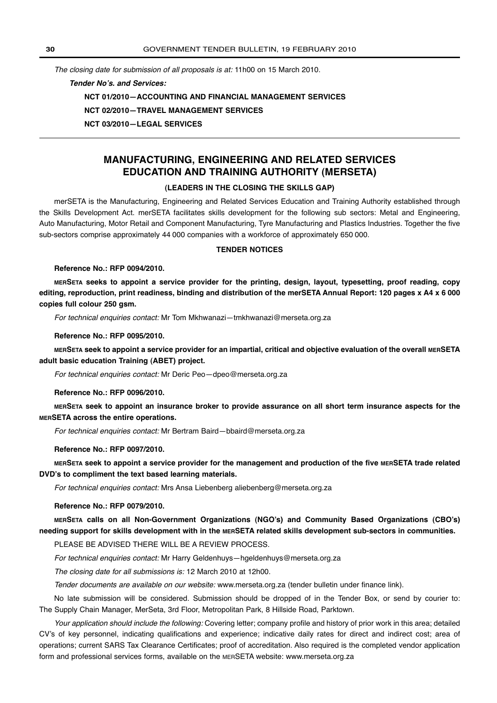The closing date for submission of all proposals is at: 11h00 on 15 March 2010.

**Tender No's. and Services:**

**NCT 01/2010—ACCOUNTING AND FINANCIAL MANAGEMENT SERVICES**

**NCT 02/2010—TRAVEL MANAGEMENT SERVICES**

**NCT 03/2010—LEGAL SERVICES**

### **MANUFACTURING, ENGINEERING AND RELATED SERVICES EDUCATION AND TRAINING AUTHORITY (MERSETA)**

### **(LEADERS IN THE CLOSING THE SKILLS GAP)**

merSETA is the Manufacturing, Engineering and Related Services Education and Training Authority established through the Skills Development Act. merSETA facilitates skills development for the following sub sectors: Metal and Engineering, Auto Manufacturing, Motor Retail and Component Manufacturing, Tyre Manufacturing and Plastics Industries. Together the five sub-sectors comprise approximately 44 000 companies with a workforce of approximately 650 000.

### **TENDER NOTICES**

### **Reference No.: RFP 0094/2010.**

**MERSETA seeks to appoint a service provider for the printing, design, layout, typesetting, proof reading, copy editing, reproduction, print readiness, binding and distribution of the merSETA Annual Report: 120 pages x A4 x 6 000 copies full colour 250 gsm.**

For technical enquiries contact: Mr Tom Mkhwanazi—tmkhwanazi@merseta.org.za

**Reference No.: RFP 0095/2010.**

**MERSETA seek to appoint a service provider for an impartial, critical and objective evaluation of the overall MERSETA adult basic education Training (ABET) project.**

For technical enquiries contact: Mr Deric Peo—dpeo@merseta.org.za

**Reference No.: RFP 0096/2010.**

**MERSETA seek to appoint an insurance broker to provide assurance on all short term insurance aspects for the MERSETA across the entire operations.**

For technical enquiries contact: Mr Bertram Baird—bbaird@merseta.org.za

**Reference No.: RFP 0097/2010.**

**MERSETA seek to appoint a service provider for the management and production of the five MERSETA trade related DVD's to compliment the text based learning materials.**

For technical enquiries contact: Mrs Ansa Liebenberg aliebenberg@merseta.org.za

### **Reference No.: RFP 0079/2010.**

**MERSETA calls on all Non-Government Organizations (NGO's) and Community Based Organizations (CBO's) needing support for skills development with in the MERSETA related skills development sub-sectors in communities.**

PLEASE BE ADVISED THERE WILL BE A REVIEW PROCESS.

For technical enquiries contact: Mr Harry Geldenhuys—hgeldenhuys@merseta.org.za

The closing date for all submissions is: 12 March 2010 at 12h00.

Tender documents are available on our website: www.merseta.org.za (tender bulletin under finance link).

No late submission will be considered. Submission should be dropped of in the Tender Box, or send by courier to: The Supply Chain Manager, MerSeta, 3rd Floor, Metropolitan Park, 8 Hillside Road, Parktown.

Your application should include the following: Covering letter; company profile and history of prior work in this area; detailed CV's of key personnel, indicating qualifications and experience; indicative daily rates for direct and indirect cost; area of operations; current SARS Tax Clearance Certificates; proof of accreditation. Also required is the completed vendor application form and professional services forms, available on the MERSETA website: www.merseta.org.za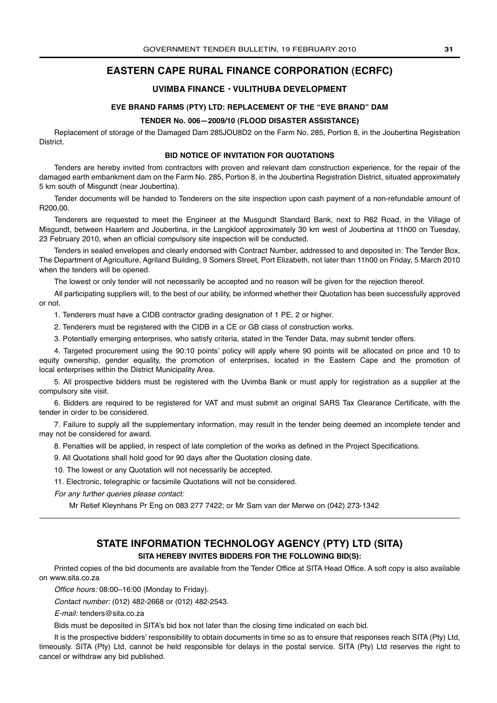### **EASTERN CAPE RURAL FINANCE CORPORATION (ECRFC)**

### **UVIMBA FINANCE • VULITHUBA DEVELOPMENT**

### **EVE BRAND FARMS (PTY) LTD: REPLACEMENT OF THE "EVE BRAND" DAM**

### **TENDER No. 006—2009/10 (FLOOD DISASTER ASSISTANCE)**

Replacement of storage of the Damaged Dam 285JOU8D2 on the Farm No. 285, Portion 8, in the Joubertina Registration District.

### **BID NOTICE OF INVITATION FOR QUOTATIONS**

Tenders are hereby invited from contractors with proven and relevant dam construction experience, for the repair of the damaged earth embankment dam on the Farm No. 285, Portion 8, in the Joubertina Registration District, situated approximately 5 km south of Misgundt (near Joubertina).

Tender documents will be handed to Tenderers on the site inspection upon cash payment of a non-refundable amount of R200,00.

Tenderers are requested to meet the Engineer at the Musgundt Standard Bank, next to R62 Road, in the Village of Misgundt, between Haarlem and Joubertina, in the Langkloof approximately 30 km west of Joubertina at 11h00 on Tuesday, 23 February 2010, when an official compulsory site inspection will be conducted.

Tenders in sealed envelopes and clearly endorsed with Contract Number, addressed to and deposited in: The Tender Box, The Department of Agriculture, Agriland Building, 9 Somers Street, Port Elizabeth, not later than 11h00 on Friday, 5 March 2010 when the tenders will be opened.

The lowest or only tender will not necessarily be accepted and no reason will be given for the rejection thereof.

All participating suppliers will, to the best of our ability, be informed whether their Quotation has been successfully approved or not.

1. Tenderers must have a CIDB contractor grading designation of 1 PE, 2 or higher.

2. Tenderers must be registered with the CIDB in a CE or GB class of construction works.

3. Potentially emerging enterprises, who satisfy criteria, stated in the Tender Data, may submit tender offers.

4. Targeted procurement using the 90:10 points' policy will apply where 90 points will be allocated on price and 10 to equity ownership, gender equality, the promotion of enterprises, located in the Eastern Cape and the promotion of local enterprises within the District Municipality Area.

5. All prospective bidders must be registered with the Uvimba Bank or must apply for registration as a supplier at the compulsory site visit.

6. Bidders are required to be registered for VAT and must submit an original SARS Tax Clearance Certificate, with the tender in order to be considered.

7. Failure to supply all the supplementary information, may result in the tender being deemed an incomplete tender and may not be considered for award.

8. Penalties will be applied, in respect of late completion of the works as defined in the Project Specifications.

9. All Quotations shall hold good for 90 days after the Quotation closing date.

10. The lowest or any Quotation will not necessarily be accepted.

11. Electronic, telegraphic or facsimile Quotations will not be considered.

For any further queries please contact:

Mr Retief Kleynhans Pr Eng on 083 277 7422; or Mr Sam van der Merwe on (042) 273-1342

### **STATE INFORMATION TECHNOLOGY AGENCY (PTY) LTD (SITA)**

### **SITA HEREBY INVITES BIDDERS FOR THE FOLLOWING BID(S):**

Printed copies of the bid documents are available from the Tender Office at SITA Head Office. A soft copy is also available on www.sita.co.za

Office hours: 08:00–16:00 (Monday to Friday).

Contact number: (012) 482-2668 or (012) 482-2543.

E-mail: tenders@sita.co.za

Bids must be deposited in SITA's bid box not later than the closing time indicated on each bid.

It is the prospective bidders' responsibility to obtain documents in time so as to ensure that responses reach SITA (Pty) Ltd, timeously. SITA (Pty) Ltd, cannot be held responsible for delays in the postal service. SITA (Pty) Ltd reserves the right to cancel or withdraw any bid published.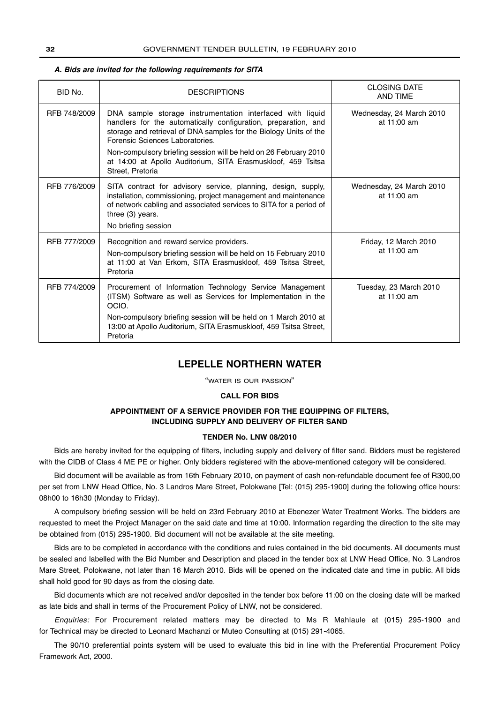### RFB 774/2009 | Procurement of Information Technology Service Management (ITSM) Software as well as Services for Implementation in the OCIO. Non-compulsory briefing session will be held on 1 March 2010 at 13:00 at Apollo Auditorium, SITA Erasmuskloof, 459 Tsitsa Street, Pretoria Tuesday, 23 March 2010 at 11:00 am RFB 777/2009 | Recognition and reward service providers. Non-compulsory briefing session will be held on 15 February 2010 at 11:00 at Van Erkom, SITA Erasmuskloof, 459 Tsitsa Street, Pretoria Friday, 12 March 2010 at 11:00 am RFB 776/2009 SITA contract for advisory service, planning, design, supply, installation, commissioning, project management and maintenance of network cabling and associated services to SITA for a period of three (3) years. No briefing session Wednesday, 24 March 2010 at 11:00 am RFB 748/2009 | DNA sample storage instrumentation interfaced with liquid handlers for the automatically configuration, preparation, and storage and retrieval of DNA samples for the Biology Units of the Forensic Sciences Laboratories. Non-compulsory briefing session will be held on 26 February 2010 at 14:00 at Apollo Auditorium, SITA Erasmuskloof, 459 Tsitsa Street, Pretoria Wednesday, 24 March 2010 at 11:00 am BID No. DESCRIPTIONS CLOSING DATE AND TIME

### **A. Bids are invited for the following requirements for SITA**

### **LEPELLE NORTHERN WATER**

"WATER IS OUR PASSION"

### **CALL FOR BIDS**

### **APPOINTMENT OF A SERVICE PROVIDER FOR THE EQUIPPING OF FILTERS, INCLUDING SUPPLY AND DELIVERY OF FILTER SAND**

### **TENDER No. LNW 08/2010**

Bids are hereby invited for the equipping of filters, including supply and delivery of filter sand. Bidders must be registered with the CIDB of Class 4 ME PE or higher. Only bidders registered with the above-mentioned category will be considered.

Bid document will be available as from 16th February 2010, on payment of cash non-refundable document fee of R300,00 per set from LNW Head Office, No. 3 Landros Mare Street, Polokwane [Tel: (015) 295-1900] during the following office hours: 08h00 to 16h30 (Monday to Friday).

A compulsory briefing session will be held on 23rd February 2010 at Ebenezer Water Treatment Works. The bidders are requested to meet the Project Manager on the said date and time at 10:00. Information regarding the direction to the site may be obtained from (015) 295-1900. Bid document will not be available at the site meeting.

Bids are to be completed in accordance with the conditions and rules contained in the bid documents. All documents must be sealed and labelled with the Bid Number and Description and placed in the tender box at LNW Head Office, No. 3 Landros Mare Street, Polokwane, not later than 16 March 2010. Bids will be opened on the indicated date and time in public. All bids shall hold good for 90 days as from the closing date.

Bid documents which are not received and/or deposited in the tender box before 11:00 on the closing date will be marked as late bids and shall in terms of the Procurement Policy of LNW, not be considered.

Enquiries: For Procurement related matters may be directed to Ms R Mahlaule at (015) 295-1900 and for Technical may be directed to Leonard Machanzi or Muteo Consulting at (015) 291-4065.

The 90/10 preferential points system will be used to evaluate this bid in line with the Preferential Procurement Policy Framework Act, 2000.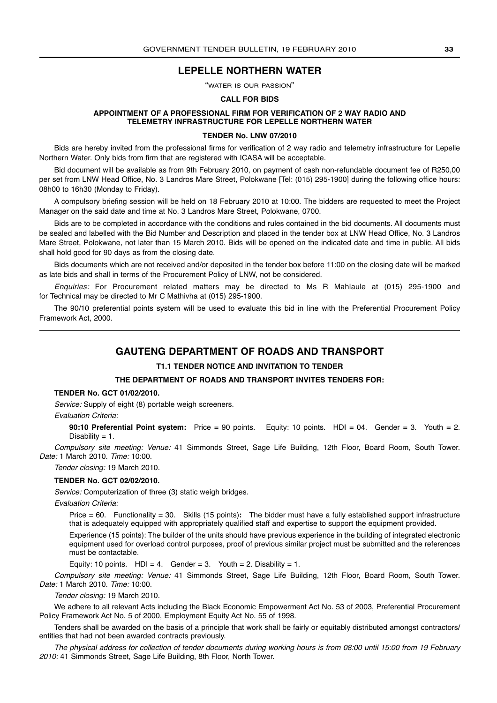### **LEPELLE NORTHERN WATER**

"WATER IS OUR PASSION"

### **CALL FOR BIDS**

### **APPOINTMENT OF A PROFESSIONAL FIRM FOR VERIFICATION OF 2 WAY RADIO AND TELEMETRY INFRASTRUCTURE FOR LEPELLE NORTHERN WATER**

### **TENDER No. LNW 07/2010**

Bids are hereby invited from the professional firms for verification of 2 way radio and telemetry infrastructure for Lepelle Northern Water. Only bids from firm that are registered with ICASA will be acceptable.

Bid document will be available as from 9th February 2010, on payment of cash non-refundable document fee of R250,00 per set from LNW Head Office, No. 3 Landros Mare Street, Polokwane [Tel: (015) 295-1900] during the following office hours: 08h00 to 16h30 (Monday to Friday).

A compulsory briefing session will be held on 18 February 2010 at 10:00. The bidders are requested to meet the Project Manager on the said date and time at No. 3 Landros Mare Street, Polokwane, 0700.

Bids are to be completed in accordance with the conditions and rules contained in the bid documents. All documents must be sealed and labelled with the Bid Number and Description and placed in the tender box at LNW Head Office, No. 3 Landros Mare Street, Polokwane, not later than 15 March 2010. Bids will be opened on the indicated date and time in public. All bids shall hold good for 90 days as from the closing date.

Bids documents which are not received and/or deposited in the tender box before 11:00 on the closing date will be marked as late bids and shall in terms of the Procurement Policy of LNW, not be considered.

Enquiries: For Procurement related matters may be directed to Ms R Mahlaule at (015) 295-1900 and for Technical may be directed to Mr C Mathivha at (015) 295-1900.

The 90/10 preferential points system will be used to evaluate this bid in line with the Preferential Procurement Policy Framework Act, 2000.

### **GAUTENG DEPARTMENT OF ROADS AND TRANSPORT**

### **T1.1 TENDER NOTICE AND INVITATION TO TENDER**

### **THE DEPARTMENT OF ROADS AND TRANSPORT INVITES TENDERS FOR:**

### **TENDER No. GCT 01/02/2010.**

Service: Supply of eight (8) portable weigh screeners.

### Evaluation Criteria:

**90:10 Preferential Point system:** Price = 90 points. Equity: 10 points. HDI = 04. Gender = 3. Youth = 2. Disability  $= 1$ .

Compulsory site meeting: Venue: 41 Simmonds Street, Sage Life Building, 12th Floor, Board Room, South Tower. Date: 1 March 2010. Time: 10:00.

### Tender closing: 19 March 2010.

### **TENDER No. GCT 02/02/2010.**

Service: Computerization of three (3) static weigh bridges.

Evaluation Criteria:

Price = 60. Functionality = 30. Skills (15 points)**:** The bidder must have a fully established support infrastructure that is adequately equipped with appropriately qualified staff and expertise to support the equipment provided.

Experience (15 points): The builder of the units should have previous experience in the building of integrated electronic equipment used for overload control purposes, proof of previous similar project must be submitted and the references must be contactable.

Equity: 10 points.  $HD = 4$ . Gender = 3. Youth = 2. Disability = 1.

Compulsory site meeting: Venue: 41 Simmonds Street, Sage Life Building, 12th Floor, Board Room, South Tower. Date: 1 March 2010. Time: 10:00.

Tender closing: 19 March 2010.

We adhere to all relevant Acts including the Black Economic Empowerment Act No. 53 of 2003, Preferential Procurement Policy Framework Act No. 5 of 2000, Employment Equity Act No. 55 of 1998.

Tenders shall be awarded on the basis of a principle that work shall be fairly or equitably distributed amongst contractors/ entities that had not been awarded contracts previously.

The physical address for collection of tender documents during working hours is from 08:00 until 15:00 from 19 February 2010: 41 Simmonds Street, Sage Life Building, 8th Floor, North Tower.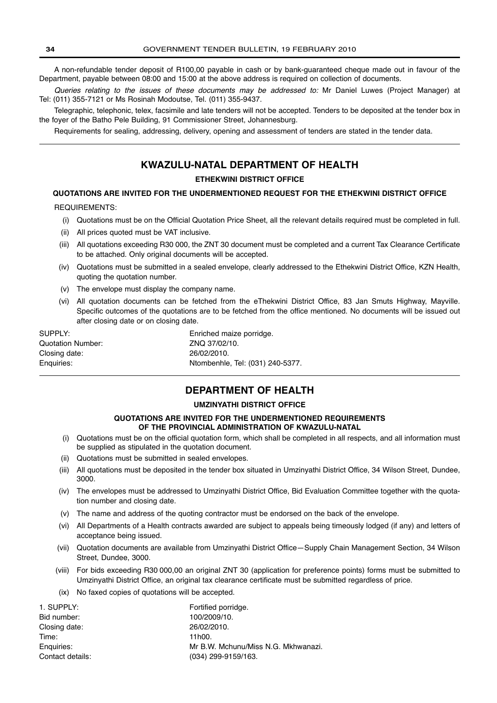A non-refundable tender deposit of R100,00 payable in cash or by bank-guaranteed cheque made out in favour of the Department, payable between 08:00 and 15:00 at the above address is required on collection of documents.

Queries relating to the issues of these documents may be addressed to: Mr Daniel Luwes (Project Manager) at Tel: (011) 355-7121 or Ms Rosinah Modoutse, Tel. (011) 355-9437.

Telegraphic, telephonic, telex, facsimile and late tenders will not be accepted. Tenders to be deposited at the tender box in the foyer of the Batho Pele Building, 91 Commissioner Street, Johannesburg.

Requirements for sealing, addressing, delivery, opening and assessment of tenders are stated in the tender data.

### **KWAZULU-NATAL DEPARTMENT OF HEALTH**

**ETHEKWINI DISTRICT OFFICE**

### **QUOTATIONS ARE INVITED FOR THE UNDERMENTIONED REQUEST FOR THE ETHEKWINI DISTRICT OFFICE**

### REQUIREMENTS:

- (i) Quotations must be on the Official Quotation Price Sheet, all the relevant details required must be completed in full.
- (ii) All prices quoted must be VAT inclusive.
- (iii) All quotations exceeding R30 000, the ZNT 30 document must be completed and a current Tax Clearance Certificate to be attached. Only original documents will be accepted.
- (iv) Quotations must be submitted in a sealed envelope, clearly addressed to the Ethekwini District Office, KZN Health, quoting the quotation number.
- (v) The envelope must display the company name.
- (vi) All quotation documents can be fetched from the eThekwini District Office, 83 Jan Smuts Highway, Mayville. Specific outcomes of the quotations are to be fetched from the office mentioned. No documents will be issued out after closing date or on closing date.

SUPPLY: Enriched maize porridge. Quotation Number: ZNQ 37/02/10. Closing date: 26/02/2010.

Enquiries: Ntombenhle, Tel: (031) 240-5377.

### **DEPARTMENT OF HEALTH**

### **UMZINYATHI DISTRICT OFFICE**

### **QUOTATIONS ARE INVITED FOR THE UNDERMENTIONED REQUIREMENTS OF THE PROVINCIAL ADMINISTRATION OF KWAZULU-NATAL**

- (i) Quotations must be on the official quotation form, which shall be completed in all respects, and all information must be supplied as stipulated in the quotation document.
- (ii) Quotations must be submitted in sealed envelopes.
- (iii) All quotations must be deposited in the tender box situated in Umzinyathi District Office, 34 Wilson Street, Dundee, 3000.
- (iv) The envelopes must be addressed to Umzinyathi District Office, Bid Evaluation Committee together with the quotation number and closing date.
- (v) The name and address of the quoting contractor must be endorsed on the back of the envelope.
- (vi) All Departments of a Health contracts awarded are subject to appeals being timeously lodged (if any) and letters of acceptance being issued.
- (vii) Quotation documents are available from Umzinyathi District Office—Supply Chain Management Section, 34 Wilson Street, Dundee, 3000.
- (viii) For bids exceeding R30 000,00 an original ZNT 30 (application for preference points) forms must be submitted to Umzinyathi District Office, an original tax clearance certificate must be submitted regardless of price.
- (ix) No faxed copies of quotations will be accepted.

| 1. SUPPLY:       | Fortified porridge.                 |
|------------------|-------------------------------------|
| Bid number:      | 100/2009/10.                        |
| Closing date:    | 26/02/2010.                         |
| Time:            | 11h00.                              |
| Enguiries:       | Mr B.W. Mchunu/Miss N.G. Mkhwanazi. |
| Contact details: | (034) 299-9159/163.                 |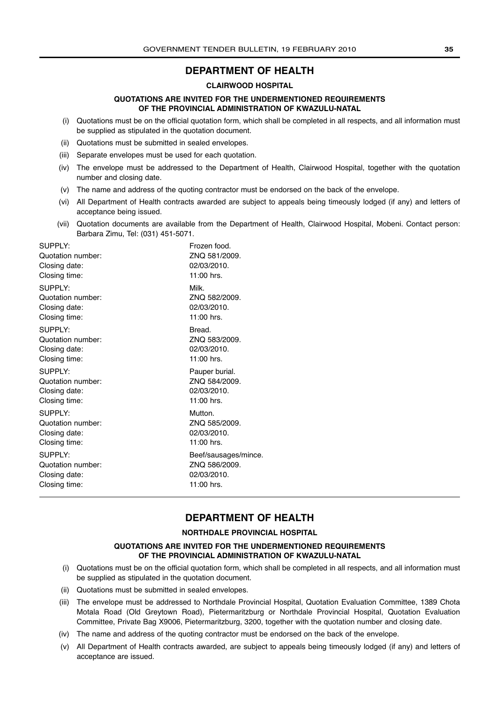### **DEPARTMENT OF HEALTH**

### **CLAIRWOOD HOSPITAL**

### **QUOTATIONS ARE INVITED FOR THE UNDERMENTIONED REQUIREMENTS OF THE PROVINCIAL ADMINISTRATION OF KWAZULU-NATAL**

- (i) Quotations must be on the official quotation form, which shall be completed in all respects, and all information must be supplied as stipulated in the quotation document.
- (ii) Quotations must be submitted in sealed envelopes.
- (iii) Separate envelopes must be used for each quotation.
- (iv) The envelope must be addressed to the Department of Health, Clairwood Hospital, together with the quotation number and closing date.
- (v) The name and address of the quoting contractor must be endorsed on the back of the envelope.
- (vi) All Department of Health contracts awarded are subject to appeals being timeously lodged (if any) and letters of acceptance being issued.
- (vii) Quotation documents are available from the Department of Health, Clairwood Hospital, Mobeni. Contact person: Barbara Zimu, Tel: (031) 451-5071.

| Frozen food.<br>ZNQ 581/2009.<br>02/03/2010.<br>11:00 hrs.         |
|--------------------------------------------------------------------|
| Milk.<br>ZNQ 582/2009.<br>02/03/2010.<br>11:00 hrs.                |
| Bread.<br>ZNQ 583/2009.<br>02/03/2010.<br>11:00 hrs.               |
| Pauper burial.<br>ZNQ 584/2009.<br>02/03/2010.<br>11:00 hrs.       |
| Mutton.<br>ZNQ 585/2009.<br>02/03/2010.<br>11:00 hrs.              |
| Beef/sausages/mince.<br>ZNQ 586/2009.<br>02/03/2010.<br>11:00 hrs. |
|                                                                    |

### **DEPARTMENT OF HEALTH**

### **NORTHDALE PROVINCIAL HOSPITAL**

### **QUOTATIONS ARE INVITED FOR THE UNDERMENTIONED REQUIREMENTS OF THE PROVINCIAL ADMINISTRATION OF KWAZULU-NATAL**

- (i) Quotations must be on the official quotation form, which shall be completed in all respects, and all information must be supplied as stipulated in the quotation document.
- (ii) Quotations must be submitted in sealed envelopes.
- (iii) The envelope must be addressed to Northdale Provincial Hospital, Quotation Evaluation Committee, 1389 Chota Motala Road (Old Greytown Road), Pietermaritzburg or Northdale Provincial Hospital, Quotation Evaluation Committee, Private Bag X9006, Pietermaritzburg, 3200, together with the quotation number and closing date.
- (iv) The name and address of the quoting contractor must be endorsed on the back of the envelope.
- (v) All Department of Health contracts awarded, are subject to appeals being timeously lodged (if any) and letters of acceptance are issued.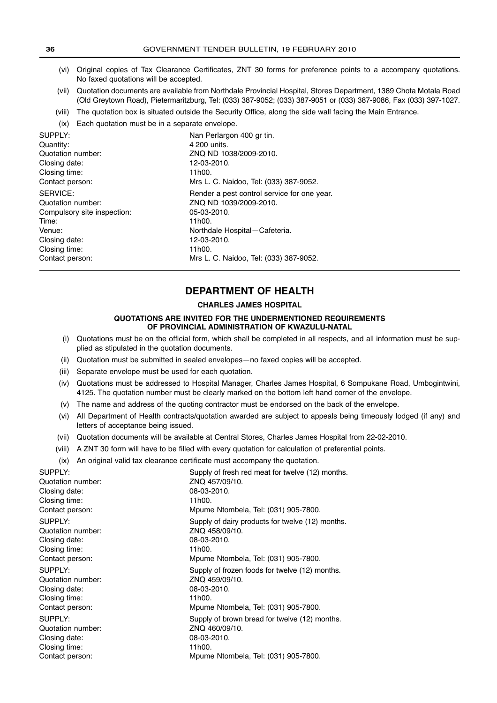- (vi) Original copies of Tax Clearance Certificates, ZNT 30 forms for preference points to a accompany quotations. No faxed quotations will be accepted.
- (vii) Quotation documents are available from Northdale Provincial Hospital, Stores Department, 1389 Chota Motala Road (Old Greytown Road), Pietermaritzburg, Tel: (033) 387-9052; (033) 387-9051 or (033) 387-9086, Fax (033) 397-1027.
- (viii) The quotation box is situated outside the Security Office, along the side wall facing the Main Entrance.
- (ix) Each quotation must be in a separate envelope.

| SUPPLY:                     | Nan Perlargon 400 gr tin.                   |
|-----------------------------|---------------------------------------------|
| Quantity:                   | 4 200 units.                                |
| Quotation number:           | ZNQ ND 1038/2009-2010.                      |
| Closing date:               | 12-03-2010.                                 |
| Closing time:               | 11h00.                                      |
| Contact person:             | Mrs L. C. Naidoo, Tel: (033) 387-9052.      |
| SERVICE:                    | Render a pest control service for one year. |
| Quotation number:           | ZNQ ND 1039/2009-2010.                      |
| Compulsory site inspection: | 05-03-2010.                                 |
| Time:                       | 11h00.                                      |
| Venue:                      | Northdale Hospital-Cafeteria.               |
| Closing date:               | 12-03-2010.                                 |
| Closing time:               | 11h00.                                      |
| Contact person:             | Mrs L. C. Naidoo, Tel: (033) 387-9052.      |

### **DEPARTMENT OF HEALTH**

### **CHARLES JAMES HOSPITAL**

### **QUOTATIONS ARE INVITED FOR THE UNDERMENTIONED REQUIREMENTS OF PROVINCIAL ADMINISTRATION OF KWAZULU-NATAL**

- (i) Quotations must be on the official form, which shall be completed in all respects, and all information must be supplied as stipulated in the quotation documents.
- (ii) Quotation must be submitted in sealed envelopes—no faxed copies will be accepted.
- (iii) Separate envelope must be used for each quotation.
- (iv) Quotations must be addressed to Hospital Manager, Charles James Hospital, 6 Sompukane Road, Umbogintwini, 4125. The quotation number must be clearly marked on the bottom left hand corner of the envelope.
- (v) The name and address of the quoting contractor must be endorsed on the back of the envelope.
- (vi) All Department of Health contracts/quotation awarded are subject to appeals being timeously lodged (if any) and letters of acceptance being issued.
- (vii) Quotation documents will be available at Central Stores, Charles James Hospital from 22-02-2010.
- (viii) A ZNT 30 form will have to be filled with every quotation for calculation of preferential points.
- (ix) An original valid tax clearance certificate must accompany the quotation.

| SUPPLY:           | Supply of fresh red meat for twelve (12) months. |
|-------------------|--------------------------------------------------|
| Quotation number: | ZNO 457/09/10.                                   |
| Closing date:     | 08-03-2010.                                      |
| Closing time:     | 11h00.                                           |
| Contact person:   | Mpume Ntombela, Tel: (031) 905-7800.             |
| SUPPLY:           | Supply of dairy products for twelve (12) months. |
| Quotation number: | ZNQ 458/09/10.                                   |
| Closing date:     | 08-03-2010.                                      |
| Closing time:     | 11h00.                                           |
| Contact person:   | Mpume Ntombela, Tel: (031) 905-7800.             |
| SUPPLY:           | Supply of frozen foods for twelve (12) months.   |
| Quotation number: | ZNO 459/09/10.                                   |
| Closing date:     | 08-03-2010.                                      |
| Closing time:     | 11h00.                                           |
| Contact person:   | Mpume Ntombela, Tel: (031) 905-7800.             |
| SUPPLY:           | Supply of brown bread for twelve (12) months.    |
| Quotation number: | ZNQ 460/09/10.                                   |
| Closing date:     | 08-03-2010.                                      |
| Closing time:     | 11h00.                                           |
| Contact person:   | Mpume Ntombela, Tel: (031) 905-7800.             |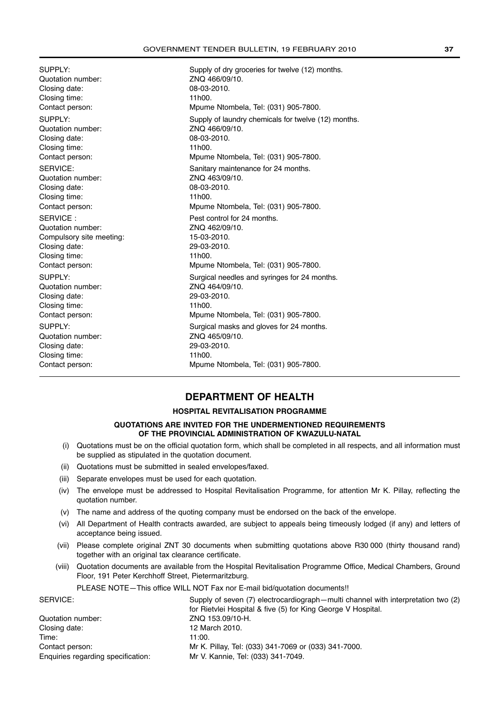Quotation number: ZNQ 466/09/10. Closing date: 08-03-2010. Closing time: 11h00. Quotation number: ZNQ 466/09/10. Closing date: 08-03-2010. Closing time: 11h00. Quotation number: ZNQ 463/09/10. Closing date: 08-03-2010. Closing time: 11h00. SERVICE : Pest control for 24 months. Quotation number: ZNQ 462/09/10. Compulsory site meeting: 15-03-2010. Closing date: 29-03-2010. Closing time: 11h00. Quotation number: ZNQ 464/09/10. Closing date: 29-03-2010. Closing time: 11h00. Quotation number: <br>
Closing date: 29-03-2010<br>
29-03-2010 Closing date: Closing time: 11h00. Contact person: Mpume Ntombela, Tel: (031) 905-7800.

SUPPLY: Supply of dry groceries for twelve (12) months. Contact person: Mpume Ntombela, Tel: (031) 905-7800. SUPPLY: Supply of laundry chemicals for twelve (12) months. Contact person: Mpume Ntombela, Tel: (031) 905-7800. SERVICE: SERVICE: SERVICE: Sanitary maintenance for 24 months. Contact person: Mpume Ntombela, Tel: (031) 905-7800. Contact person: Mpume Ntombela, Tel: (031) 905-7800. SUPPLY: SUPPLY: Surgical needles and syringes for 24 months. Contact person: Mpume Ntombela, Tel: (031) 905-7800. SUPPLY: Surgical masks and gloves for 24 months.

### **DEPARTMENT OF HEALTH**

### **HOSPITAL REVITALISATION PROGRAMME**

### **QUOTATIONS ARE INVITED FOR THE UNDERMENTIONED REQUIREMENTS OF THE PROVINCIAL ADMINISTRATION OF KWAZULU-NATAL**

- (i) Quotations must be on the official quotation form, which shall be completed in all respects, and all information must be supplied as stipulated in the quotation document.
- (ii) Quotations must be submitted in sealed envelopes/faxed.
- (iii) Separate envelopes must be used for each quotation.
- (iv) The envelope must be addressed to Hospital Revitalisation Programme, for attention Mr K. Pillay, reflecting the quotation number.
- (v) The name and address of the quoting company must be endorsed on the back of the envelope.
- (vi) All Department of Health contracts awarded, are subject to appeals being timeously lodged (if any) and letters of acceptance being issued.
- (vii) Please complete original ZNT 30 documents when submitting quotations above R30 000 (thirty thousand rand) together with an original tax clearance certificate.
- (viii) Quotation documents are available from the Hospital Revitalisation Programme Office, Medical Chambers, Ground Floor, 191 Peter Kerchhoff Street, Pietermaritzburg.

PLEASE NOTE—This office WILL NOT Fax nor E-mail bid/quotation documents!!

| SERVICE:                           | Supply of seven (7) electrocardiograph—multi channel with interpretation two (2) |  |  |
|------------------------------------|----------------------------------------------------------------------------------|--|--|
|                                    | for Rietylei Hospital & five (5) for King George V Hospital.                     |  |  |
| Quotation number:                  | ZNQ 153.09/10-H.                                                                 |  |  |
| Closing date:                      | 12 March 2010.                                                                   |  |  |
| Time:                              | 11:00.                                                                           |  |  |
| Contact person:                    | Mr K. Pillay, Tel: (033) 341-7069 or (033) 341-7000.                             |  |  |
| Enquiries regarding specification: | Mr V. Kannie, Tel: (033) 341-7049.                                               |  |  |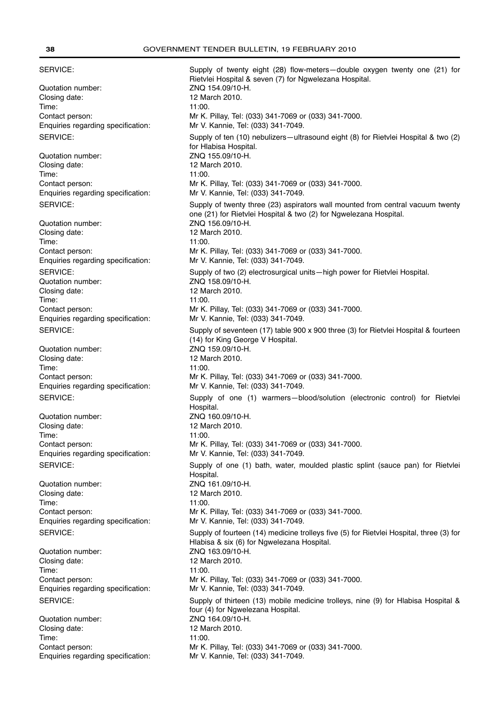SERVICE: Supply of twenty eight (28) flow-meters—double oxygen twenty one (21) for Rietvlei Hospital & seven (7) for Ngwelezana Hospital. Quotation number: <br>
ZNQ 154.09/10-H. Closing date: 12 March 2010. Time: 11:00. Contact person: Mr K. Pillay, Tel: (033) 341-7069 or (033) 341-7000. Enquiries regarding specification: Mr V. Kannie, Tel: (033) 341-7049. SERVICE: Supply of ten (10) nebulizers—ultrasound eight (8) for Rietvlei Hospital & two (2) for Hlabisa Hospital. Quotation number: ZNQ 155.09/10-H. Closing date: 12 March 2010. Time: 11:00. Contact person: Mr K. Pillay, Tel: (033) 341-7069 or (033) 341-7000. Enquiries regarding specification: Mr V. Kannie, Tel: (033) 341-7049. SERVICE: Supply of twenty three (23) aspirators wall mounted from central vacuum twenty one (21) for Rietvlei Hospital & two (2) for Ngwelezana Hospital. Quotation number: ZNQ 156.09/10-H. Closing date: 12 March 2010. Time: 11:00. Contact person: Mr K. Pillay, Tel: (033) 341-7069 or (033) 341-7000. Enquiries regarding specification: Mr V. Kannie, Tel: (033) 341-7049. SERVICE: Supply of two (2) electrosurgical units—high power for Rietvlei Hospital. Quotation number: ZNQ 158.09/10-H. Closing date: 12 March 2010. Time: 11:00. Contact person: Mr K. Pillay, Tel: (033) 341-7069 or (033) 341-7000. Enquiries regarding specification: Mr V. Kannie, Tel: (033) 341-7049. SERVICE: Supply of seventeen (17) table 900 x 900 three (3) for Rietvlei Hospital & fourteen (14) for King George V Hospital. Quotation number: ZNQ 159.09/10-H. Closing date: 12 March 2010. Time: 11:00. Contact person: Mr K. Pillay, Tel: (033) 341-7069 or (033) 341-7000. Enquiries regarding specification: Mr V. Kannie, Tel: (033) 341-7049. SERVICE: Supply of one (1) warmers—blood/solution (electronic control) for Rietvlei Hospital. Quotation number: ZNQ 160.09/10-H. Closing date: 12 March 2010. Time: 11:00. Contact person: Mr K. Pillay, Tel: (033) 341-7069 or (033) 341-7000. Enquiries regarding specification: Mr V. Kannie, Tel: (033) 341-7049. SERVICE: Supply of one (1) bath, water, moulded plastic splint (sauce pan) for Rietvlei Hospital. Quotation number: ZNQ 161.09/10-H. Closing date: 12 March 2010. Time: 11:00. Contact person: Mr K. Pillay, Tel: (033) 341-7069 or (033) 341-7000. Enquiries regarding specification: Mr V. Kannie, Tel: (033) 341-7049. SERVICE: Supply of fourteen (14) medicine trolleys five (5) for Rietvlei Hospital, three (3) for Hlabisa & six (6) for Ngwelezana Hospital. Quotation number: <br>
Closing date: <br>
2 March 2010. Closing date: Time: 11:00. Contact person: Mr K. Pillay, Tel: (033) 341-7069 or (033) 341-7000. Enquiries regarding specification: Mr V. Kannie, Tel: (033) 341-7049. SERVICE: Supply of thirteen (13) mobile medicine trolleys, nine (9) for Hlabisa Hospital & four (4) for Ngwelezana Hospital.<br>ZNO 164.09/10-H. Quotation number: Closing date: 12 March 2010. Time: 11:00. Contact person: Mr K. Pillay, Tel: (033) 341-7069 or (033) 341-7000.

Enquiries regarding specification: Mr V. Kannie, Tel: (033) 341-7049.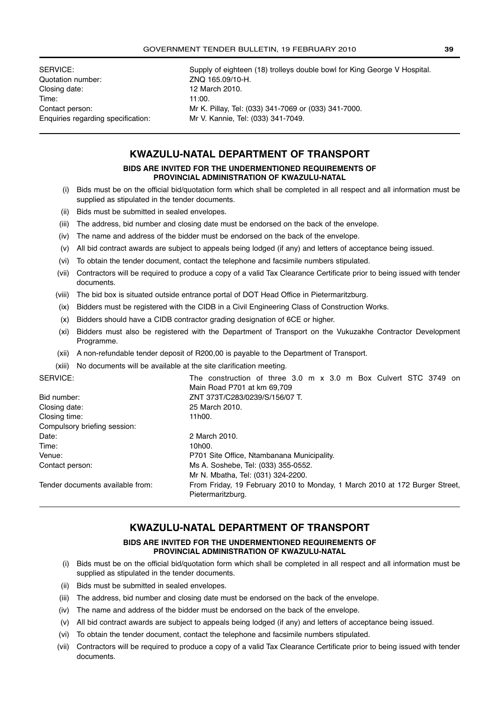Quotation number: ZNQ 165.09/10-H. Closing date: 12 March 2010. Time: 11:00. Enquiries regarding specification: Mr V. Kannie, Tel: (033) 341-7049.

SERVICE: Supply of eighteen (18) trolleys double bowl for King George V Hospital. Contact person: Mr K. Pillay, Tel: (033) 341-7069 or (033) 341-7000.

### **KWAZULU-NATAL DEPARTMENT OF TRANSPORT**

### **BIDS ARE INVITED FOR THE UNDERMENTIONED REQUIREMENTS OF PROVINCIAL ADMINISTRATION OF KWAZULU-NATAL**

- (i) Bids must be on the official bid/quotation form which shall be completed in all respect and all information must be supplied as stipulated in the tender documents.
- (ii) Bids must be submitted in sealed envelopes.
- (iii) The address, bid number and closing date must be endorsed on the back of the envelope.
- (iv) The name and address of the bidder must be endorsed on the back of the envelope.
- (v) All bid contract awards are subject to appeals being lodged (if any) and letters of acceptance being issued.
- (vi) To obtain the tender document, contact the telephone and facsimile numbers stipulated.
- (vii) Contractors will be required to produce a copy of a valid Tax Clearance Certificate prior to being issued with tender documents.
- (viii) The bid box is situated outside entrance portal of DOT Head Office in Pietermaritzburg.
- (ix) Bidders must be registered with the CIDB in a Civil Engineering Class of Construction Works.
- (x) Bidders should have a CIDB contractor grading designation of 6CE or higher.
- (xi) Bidders must also be registered with the Department of Transport on the Vukuzakhe Contractor Development Programme.
- (xii) A non-refundable tender deposit of R200,00 is payable to the Department of Transport.
- (xiii) No documents will be available at the site clarification meeting.

| SERVICE:                         | The construction of three 3.0 m x 3.0 m Box Culvert STC 3749 on             |  |  |  |
|----------------------------------|-----------------------------------------------------------------------------|--|--|--|
|                                  | Main Road P701 at km 69.709                                                 |  |  |  |
| Bid number:                      | ZNT 373T/C283/0239/S/156/07 T.                                              |  |  |  |
| Closing date:                    | 25 March 2010.                                                              |  |  |  |
| Closing time:                    | 11h00.                                                                      |  |  |  |
| Compulsory briefing session:     |                                                                             |  |  |  |
| Date:                            | 2 March 2010.                                                               |  |  |  |
| Time:                            | 10 <sub>h00</sub> .                                                         |  |  |  |
| Venue:                           | P701 Site Office, Ntambanana Municipality.                                  |  |  |  |
| Contact person:                  | Ms A. Soshebe, Tel: (033) 355-0552.                                         |  |  |  |
|                                  | Mr N. Mbatha, Tel: (031) 324-2200.                                          |  |  |  |
| Tender documents available from: | From Friday, 19 February 2010 to Monday, 1 March 2010 at 172 Burger Street, |  |  |  |
|                                  | Pietermaritzburg.                                                           |  |  |  |

### **KWAZULU-NATAL DEPARTMENT OF TRANSPORT**

### **BIDS ARE INVITED FOR THE UNDERMENTIONED REQUIREMENTS OF PROVINCIAL ADMINISTRATION OF KWAZULU-NATAL**

- (i) Bids must be on the official bid/quotation form which shall be completed in all respect and all information must be supplied as stipulated in the tender documents.
- (ii) Bids must be submitted in sealed envelopes.
- (iii) The address, bid number and closing date must be endorsed on the back of the envelope.
- (iv) The name and address of the bidder must be endorsed on the back of the envelope.
- (v) All bid contract awards are subject to appeals being lodged (if any) and letters of acceptance being issued.
- (vi) To obtain the tender document, contact the telephone and facsimile numbers stipulated.
- (vii) Contractors will be required to produce a copy of a valid Tax Clearance Certificate prior to being issued with tender documents.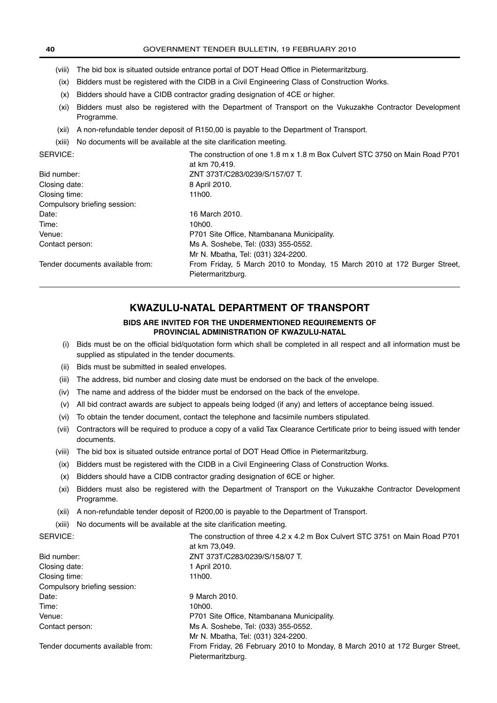- (viii) The bid box is situated outside entrance portal of DOT Head Office in Pietermaritzburg.
- (ix) Bidders must be registered with the CIDB in a Civil Engineering Class of Construction Works.
- (x) Bidders should have a CIDB contractor grading designation of 4CE or higher.
- (xi) Bidders must also be registered with the Department of Transport on the Vukuzakhe Contractor Development Programme.
- (xii) A non-refundable tender deposit of R150,00 is payable to the Department of Transport.
- (xiii) No documents will be available at the site clarification meeting.

SERVICE: The construction of one 1.8 m x 1.8 m Box Culvert STC 3750 on Main Road P701

|                                  | at km 70,419.                                                                                 |
|----------------------------------|-----------------------------------------------------------------------------------------------|
| Bid number:                      | ZNT 373T/C283/0239/S/157/07 T.                                                                |
| Closing date:                    | 8 April 2010.                                                                                 |
| Closing time:                    | 11h00.                                                                                        |
| Compulsory briefing session:     |                                                                                               |
| Date:                            | 16 March 2010.                                                                                |
| Time:                            | 10 <sub>h00</sub> .                                                                           |
| Venue:                           | P701 Site Office, Ntambanana Municipality.                                                    |
| Contact person:                  | Ms A. Soshebe, Tel: (033) 355-0552.                                                           |
|                                  | Mr N. Mbatha, Tel: (031) 324-2200.                                                            |
| Tender documents available from: | From Friday, 5 March 2010 to Monday, 15 March 2010 at 172 Burger Street,<br>Pietermaritzburg. |

### **KWAZULU-NATAL DEPARTMENT OF TRANSPORT**

### **BIDS ARE INVITED FOR THE UNDERMENTIONED REQUIREMENTS OF PROVINCIAL ADMINISTRATION OF KWAZULU-NATAL**

- (i) Bids must be on the official bid/quotation form which shall be completed in all respect and all information must be supplied as stipulated in the tender documents.
- (ii) Bids must be submitted in sealed envelopes.
- (iii) The address, bid number and closing date must be endorsed on the back of the envelope.
- (iv) The name and address of the bidder must be endorsed on the back of the envelope.
- (v) All bid contract awards are subject to appeals being lodged (if any) and letters of acceptance being issued.
- (vi) To obtain the tender document, contact the telephone and facsimile numbers stipulated.
- (vii) Contractors will be required to produce a copy of a valid Tax Clearance Certificate prior to being issued with tender documents.
- (viii) The bid box is situated outside entrance portal of DOT Head Office in Pietermaritzburg.
- (ix) Bidders must be registered with the CIDB in a Civil Engineering Class of Construction Works.
- (x) Bidders should have a CIDB contractor grading designation of 6CE or higher.
- (xi) Bidders must also be registered with the Department of Transport on the Vukuzakhe Contractor Development Programme.
- (xii) A non-refundable tender deposit of R200,00 is payable to the Department of Transport.
- (xiii) No documents will be available at the site clarification meeting.

| SERVICE:                         | The construction of three 4.2 x 4.2 m Box Culvert STC 3751 on Main Road P701 |  |
|----------------------------------|------------------------------------------------------------------------------|--|
|                                  | at km 73,049.                                                                |  |
| Bid number:                      | ZNT 373T/C283/0239/S/158/07 T.                                               |  |
| Closing date:                    | 1 April 2010.                                                                |  |
| Closing time:                    | 11h00.                                                                       |  |
| Compulsory briefing session:     |                                                                              |  |
| Date:                            | 9 March 2010.                                                                |  |
| Time:                            | 10 <sub>h00</sub> .                                                          |  |
| Venue:                           | P701 Site Office, Ntambanana Municipality.                                   |  |
| Contact person:                  | Ms A. Soshebe, Tel: (033) 355-0552.                                          |  |
|                                  | Mr N. Mbatha, Tel: (031) 324-2200.                                           |  |
| Tender documents available from: | From Friday, 26 February 2010 to Monday, 8 March 2010 at 172 Burger Street,  |  |
|                                  | Pietermaritzburg.                                                            |  |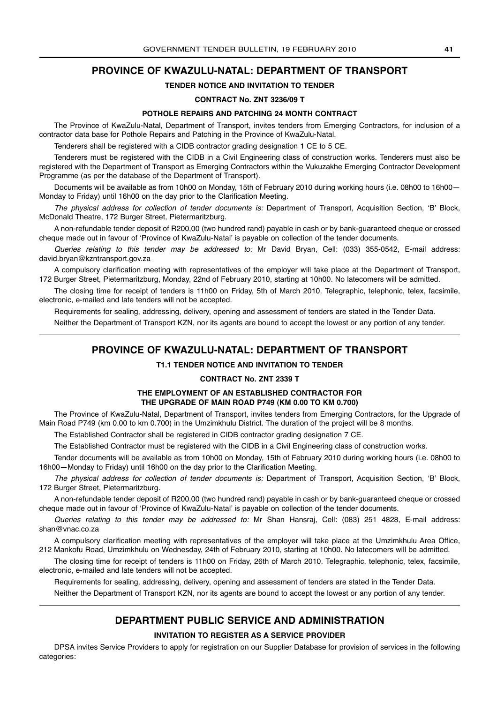### **PROVINCE OF KWAZULU-NATAL: DEPARTMENT OF TRANSPORT**

### **TENDER NOTICE AND INVITATION TO TENDER**

### **CONTRACT No. ZNT 3236/09 T**

### **POTHOLE REPAIRS AND PATCHING 24 MONTH CONTRACT**

The Province of KwaZulu-Natal, Department of Transport, invites tenders from Emerging Contractors, for inclusion of a contractor data base for Pothole Repairs and Patching in the Province of KwaZulu-Natal.

Tenderers shall be registered with a CIDB contractor grading designation 1 CE to 5 CE.

Tenderers must be registered with the CIDB in a Civil Engineering class of construction works. Tenderers must also be registered with the Department of Transport as Emerging Contractors within the Vukuzakhe Emerging Contractor Development Programme (as per the database of the Department of Transport).

Documents will be available as from 10h00 on Monday, 15th of February 2010 during working hours (i.e. 08h00 to 16h00-Monday to Friday) until 16h00 on the day prior to the Clarification Meeting.

The physical address for collection of tender documents is: Department of Transport, Acquisition Section, 'B' Block, McDonald Theatre, 172 Burger Street, Pietermaritzburg.

A non-refundable tender deposit of R200,00 (two hundred rand) payable in cash or by bank-guaranteed cheque or crossed cheque made out in favour of 'Province of KwaZulu-Natal' is payable on collection of the tender documents.

Queries relating to this tender may be addressed to: Mr David Bryan, Cell: (033) 355-0542, E-mail address: david.bryan@kzntransport.gov.za

A compulsory clarification meeting with representatives of the employer will take place at the Department of Transport, 172 Burger Street, Pietermaritzburg, Monday, 22nd of February 2010, starting at 10h00. No latecomers will be admitted.

The closing time for receipt of tenders is 11h00 on Friday, 5th of March 2010. Telegraphic, telephonic, telex, facsimile, electronic, e-mailed and late tenders will not be accepted.

Requirements for sealing, addressing, delivery, opening and assessment of tenders are stated in the Tender Data.

Neither the Department of Transport KZN, nor its agents are bound to accept the lowest or any portion of any tender.

### **PROVINCE OF KWAZULU-NATAL: DEPARTMENT OF TRANSPORT**

### **T1.1 TENDER NOTICE AND INVITATION TO TENDER**

### **CONTRACT No. ZNT 2339 T**

### **THE EMPLOYMENT OF AN ESTABLISHED CONTRACTOR FOR THE UPGRADE OF MAIN ROAD P749 (KM 0.00 TO KM 0.700)**

The Province of KwaZulu-Natal, Department of Transport, invites tenders from Emerging Contractors, for the Upgrade of Main Road P749 (km 0.00 to km 0.700) in the Umzimkhulu District. The duration of the project will be 8 months.

The Established Contractor shall be registered in CIDB contractor grading designation 7 CE.

The Established Contractor must be registered with the CIDB in a Civil Engineering class of construction works.

Tender documents will be available as from 10h00 on Monday, 15th of February 2010 during working hours (i.e. 08h00 to 16h00—Monday to Friday) until 16h00 on the day prior to the Clarification Meeting.

The physical address for collection of tender documents is: Department of Transport, Acquisition Section, 'B' Block, 172 Burger Street, Pietermaritzburg.

A non-refundable tender deposit of R200,00 (two hundred rand) payable in cash or by bank-guaranteed cheque or crossed cheque made out in favour of 'Province of KwaZulu-Natal' is payable on collection of the tender documents.

Queries relating to this tender may be addressed to: Mr Shan Hansraj, Cell: (083) 251 4828, E-mail address: shan@vnac.co.za

A compulsory clarification meeting with representatives of the employer will take place at the Umzimkhulu Area Office, 212 Mankofu Road, Umzimkhulu on Wednesday, 24th of February 2010, starting at 10h00. No latecomers will be admitted.

The closing time for receipt of tenders is 11h00 on Friday, 26th of March 2010. Telegraphic, telephonic, telex, facsimile, electronic, e-mailed and late tenders will not be accepted.

Requirements for sealing, addressing, delivery, opening and assessment of tenders are stated in the Tender Data.

Neither the Department of Transport KZN, nor its agents are bound to accept the lowest or any portion of any tender.

### **DEPARTMENT PUBLIC SERVICE AND ADMINISTRATION**

### **INVITATION TO REGISTER AS A SERVICE PROVIDER**

DPSA invites Service Providers to apply for registration on our Supplier Database for provision of services in the following categories: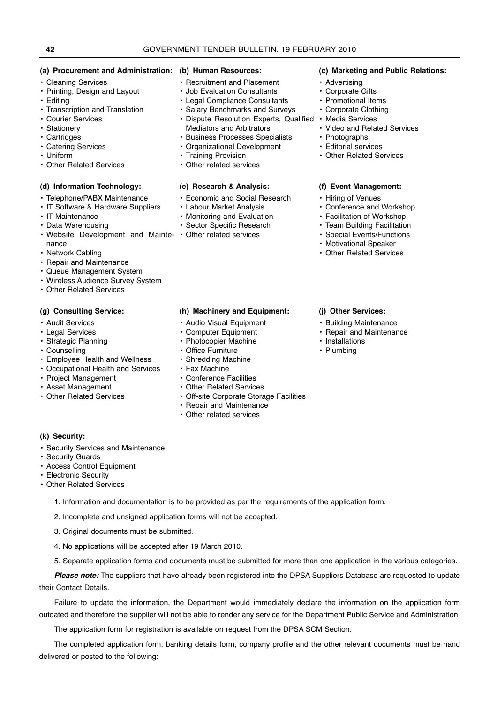### **(a) Procurement and Administration: (b) Human Resources:**

- Cleaning Services
- Printing, Design and Layout
- Editing
- Transcription and Translation
- Courier Services
- Stationery
- Cartridges
- Catering Services
- Uniform
- Other Related Services

### **(d) Information Technology:**

- Telephone/PABX Maintenance
- IT Software & Hardware Suppliers
- IT Maintenance
- Data Warehousing
- Website Development and Mainte- Other related services nance
- Network Cabling
- Repair and Maintenance
- Queue Management System
- Wireless Audience Survey System
- Other Related Services

### **(g) Consulting Service:**

- Audit Services
- Legal Services
- Strategic Planning
- Counselling
- Employee Health and Wellness
- Occupational Health and Services
- Project Management
- Asset Management
- 

- Recruitment and Placement
- Job Evaluation Consultants
- Legal Compliance Consultants
- Salary Benchmarks and Surveys
- Dispute Resolution Experts, Qualified Media Services Mediators and Arbitrators
- Business Processes Specialists
- Organizational Development
- Training Provision
- Other related services

### **(e) Research & Analysis:**

- Economic and Social Research
- Labour Market Analysis
- Monitoring and Evaluation
- Sector Specific Research
- 

### **(c) Marketing and Public Relations:**

- Advertising
- Corporate Gifts
- Promotional Items
- Corporate Clothing
- 
- Video and Related Services
- Photographs
- Editorial services
- Other Related Services

### **(f) Event Management:**

- Hiring of Venues
- Conference and Workshop
- Facilitation of Workshop
- Team Building Facilitation
- Special Events/Functions
- Motivational Speaker
- Other Related Services

### **(j) Other Services:**

- Building Maintenance
- Repair and Maintenance
- Installations
- Plumbing
- Shredding Machine • Fax Machine
- 
- 
- Other Related Services
- Conference Facilities • Other Related Services
- 

**(h) Machinery and Equipment:** • Audio Visual Equipment • Computer Equipment • Photocopier Machine • Office Furniture

- Off-site Corporate Storage Facilities • Repair and Maintenance
- Other related services

### **(k) Security:**

- Security Services and Maintenance
- Security Guards
- Access Control Equipment
- Electronic Security
- Other Related Services
	- 1. Information and documentation is to be provided as per the requirements of the application form.
	- 2. Incomplete and unsigned application forms will not be accepted.
	- 3. Original documents must be submitted.
	- 4. No applications will be accepted after 19 March 2010.
	- 5. Separate application forms and documents must be submitted for more than one application in the various categories.

**Please note:** The suppliers that have already been registered into the DPSA Suppliers Database are requested to update their Contact Details.

Failure to update the information, the Department would immediately declare the information on the application form outdated and therefore the supplier will not be able to render any service for the Department Public Service and Administration.

The application form for registration is available on request from the DPSA SCM Section.

The completed application form, banking details form, company profile and the other relevant documents must be hand delivered or posted to the following: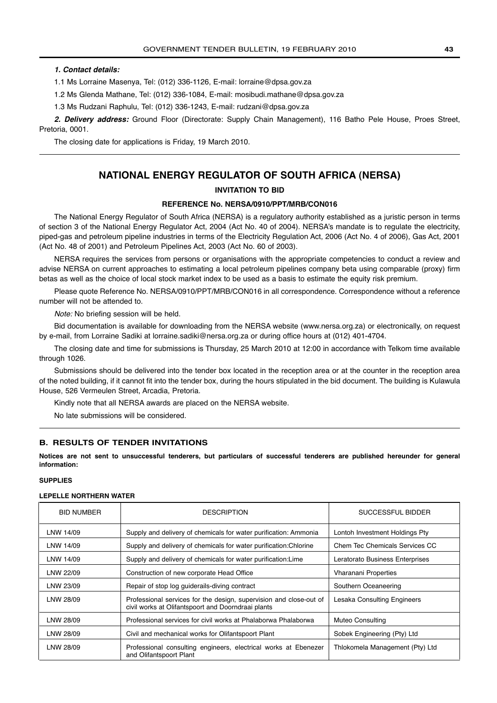### <span id="page-42-0"></span>**1. Contact details:**

1.1 Ms Lorraine Masenya, Tel: (012) 336-1126, E-mail: lorraine@dpsa.gov.za

1.2 Ms Glenda Mathane, Tel: (012) 336-1084, E-mail: mosibudi.mathane@dpsa.gov.za

1.3 Ms Rudzani Raphulu, Tel: (012) 336-1243, E-mail: rudzani@dpsa.gov.za

**2. Delivery address:** Ground Floor (Directorate: Supply Chain Management), 116 Batho Pele House, Proes Street, Pretoria, 0001.

The closing date for applications is Friday, 19 March 2010.

### **NATIONAL ENERGY REGULATOR OF SOUTH AFRICA (NERSA)**

### **INVITATION TO BID**

### **REFERENCE No. NERSA/0910/PPT/MRB/CON016**

The National Energy Regulator of South Africa (NERSA) is a regulatory authority established as a juristic person in terms of section 3 of the National Energy Regulator Act, 2004 (Act No. 40 of 2004). NERSA's mandate is to regulate the electricity, piped-gas and petroleum pipeline industries in terms of the Electricity Regulation Act, 2006 (Act No. 4 of 2006), Gas Act, 2001 (Act No. 48 of 2001) and Petroleum Pipelines Act, 2003 (Act No. 60 of 2003).

NERSA requires the services from persons or organisations with the appropriate competencies to conduct a review and advise NERSA on current approaches to estimating a local petroleum pipelines company beta using comparable (proxy) firm betas as well as the choice of local stock market index to be used as a basis to estimate the equity risk premium.

Please quote Reference No. NERSA/0910/PPT/MRB/CON016 in all correspondence. Correspondence without a reference number will not be attended to.

Note: No briefing session will be held.

Bid documentation is available for downloading from the NERSA website (www.nersa.org.za) or electronically, on request by e-mail, from Lorraine Sadiki at lorraine.sadiki@nersa.org.za or during office hours at (012) 401-4704.

The closing date and time for submissions is Thursday, 25 March 2010 at 12:00 in accordance with Telkom time available through 1026.

Submissions should be delivered into the tender box located in the reception area or at the counter in the reception area of the noted building, if it cannot fit into the tender box, during the hours stipulated in the bid document. The building is Kulawula House, 526 Vermeulen Street, Arcadia, Pretoria.

Kindly note that all NERSA awards are placed on the NERSA website.

No late submissions will be considered.

### **B. RESULTS OF TENDER INVITATIONS**

**Notices are not sent to unsuccessful tenderers, but particulars of successful tenderers are published hereunder for general information:**

### **SUPPLIES**

### **LEPELLE NORTHERN WATER**

| <b>BID NUMBER</b> | <b>DESCRIPTION</b>                                                                                                       | SUCCESSFUL BIDDER               |
|-------------------|--------------------------------------------------------------------------------------------------------------------------|---------------------------------|
| LNW 14/09         | Supply and delivery of chemicals for water purification: Ammonia                                                         | Lontoh Investment Holdings Pty  |
| LNW 14/09         | Supply and delivery of chemicals for water purification: Chlorine                                                        | Chem Tec Chemicals Services CC  |
| LNW 14/09         | Supply and delivery of chemicals for water purification: Lime                                                            | Leratorato Business Enterprises |
| LNW 22/09         | Construction of new corporate Head Office                                                                                | <b>Vharanani Properties</b>     |
| LNW 23/09         | Repair of stop log guiderails-diving contract                                                                            | Southern Oceaneering            |
| LNW 28/09         | Professional services for the design, supervision and close-out of<br>civil works at Olifantspoort and Doorndraai plants | Lesaka Consulting Engineers     |
| LNW 28/09         | Professional services for civil works at Phalaborwa Phalaborwa                                                           | <b>Muteo Consulting</b>         |
| LNW 28/09         | Civil and mechanical works for Olifantspoort Plant                                                                       | Sobek Engineering (Pty) Ltd     |
| LNW 28/09         | Professional consulting engineers, electrical works at Ebenezer<br>and Olifantspoort Plant                               | Thlokomela Management (Pty) Ltd |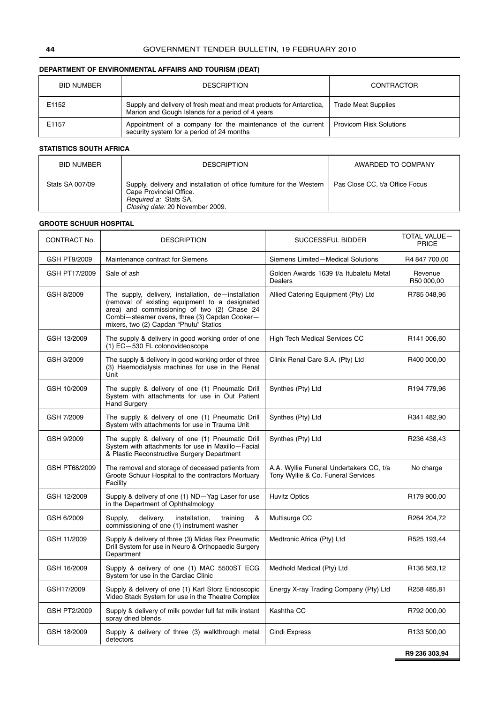### **DEPARTMENT OF ENVIRONMENTAL AFFAIRS AND TOURISM (DEAT)**

| BID NUMBER | <b>DESCRIPTION</b>                                                                                                      | CONTRACTOR                     |
|------------|-------------------------------------------------------------------------------------------------------------------------|--------------------------------|
| E1152      | Supply and delivery of fresh meat and meat products for Antarctica,<br>Marion and Gough Islands for a period of 4 years | <b>Trade Meat Supplies</b>     |
| E1157      | Appointment of a company for the maintenance of the current<br>security system for a period of 24 months                | <b>Provicom Risk Solutions</b> |

### **STATISTICS SOUTH AFRICA**

| <b>BID NUMBER</b> | <b>DESCRIPTION</b>                                                                                                                                           | AWARDED TO COMPANY             |
|-------------------|--------------------------------------------------------------------------------------------------------------------------------------------------------------|--------------------------------|
| Stats SA 007/09   | Supply, delivery and installation of office furniture for the Western<br>Cape Provincial Office.<br>Required a: Stats SA.<br>Closing date: 20 November 2009. | Pas Close CC, t/a Office Focus |

### **GROOTE SCHUUR HOSPITAL**

| CONTRACT No.  | <b>DESCRIPTION</b>                                                                                                                                                                                                                              | SUCCESSFUL BIDDER                                                             | <b>TOTAL VALUE-</b><br><b>PRICE</b> |
|---------------|-------------------------------------------------------------------------------------------------------------------------------------------------------------------------------------------------------------------------------------------------|-------------------------------------------------------------------------------|-------------------------------------|
| GSH PT9/2009  | Maintenance contract for Siemens                                                                                                                                                                                                                | Siemens Limited-Medical Solutions                                             | R4 847 700,00                       |
| GSH PT17/2009 | Sale of ash                                                                                                                                                                                                                                     | Golden Awards 1639 t/a Itubaletu Metal<br><b>Dealers</b>                      | Revenue<br>R50 000,00               |
| GSH 8/2009    | The supply, delivery, installation, de-installation<br>(removal of existing equipment to a designated<br>area) and commissioning of two (2) Chase 24<br>Combi-steamer ovens, three (3) Capdan Cooker-<br>mixers, two (2) Capdan "Phutu" Statics | Allied Catering Equipment (Pty) Ltd                                           | R785 048,96                         |
| GSH 13/2009   | The supply & delivery in good working order of one<br>(1) EC-530 FL colonovideoscope                                                                                                                                                            | <b>High Tech Medical Services CC</b>                                          | R141 006,60                         |
| GSH 3/2009    | The supply & delivery in good working order of three<br>(3) Haemodialysis machines for use in the Renal<br>Unit                                                                                                                                 | Clinix Renal Care S.A. (Pty) Ltd                                              | R400 000,00                         |
| GSH 10/2009   | The supply & delivery of one (1) Pneumatic Drill<br>System with attachments for use in Out Patient<br><b>Hand Surgery</b>                                                                                                                       | Synthes (Pty) Ltd                                                             | R194 779,96                         |
| GSH 7/2009    | The supply & delivery of one (1) Pneumatic Drill<br>System with attachments for use in Trauma Unit                                                                                                                                              | Synthes (Pty) Ltd                                                             | R341 482,90                         |
| GSH 9/2009    | The supply & delivery of one (1) Pneumatic Drill<br>System with attachments for use in Maxillo-Facial<br>& Plastic Reconstructive Surgery Department                                                                                            | Synthes (Pty) Ltd                                                             | R236 438,43                         |
| GSH PT68/2009 | The removal and storage of deceased patients from<br>Groote Schuur Hospital to the contractors Mortuary<br>Facility                                                                                                                             | A.A. Wyllie Funeral Undertakers CC, t/a<br>Tony Wyllie & Co. Funeral Services | No charge                           |
| GSH 12/2009   | Supply & delivery of one (1) ND-Yag Laser for use<br>in the Department of Ophthalmology                                                                                                                                                         | <b>Huvitz Optics</b>                                                          | R179 900,00                         |
| GSH 6/2009    | Supply,<br>delivery,<br>installation,<br>training<br>&<br>commissioning of one (1) instrument washer                                                                                                                                            | Multisurge CC                                                                 | R264 204,72                         |
| GSH 11/2009   | Supply & delivery of three (3) Midas Rex Pneumatic<br>Drill System for use in Neuro & Orthopaedic Surgery<br>Department                                                                                                                         | Medtronic Africa (Pty) Ltd                                                    | R525 193,44                         |
| GSH 16/2009   | Supply & delivery of one (1) MAC 5500ST ECG<br>System for use in the Cardiac Clinic                                                                                                                                                             | Medhold Medical (Pty) Ltd                                                     | R136 563,12                         |
| GSH17/2009    | Supply & delivery of one (1) Karl Storz Endoscopic<br>Video Stack System for use in the Theatre Complex                                                                                                                                         | Energy X-ray Trading Company (Pty) Ltd                                        | R258 485,81                         |
| GSH PT2/2009  | Supply & delivery of milk powder full fat milk instant<br>spray dried blends                                                                                                                                                                    | Kashtha CC                                                                    | R792 000,00                         |
| GSH 18/2009   | Supply & delivery of three (3) walkthrough metal<br>detectors                                                                                                                                                                                   | Cindi Express                                                                 | R133 500,00                         |
|               |                                                                                                                                                                                                                                                 |                                                                               | R9 236 303,94                       |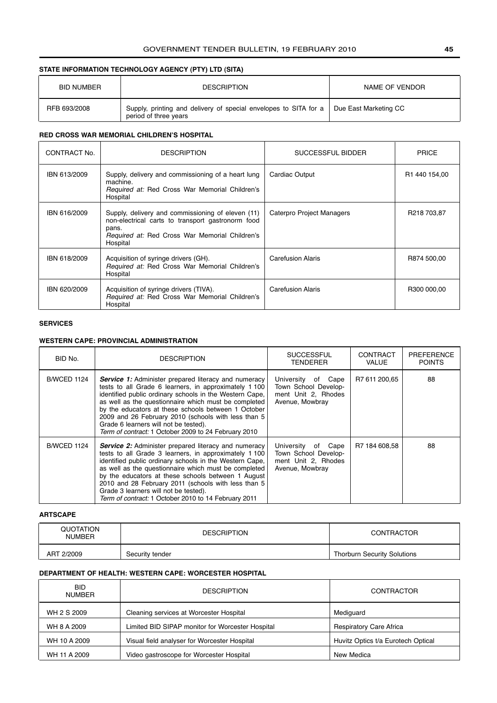### **STATE INFORMATION TECHNOLOGY AGENCY (PTY) LTD (SITA)**

| <b>BID NUMBER</b> | <b>DESCRIPTION</b>                                                                                                | NAME OF VENDOR |
|-------------------|-------------------------------------------------------------------------------------------------------------------|----------------|
| RFB 693/2008      | Supply, printing and delivery of special envelopes to SITA for a   Due East Marketing CC<br>period of three years |                |

### **RED CROSS WAR MEMORIAL CHILDREN'S HOSPITAL**

| CONTRACT No. | <b>DESCRIPTION</b>                                                                                                                                                                   | SUCCESSFUL BIDDER         | <b>PRICE</b>              |  |
|--------------|--------------------------------------------------------------------------------------------------------------------------------------------------------------------------------------|---------------------------|---------------------------|--|
| IBN 613/2009 | Supply, delivery and commissioning of a heart lung<br>machine.<br>Required at: Red Cross War Memorial Children's<br>Hospital                                                         | Cardiac Output            | R <sub>1</sub> 440 154,00 |  |
| IBN 616/2009 | Supply, delivery and commissioning of eleven (11)<br>non-electrical carts to transport gastronorm food<br>pans.<br><i>Required at:</i> Red Cross War Memorial Children's<br>Hospital | Caterpro Project Managers | R218 703.87               |  |
| IBN 618/2009 | Acquisition of syringe drivers (GH).<br>Required at: Red Cross War Memorial Children's<br>Hospital                                                                                   | <b>Carefusion Alaris</b>  | R874 500.00               |  |
| IBN 620/2009 | Acquisition of syringe drivers (TIVA).<br>Required at: Red Cross War Memorial Children's<br>Hospital                                                                                 | <b>Carefusion Alaris</b>  | R300 000.00               |  |

### **SERVICES**

### **WESTERN CAPE: PROVINCIAL ADMINISTRATION**

| BID No.            | <b>DESCRIPTION</b>                                                                                                                                                                                                                                                                                                                                                                                                                                    | <b>SUCCESSFUL</b><br><b>TENDERER</b>                                                 | <b>CONTRACT</b><br><b>VALUE</b> | <b>PREFERENCE</b><br><b>POINTS</b> |
|--------------------|-------------------------------------------------------------------------------------------------------------------------------------------------------------------------------------------------------------------------------------------------------------------------------------------------------------------------------------------------------------------------------------------------------------------------------------------------------|--------------------------------------------------------------------------------------|---------------------------------|------------------------------------|
| <b>B/WCED 1124</b> | Service 1: Administer prepared literacy and numeracy<br>tests to all Grade 6 learners, in approximately 1 100<br>identified public ordinary schools in the Western Cape.<br>as well as the questionnaire which must be completed<br>by the educators at these schools between 1 October<br>2009 and 26 February 2010 (schools with less than 5<br>Grade 6 learners will not be tested).<br>Term of contract: 1 October 2009 to 24 February 2010       | University of Cape<br>Town School Develop-<br>ment Unit 2. Rhodes<br>Avenue, Mowbray | R7 611 200,65                   | 88                                 |
| <b>B/WCED 1124</b> | <b>Service 2:</b> Administer prepared literacy and numeracy<br>tests to all Grade 3 learners, in approximately 1 100<br>identified public ordinary schools in the Western Cape.<br>as well as the questionnaire which must be completed<br>by the educators at these schools between 1 August<br>2010 and 28 February 2011 (schools with less than 5<br>Grade 3 learners will not be tested).<br>Term of contract: 1 October 2010 to 14 February 2011 | University of Cape<br>Town School Develop-<br>ment Unit 2. Rhodes<br>Avenue, Mowbray | R7 184 608.58                   | 88                                 |

### **ARTSCAPE**

| QUOTATION<br><b>NUMBER</b> | <b>DESCRIPTION</b> | <b>CONTRACTOR</b>                  |
|----------------------------|--------------------|------------------------------------|
| ART 2/2009                 | Security tender    | <b>Thorburn Security Solutions</b> |

### **DEPARTMENT OF HEALTH: WESTERN CAPE: WORCESTER HOSPITAL**

| <b>BID</b><br><b>NUMBER</b> | <b>DESCRIPTION</b>                               | CONTRACTOR                         |
|-----------------------------|--------------------------------------------------|------------------------------------|
| WH 2 S 2009                 | Cleaning services at Worcester Hospital          | Mediguard                          |
| WH 8 A 2009                 | Limited BID SIPAP monitor for Worcester Hospital | <b>Respiratory Care Africa</b>     |
| WH 10 A 2009                | Visual field analyser for Worcester Hospital     | Huvitz Optics t/a Eurotech Optical |
| WH 11 A 2009                | Video gastroscope for Worcester Hospital         | New Medica                         |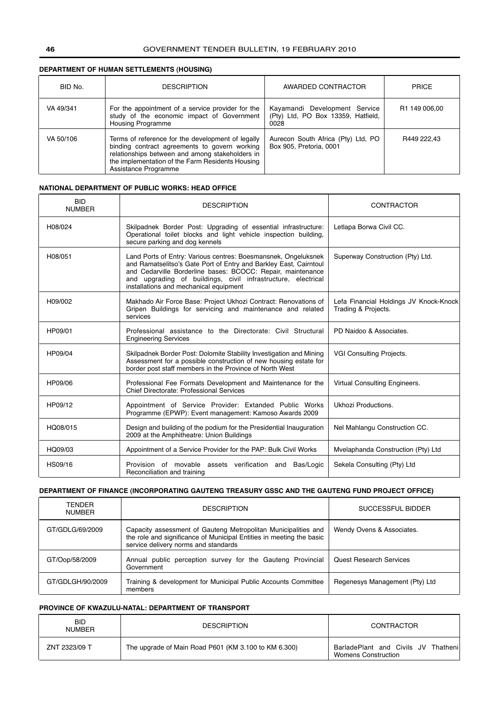### **DEPARTMENT OF HUMAN SETTLEMENTS (HOUSING)**

| BID No.   | <b>DESCRIPTION</b>                                                                                                                                                                                                                | AWARDED CONTRACTOR                                                          | <b>PRICE</b>              |
|-----------|-----------------------------------------------------------------------------------------------------------------------------------------------------------------------------------------------------------------------------------|-----------------------------------------------------------------------------|---------------------------|
| VA 49/341 | For the appointment of a service provider for the<br>study of the economic impact of Government<br>Housing Programme                                                                                                              | Kayamandi Development Service<br>(Pty) Ltd, PO Box 13359, Hatfield,<br>0028 | R <sub>1</sub> 149 006.00 |
| VA 50/106 | Terms of reference for the development of legally<br>binding contract agreements to govern working<br>relationships between and among stakeholders in<br>the implementation of the Farm Residents Housing<br>Assistance Programme | Aurecon South Africa (Pty) Ltd, PO<br>Box 905, Pretoria, 0001               | R449 222.43               |

### **NATIONAL DEPARTMENT OF PUBLIC WORKS: HEAD OFFICE**

| <b>BID</b><br><b>NUMBER</b> | <b>DESCRIPTION</b>                                                                                                                                                                                                                                                                                           | <b>CONTRACTOR</b>                                             |
|-----------------------------|--------------------------------------------------------------------------------------------------------------------------------------------------------------------------------------------------------------------------------------------------------------------------------------------------------------|---------------------------------------------------------------|
| H08/024                     | Skilpadnek Border Post: Upgrading of essential infrastructure:<br>Operational toilet blocks and light vehicle inspection building,<br>secure parking and dog kennels                                                                                                                                         | Letlapa Borwa Civil CC.                                       |
| H08/051                     | Land Ports of Entry: Various centres: Boesmansnek, Ongeluksnek<br>and Ramatselitso's Gate Port of Entry and Barkley East, Cairntoul<br>and Cedarville Borderline bases: BCOCC: Repair, maintenance<br>and upgrading of buildings, civil infrastructure, electrical<br>installations and mechanical equipment | Superway Construction (Pty) Ltd.                              |
| H09/002                     | Makhado Air Force Base: Project Ukhozi Contract: Renovations of<br>Gripen Buildings for servicing and maintenance and related<br>services                                                                                                                                                                    | Lefa Financial Holdings JV Knock-Knock<br>Trading & Projects. |
| HP09/01                     | Professional assistance to the Directorate: Civil Structural<br><b>Engineering Services</b>                                                                                                                                                                                                                  | PD Naidoo & Associates.                                       |
| HP09/04                     | Skilpadnek Border Post: Dolomite Stability Investigation and Mining<br>Assessment for a possible construction of new housing estate for<br>border post staff members in the Province of North West                                                                                                           | VGI Consulting Projects.                                      |
| HP09/06                     | Professional Fee Formats Development and Maintenance for the<br>Chief Directorate: Professional Services                                                                                                                                                                                                     | Virtual Consulting Engineers.                                 |
| HP09/12                     | Appointment of Service Provider: Extanded Public Works<br>Programme (EPWP): Event management: Kamoso Awards 2009                                                                                                                                                                                             | Ukhozi Productions.                                           |
| HQ08/015                    | Design and building of the podium for the Presidential Inauguration<br>2009 at the Amphitheatre: Union Buildings                                                                                                                                                                                             | Nel Mahlangu Construction CC.                                 |
| HQ09/03                     | Appointment of a Service Provider for the PAP: Bulk Civil Works                                                                                                                                                                                                                                              | Mvelaphanda Construction (Pty) Ltd                            |
| HS09/16                     | Provision of movable assets verification and Bas/Logic<br>Reconciliation and training                                                                                                                                                                                                                        | Sekela Consulting (Pty) Ltd                                   |

### **DEPARTMENT OF FINANCE (INCORPORATING GAUTENG TREASURY GSSC AND THE GAUTENG FUND PROJECT OFFICE)**

| TFNDFR<br>NUMBER | <b>DESCRIPTION</b>                                                                                                                                                             | SUCCESSFUL BIDDER              |
|------------------|--------------------------------------------------------------------------------------------------------------------------------------------------------------------------------|--------------------------------|
| GT/GDLG/69/2009  | Capacity assessment of Gauteng Metropolitan Municipalities and<br>the role and significance of Municipal Entities in meeting the basic<br>service delivery norms and standards | Wendy Ovens & Associates.      |
| GT/Oop/58/2009   | Annual public perception survey for the Gauteng Provincial<br>Government                                                                                                       | <b>Quest Research Services</b> |
| GT/GDLGH/90/2009 | Training & development for Municipal Public Accounts Committee<br>members                                                                                                      | Regenesys Management (Pty) Ltd |

### **PROVINCE OF KWAZULU-NATAL: DEPARTMENT OF TRANSPORT**

| <b>BID</b><br><b>NUMBER</b> | <b>DESCRIPTION</b>                                   | CONTRACTOR                                                         |
|-----------------------------|------------------------------------------------------|--------------------------------------------------------------------|
| ZNT 2323/09 T               | The upgrade of Main Road P601 (KM 3.100 to KM 6.300) | BarladePlant and Civils JV Thathenil<br><b>Womens Construction</b> |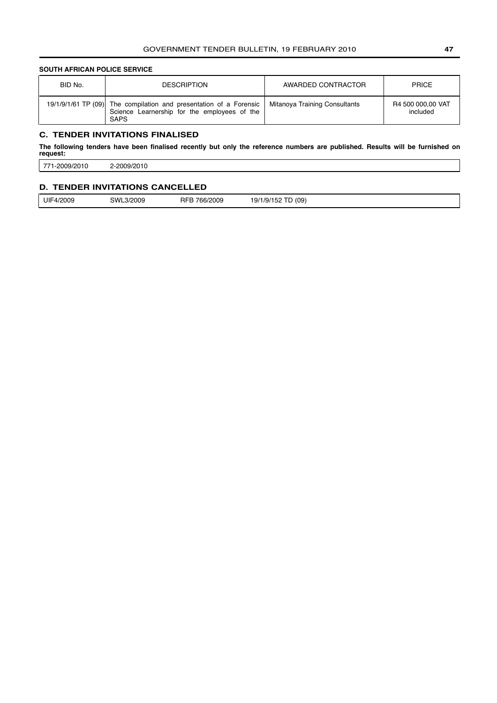### <span id="page-46-0"></span>**SOUTH AFRICAN POLICE SERVICE**

| BID No. | <b>DESCRIPTION</b>                                                                                                                | AWARDED CONTRACTOR            | <b>PRICE</b>                  |
|---------|-----------------------------------------------------------------------------------------------------------------------------------|-------------------------------|-------------------------------|
|         | 19/1/9/1/61 TP (09) The compilation and presentation of a Forensic<br>Science Learnership for the employees of the<br><b>SAPS</b> | Mitanoya Training Consultants | R4 500 000,00 VAT<br>included |

### **C. TENDER INVITATIONS FINALISED**

**The following tenders have been finalised recently but only the reference numbers are published. Results will be furnished on request:**

771-2009/2010 2-2009/2010

### **D. TENDER INVITATIONS CANCELLED**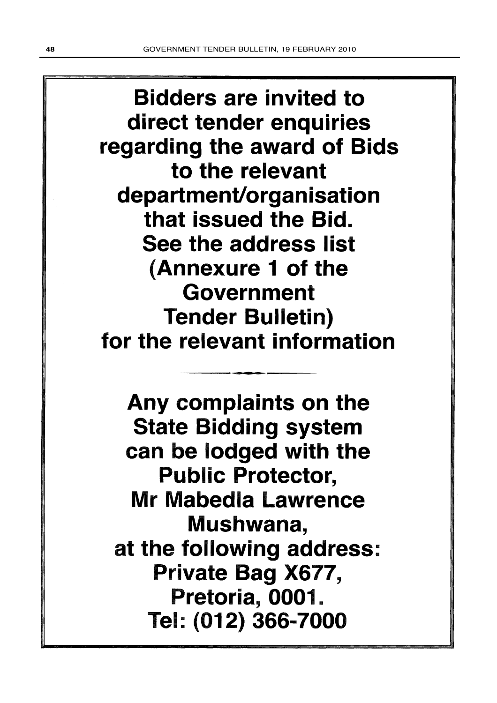**Bidders are invited to** direct tender enquiries regarding the award of Bids to the relevant department/organisation that issued the Bid. See the address list (Annexure 1 of the Government **Tender Bulletin)** for the relevant information

Any complaints on the **State Bidding system** can be lodged with the **Public Protector, Mr Mabedla Lawrence** Mushwana, at the following address: Private Bag X677, Pretoria, 0001. Tel: (012) 366-7000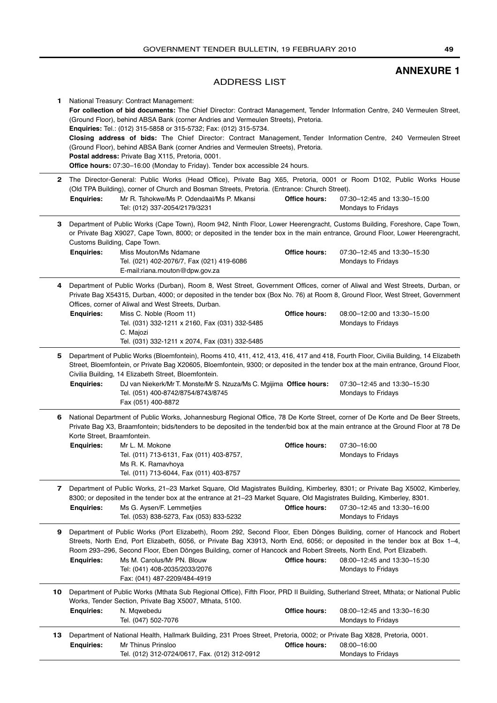### **ANNEXURE 1**

### ADDRESS LIST

<span id="page-48-0"></span>

| 1. |                                                   | National Treasury: Contract Management:<br>For collection of bid documents: The Chief Director: Contract Management, Tender Information Centre, 240 Vermeulen Street,<br>(Ground Floor), behind ABSA Bank (corner Andries and Vermeulen Streets), Pretoria.<br><b>Enquiries:</b> Tel.: (012) 315-5858 or 315-5732; Fax: (012) 315-5734.<br>Closing address of bids: The Chief Director: Contract Management, Tender Information Centre, 240 Vermeulen Street<br>(Ground Floor), behind ABSA Bank (corner Andries and Vermeulen Streets), Pretoria.<br>Postal address: Private Bag X115, Pretoria, 0001.<br>Office hours: 07:30-16:00 (Monday to Friday). Tender box accessible 24 hours. |                      |                                                   |
|----|---------------------------------------------------|------------------------------------------------------------------------------------------------------------------------------------------------------------------------------------------------------------------------------------------------------------------------------------------------------------------------------------------------------------------------------------------------------------------------------------------------------------------------------------------------------------------------------------------------------------------------------------------------------------------------------------------------------------------------------------------|----------------------|---------------------------------------------------|
| 2  | <b>Enquiries:</b>                                 | The Director-General: Public Works (Head Office), Private Bag X65, Pretoria, 0001 or Room D102, Public Works House<br>(Old TPA Building), corner of Church and Bosman Streets, Pretoria. (Entrance: Church Street).<br>Mr R. Tshokwe/Ms P. Odendaal/Ms P. Mkansi                                                                                                                                                                                                                                                                                                                                                                                                                         | Office hours:        | 07:30-12:45 and 13:30-15:00                       |
|    |                                                   | Tel: (012) 337-2054/2179/3231                                                                                                                                                                                                                                                                                                                                                                                                                                                                                                                                                                                                                                                            |                      | Mondays to Fridays                                |
| 3  | Customs Building, Cape Town.<br><b>Enquiries:</b> | Department of Public Works (Cape Town), Room 942, Ninth Floor, Lower Heerengracht, Customs Building, Foreshore, Cape Town,<br>or Private Bag X9027, Cape Town, 8000; or deposited in the tender box in the main entrance, Ground Floor, Lower Heerengracht,                                                                                                                                                                                                                                                                                                                                                                                                                              | <b>Office hours:</b> |                                                   |
|    |                                                   | Miss Mouton/Ms Ndamane<br>Tel. (021) 402-2076/7, Fax (021) 419-6086<br>E-mail:riana.mouton@dpw.gov.za                                                                                                                                                                                                                                                                                                                                                                                                                                                                                                                                                                                    |                      | 07:30-12:45 and 13:30-15:30<br>Mondays to Fridays |
| 4  |                                                   | Department of Public Works (Durban), Room 8, West Street, Government Offices, corner of Aliwal and West Streets, Durban, or<br>Private Bag X54315, Durban, 4000; or deposited in the tender box (Box No. 76) at Room 8, Ground Floor, West Street, Government<br>Offices, corner of Aliwal and West Streets, Durban.                                                                                                                                                                                                                                                                                                                                                                     |                      |                                                   |
|    | <b>Enquiries:</b>                                 | Miss C. Noble (Room 11)<br>Tel. (031) 332-1211 x 2160, Fax (031) 332-5485<br>C. Majozi                                                                                                                                                                                                                                                                                                                                                                                                                                                                                                                                                                                                   | Office hours:        | 08:00-12:00 and 13:30-15:00<br>Mondays to Fridays |
| 5  |                                                   | Tel. (031) 332-1211 x 2074, Fax (031) 332-5485<br>Department of Public Works (Bloemfontein), Rooms 410, 411, 412, 413, 416, 417 and 418, Fourth Floor, Civilia Building, 14 Elizabeth<br>Street, Bloemfontein, or Private Bag X20605, Bloemfontein, 9300; or deposited in the tender box at the main entrance, Ground Floor,<br>Civilia Building, 14 Elizabeth Street, Bloemfontein.                                                                                                                                                                                                                                                                                                     |                      |                                                   |
|    | <b>Enquiries:</b>                                 | DJ van Niekerk/Mr T. Monste/Mr S. Nzuza/Ms C. Mgijima Office hours:<br>Tel. (051) 400-8742/8754/8743/8745<br>Fax (051) 400-8872                                                                                                                                                                                                                                                                                                                                                                                                                                                                                                                                                          |                      | 07:30-12:45 and 13:30-15:30<br>Mondays to Fridays |
| 6  | Korte Street, Braamfontein.                       | National Department of Public Works, Johannesburg Regional Office, 78 De Korte Street, corner of De Korte and De Beer Streets,<br>Private Bag X3, Braamfontein; bids/tenders to be deposited in the tender/bid box at the main entrance at the Ground Floor at 78 De                                                                                                                                                                                                                                                                                                                                                                                                                     |                      |                                                   |
|    | <b>Enquiries:</b>                                 | Mr L. M. Mokone<br>Tel. (011) 713-6131, Fax (011) 403-8757,<br>Ms R. K. Ramavhoya<br>Tel. (011) 713-6044, Fax (011) 403-8757                                                                                                                                                                                                                                                                                                                                                                                                                                                                                                                                                             | <b>Office hours:</b> | 07:30-16:00<br>Mondays to Fridays                 |
| 7  | <b>Enquiries:</b>                                 | Department of Public Works, 21-23 Market Square, Old Magistrates Building, Kimberley, 8301; or Private Bag X5002, Kimberley,<br>8300; or deposited in the tender box at the entrance at 21–23 Market Square, Old Magistrates Building, Kimberley, 8301.<br>Ms G. Aysen/F. Lemmetjies<br>Tel. (053) 838-5273, Fax (053) 833-5232                                                                                                                                                                                                                                                                                                                                                          | Office hours:        | 07:30-12:45 and 13:30-16:00<br>Mondays to Fridays |
| 9  | <b>Enquiries:</b>                                 | Department of Public Works (Port Elizabeth), Room 292, Second Floor, Eben Dönges Building, corner of Hancock and Robert<br>Streets, North End, Port Elizabeth, 6056, or Private Bag X3913, North End, 6056; or deposited in the tender box at Box 1-4,<br>Room 293-296, Second Floor, Eben Dönges Building, corner of Hancock and Robert Streets, North End, Port Elizabeth.<br>Ms M. Carolus/Mr PN. Blouw<br>Tel: (041) 408-2035/2033/2076<br>Fax: (041) 487-2209/484-4919                                                                                                                                                                                                              | Office hours:        | 08:00-12:45 and 13:30-15:30<br>Mondays to Fridays |
| 10 |                                                   | Department of Public Works (Mthata Sub Regional Office), Fifth Floor, PRD II Building, Sutherland Street, Mthata; or National Public<br>Works, Tender Section, Private Bag X5007, Mthata, 5100.                                                                                                                                                                                                                                                                                                                                                                                                                                                                                          |                      |                                                   |
|    | <b>Enquiries:</b>                                 | N. Mgwebedu<br>Tel. (047) 502-7076                                                                                                                                                                                                                                                                                                                                                                                                                                                                                                                                                                                                                                                       | Office hours:        | 08:00-12:45 and 13:30-16:30<br>Mondays to Fridays |
| 13 | <b>Enquiries:</b>                                 | Department of National Health, Hallmark Building, 231 Proes Street, Pretoria, 0002; or Private Bag X828, Pretoria, 0001.<br>Mr Thinus Prinsloo<br>Tel. (012) 312-0724/0617, Fax. (012) 312-0912                                                                                                                                                                                                                                                                                                                                                                                                                                                                                          | <b>Office hours:</b> | 08:00-16:00<br>Mondays to Fridays                 |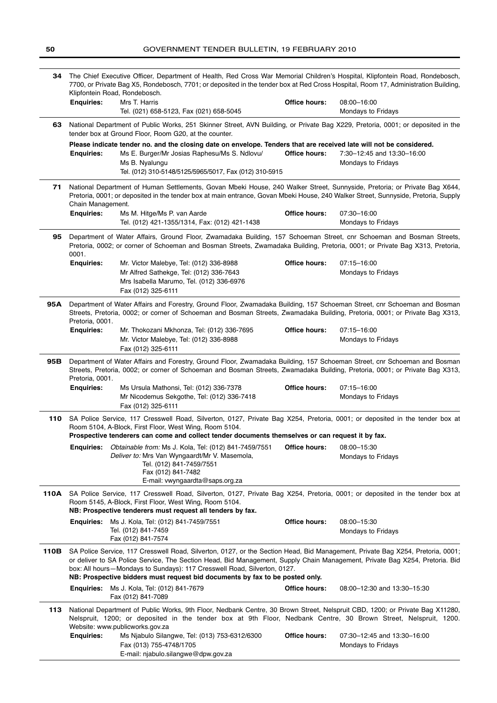| 34   |                   | The Chief Executive Officer, Department of Health, Red Cross War Memorial Children's Hospital, Klipfontein Road, Rondebosch,<br>7700, or Private Bag X5, Rondebosch, 7701; or deposited in the tender box at Red Cross Hospital, Room 17, Administration Building,<br>Klipfontein Road, Rondebosch.                                                                                                                       |                      |                                                   |
|------|-------------------|---------------------------------------------------------------------------------------------------------------------------------------------------------------------------------------------------------------------------------------------------------------------------------------------------------------------------------------------------------------------------------------------------------------------------|----------------------|---------------------------------------------------|
|      | <b>Enquiries:</b> | Mrs T. Harris<br>Tel. (021) 658-5123, Fax (021) 658-5045                                                                                                                                                                                                                                                                                                                                                                  | Office hours:        | 08:00-16:00<br>Mondays to Fridays                 |
| 63   |                   | National Department of Public Works, 251 Skinner Street, AVN Building, or Private Bag X229, Pretoria, 0001; or deposited in the<br>tender box at Ground Floor, Room G20, at the counter.                                                                                                                                                                                                                                  |                      |                                                   |
|      | <b>Enquiries:</b> | Please indicate tender no. and the closing date on envelope. Tenders that are received late will not be considered.<br>Ms E. Burger/Mr Josias Raphesu/Ms S. Ndlovu/<br>Ms B. Nyalungu<br>Tel. (012) 310-5148/5125/5965/5017, Fax (012) 310-5915                                                                                                                                                                           | Office hours:        | 7:30-12:45 and 13:30-16:00<br>Mondays to Fridays  |
| 71   | Chain Management. | National Department of Human Settlements, Govan Mbeki House, 240 Walker Street, Sunnyside, Pretoria; or Private Bag X644,<br>Pretoria, 0001; or deposited in the tender box at main entrance, Govan Mbeki House, 240 Walker Street, Sunnyside, Pretoria, Supply                                                                                                                                                           |                      |                                                   |
|      | <b>Enquiries:</b> | Ms M. Hitge/Ms P. van Aarde<br>Tel. (012) 421-1355/1314, Fax: (012) 421-1438                                                                                                                                                                                                                                                                                                                                              | Office hours:        | 07:30-16:00<br>Mondays to Fridays                 |
| 95   | 0001.             | Department of Water Affairs, Ground Floor, Zwamadaka Building, 157 Schoeman Street, cnr Schoeman and Bosman Streets,<br>Pretoria, 0002; or corner of Schoeman and Bosman Streets, Zwamadaka Building, Pretoria, 0001; or Private Bag X313, Pretoria,                                                                                                                                                                      |                      |                                                   |
|      | <b>Enquiries:</b> | Mr. Victor Malebye, Tel: (012) 336-8988<br>Mr Alfred Sathekge, Tel: (012) 336-7643<br>Mrs Isabella Marumo, Tel. (012) 336-6976<br>Fax (012) 325-6111                                                                                                                                                                                                                                                                      | Office hours:        | 07:15-16:00<br>Mondays to Fridays                 |
| 95A  | Pretoria, 0001.   | Department of Water Affairs and Forestry, Ground Floor, Zwamadaka Building, 157 Schoeman Street, cnr Schoeman and Bosman<br>Streets, Pretoria, 0002; or corner of Schoeman and Bosman Streets, Zwamadaka Building, Pretoria, 0001; or Private Bag X313,                                                                                                                                                                   |                      |                                                   |
|      | <b>Enquiries:</b> | Mr. Thokozani Mkhonza, Tel: (012) 336-7695<br>Mr. Victor Malebye, Tel: (012) 336-8988<br>Fax (012) 325-6111                                                                                                                                                                                                                                                                                                               | <b>Office hours:</b> | 07:15-16:00<br>Mondays to Fridays                 |
| 95B  | Pretoria, 0001.   | Department of Water Affairs and Forestry, Ground Floor, Zwamadaka Building, 157 Schoeman Street, cnr Schoeman and Bosman<br>Streets, Pretoria, 0002; or corner of Schoeman and Bosman Streets, Zwamadaka Building, Pretoria, 0001; or Private Bag X313,                                                                                                                                                                   |                      |                                                   |
|      | <b>Enquiries:</b> | Ms Ursula Mathonsi, Tel: (012) 336-7378<br>Mr Nicodemus Sekgothe, Tel: (012) 336-7418<br>Fax (012) 325-6111                                                                                                                                                                                                                                                                                                               | Office hours:        | 07:15-16:00<br>Mondays to Fridays                 |
|      |                   | 110 SA Police Service, 117 Cresswell Road, Silverton, 0127, Private Bag X254, Pretoria, 0001; or deposited in the tender box at<br>Room 5104, A-Block, First Floor, West Wing, Room 5104.<br>Prospective tenderers can come and collect tender documents themselves or can request it by fax.                                                                                                                             |                      |                                                   |
|      | <b>Enquiries:</b> | Obtainable from: Ms J. Kola, Tel: (012) 841-7459/7551<br>Deliver to: Mrs Van Wyngaardt/Mr V. Masemola,<br>Tel. (012) 841-7459/7551<br>Fax (012) 841-7482<br>E-mail: vwyngaardta@saps.org.za                                                                                                                                                                                                                               | Office hours:        | 08:00-15:30<br>Mondays to Fridays                 |
| 110A |                   | SA Police Service, 117 Cresswell Road, Silverton, 0127, Private Bag X254, Pretoria, 0001; or deposited in the tender box at<br>Room 5145, A-Block, First Floor, West Wing, Room 5104.<br>NB: Prospective tenderers must request all tenders by fax.                                                                                                                                                                       |                      |                                                   |
|      | <b>Enquiries:</b> | Ms J. Kola, Tel: (012) 841-7459/7551<br>Tel. (012) 841-7459<br>Fax (012) 841-7574                                                                                                                                                                                                                                                                                                                                         | Office hours:        | 08:00-15:30<br>Mondays to Fridays                 |
| 110B |                   | SA Police Service, 117 Cresswell Road, Silverton, 0127, or the Section Head, Bid Management, Private Bag X254, Pretoria, 0001;<br>or deliver to SA Police Service, The Section Head, Bid Management, Supply Chain Management, Private Bag X254, Pretoria. Bid<br>box: All hours-Mondays to Sundays): 117 Cresswell Road, Silverton, 0127.<br>NB: Prospective bidders must request bid documents by fax to be posted only. |                      |                                                   |
|      |                   | <b>Enquiries:</b> Ms J. Kola, Tel: (012) 841-7679<br>Fax (012) 841-7089                                                                                                                                                                                                                                                                                                                                                   | <b>Office hours:</b> | 08:00-12:30 and 13:30-15:30                       |
| 113  |                   | National Department of Public Works, 9th Floor, Nedbank Centre, 30 Brown Street, Nelspruit CBD, 1200; or Private Bag X11280,<br>Nelspruit, 1200; or deposited in the tender box at 9th Floor, Nedbank Centre, 30 Brown Street, Nelspruit, 1200.<br>Website: www.publicworks.gov.za                                                                                                                                        |                      |                                                   |
|      | <b>Enquiries:</b> | Ms Njabulo Silangwe, Tel: (013) 753-6312/6300<br>Fax (013) 755-4748/1705<br>E-mail: njabulo.silangwe@dpw.gov.za                                                                                                                                                                                                                                                                                                           | Office hours:        | 07:30-12:45 and 13:30-16:00<br>Mondays to Fridays |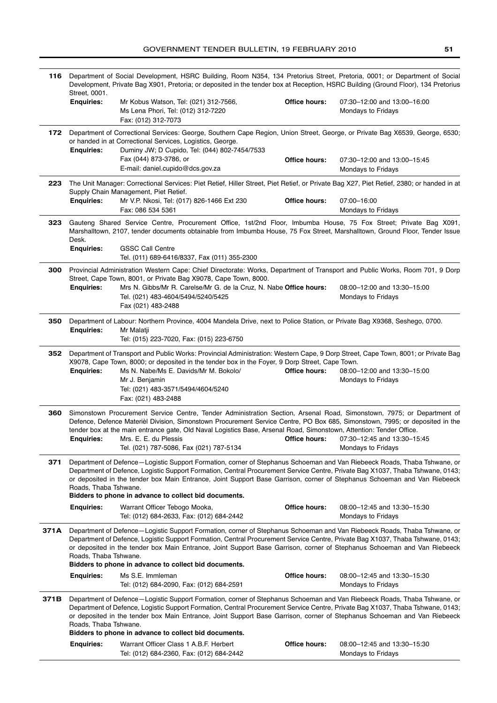| 116  | Department of Social Development, HSRC Building, Room N354, 134 Pretorius Street, Pretoria, 0001; or Department of Social<br>Development, Private Bag X901, Pretoria; or deposited in the tender box at Reception, HSRC Building (Ground Floor), 134 Pretorius<br>Street, 0001. |                                                                                                                                                                                                                                                                                                                                                                                                                                                   |                      |                                                          |
|------|---------------------------------------------------------------------------------------------------------------------------------------------------------------------------------------------------------------------------------------------------------------------------------|---------------------------------------------------------------------------------------------------------------------------------------------------------------------------------------------------------------------------------------------------------------------------------------------------------------------------------------------------------------------------------------------------------------------------------------------------|----------------------|----------------------------------------------------------|
|      | <b>Enquiries:</b>                                                                                                                                                                                                                                                               | Mr Kobus Watson, Tel: (021) 312-7566,<br>Ms Lena Phori, Tel: (012) 312-7220<br>Fax: (012) 312-7073                                                                                                                                                                                                                                                                                                                                                | Office hours:        | 07:30-12:00 and 13:00-16:00<br><b>Mondays to Fridays</b> |
| 172  | <b>Enquiries:</b>                                                                                                                                                                                                                                                               | Department of Correctional Services: George, Southern Cape Region, Union Street, George, or Private Bag X6539, George, 6530;<br>or handed in at Correctional Services, Logistics, George.<br>Duminy JW; D Cupido, Tel: (044) 802-7454/7533                                                                                                                                                                                                        |                      |                                                          |
|      |                                                                                                                                                                                                                                                                                 | Fax (044) 873-3786, or<br>E-mail: daniel.cupido@dcs.gov.za                                                                                                                                                                                                                                                                                                                                                                                        | Office hours:        | 07:30-12:00 and 13:00-15:45<br>Mondays to Fridays        |
| 223  |                                                                                                                                                                                                                                                                                 | The Unit Manager: Correctional Services: Piet Retief, Hiller Street, Piet Retief, or Private Bag X27, Piet Retief, 2380; or handed in at                                                                                                                                                                                                                                                                                                          |                      |                                                          |
|      | <b>Enquiries:</b>                                                                                                                                                                                                                                                               | Supply Chain Management, Piet Retief.<br>Mr V.P. Nkosi, Tel: (017) 826-1466 Ext 230<br>Fax: 086 534 5361                                                                                                                                                                                                                                                                                                                                          | <b>Office hours:</b> | 07:00-16:00<br>Mondays to Fridays                        |
| 323  | Desk.                                                                                                                                                                                                                                                                           | Gauteng Shared Service Centre, Procurement Office, 1st/2nd Floor, Imbumba House, 75 Fox Street; Private Bag X091,<br>Marshalltown, 2107, tender documents obtainable from Imbumba House, 75 Fox Street, Marshalltown, Ground Floor, Tender Issue                                                                                                                                                                                                  |                      |                                                          |
|      | <b>Enquiries:</b>                                                                                                                                                                                                                                                               | <b>GSSC Call Centre</b>                                                                                                                                                                                                                                                                                                                                                                                                                           |                      |                                                          |
|      |                                                                                                                                                                                                                                                                                 | Tel. (011) 689-6416/8337, Fax (011) 355-2300                                                                                                                                                                                                                                                                                                                                                                                                      |                      |                                                          |
| 300  |                                                                                                                                                                                                                                                                                 | Provincial Administration Western Cape: Chief Directorate: Works, Department of Transport and Public Works, Room 701, 9 Dorp<br>Street, Cape Town, 8001, or Private Bag X9078, Cape Town, 8000.                                                                                                                                                                                                                                                   |                      |                                                          |
|      | <b>Enquiries:</b>                                                                                                                                                                                                                                                               | Mrs N. Gibbs/Mr R. Carelse/Mr G. de la Cruz, N. Nabe Office hours:<br>Tel. (021) 483-4604/5494/5240/5425<br>Fax (021) 483-2488                                                                                                                                                                                                                                                                                                                    |                      | 08:00-12:00 and 13:30-15:00<br>Mondays to Fridays        |
| 350  | <b>Enquiries:</b>                                                                                                                                                                                                                                                               | Department of Labour: Northern Province, 4004 Mandela Drive, next to Police Station, or Private Bag X9368, Seshego, 0700.<br>Mr Malatji<br>Tel: (015) 223-7020, Fax: (015) 223-6750                                                                                                                                                                                                                                                               |                      |                                                          |
| 352  | <b>Enquiries:</b>                                                                                                                                                                                                                                                               | Department of Transport and Public Works: Provincial Administration: Western Cape, 9 Dorp Street, Cape Town, 8001; or Private Bag<br>X9078, Cape Town, 8000; or deposited in the tender box in the Foyer, 9 Dorp Street, Cape Town.<br>Ms N. Nabe/Ms E. Davids/Mr M. Bokolo/<br>Mr J. Benjamin<br>Tel: (021) 483-3571/5494/4604/5240<br>Fax: (021) 483-2488                                                                                       | Office hours:        | 08:00-12:00 and 13:30-15:00<br>Mondays to Fridays        |
| 360  | <b>Enquiries:</b>                                                                                                                                                                                                                                                               | Simonstown Procurement Service Centre, Tender Administration Section, Arsenal Road, Simonstown, 7975; or Department of<br>Defence, Defence Materièl Division, Simonstown Procurement Service Centre, PO Box 685, Simonstown, 7995; or deposited in the<br>tender box at the main entrance gate, Old Naval Logistics Base, Arsenal Road, Simonstown, Attention: Tender Office.<br>Mrs. E. E. du Plessis<br>Tel. (021) 787-5086, Fax (021) 787-5134 | Office hours:        | 07:30-12:45 and 13:30-15:45<br><b>Mondays to Fridays</b> |
| 371  | Roads, Thaba Tshwane.                                                                                                                                                                                                                                                           | Department of Defence-Logistic Support Formation, corner of Stephanus Schoeman and Van Riebeeck Roads, Thaba Tshwane, or<br>Department of Defence, Logistic Support Formation, Central Procurement Service Centre, Private Bag X1037, Thaba Tshwane, 0143;<br>or deposited in the tender box Main Entrance, Joint Support Base Garrison, corner of Stephanus Schoeman and Van Riebeeck<br>Bidders to phone in advance to collect bid documents.   |                      |                                                          |
|      | <b>Enquiries:</b>                                                                                                                                                                                                                                                               | Warrant Officer Tebogo Mooka,<br>Tel: (012) 684-2633, Fax: (012) 684-2442                                                                                                                                                                                                                                                                                                                                                                         | <b>Office hours:</b> | 08:00-12:45 and 13:30-15:30<br>Mondays to Fridays        |
| 371A | Roads, Thaba Tshwane.                                                                                                                                                                                                                                                           | Department of Defence-Logistic Support Formation, corner of Stephanus Schoeman and Van Riebeeck Roads, Thaba Tshwane, or<br>Department of Defence, Logistic Support Formation, Central Procurement Service Centre, Private Bag X1037, Thaba Tshwane, 0143;<br>or deposited in the tender box Main Entrance, Joint Support Base Garrison, corner of Stephanus Schoeman and Van Riebeeck<br>Bidders to phone in advance to collect bid documents.   |                      |                                                          |
|      | <b>Enquiries:</b>                                                                                                                                                                                                                                                               | Ms S.E. Immleman                                                                                                                                                                                                                                                                                                                                                                                                                                  | <b>Office hours:</b> | 08:00-12:45 and 13:30-15:30                              |
|      |                                                                                                                                                                                                                                                                                 | Tel: (012) 684-2090, Fax: (012) 684-2591                                                                                                                                                                                                                                                                                                                                                                                                          |                      | Mondays to Fridays                                       |
| 371B | Roads, Thaba Tshwane.                                                                                                                                                                                                                                                           | Department of Defence-Logistic Support Formation, corner of Stephanus Schoeman and Van Riebeeck Roads, Thaba Tshwane, or<br>Department of Defence, Logistic Support Formation, Central Procurement Service Centre, Private Bag X1037, Thaba Tshwane, 0143;<br>or deposited in the tender box Main Entrance, Joint Support Base Garrison, corner of Stephanus Schoeman and Van Riebeeck<br>Bidders to phone in advance to collect bid documents.   |                      |                                                          |
|      | <b>Enquiries:</b>                                                                                                                                                                                                                                                               | Warrant Officer Class 1 A.B.F. Herbert                                                                                                                                                                                                                                                                                                                                                                                                            | Office hours:        | 08:00-12:45 and 13:30-15:30                              |
|      |                                                                                                                                                                                                                                                                                 | Tel: (012) 684-2360, Fax: (012) 684-2442                                                                                                                                                                                                                                                                                                                                                                                                          |                      | Mondays to Fridays                                       |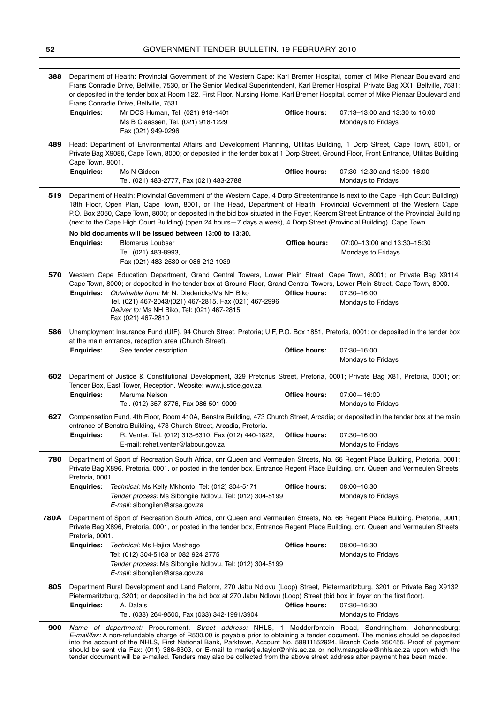| 388         | Department of Health: Provincial Government of the Western Cape: Karl Bremer Hospital, corner of Mike Pienaar Boulevard and<br>Frans Conradie Drive, Bellville, 7530, or The Senior Medical Superintendent, Karl Bremer Hospital, Private Bag XX1, Bellville, 7531;<br>or deposited in the tender box at Room 122, First Floor, Nursing Home, Karl Bremer Hospital, corner of Mike Pienaar Boulevard and<br>Frans Conradie Drive, Bellville, 7531. |                                                                                                                                                                                                                                                                                                                                                                                                                                                                                                                                                                                                                                        |                      |                                                      |
|-------------|----------------------------------------------------------------------------------------------------------------------------------------------------------------------------------------------------------------------------------------------------------------------------------------------------------------------------------------------------------------------------------------------------------------------------------------------------|----------------------------------------------------------------------------------------------------------------------------------------------------------------------------------------------------------------------------------------------------------------------------------------------------------------------------------------------------------------------------------------------------------------------------------------------------------------------------------------------------------------------------------------------------------------------------------------------------------------------------------------|----------------------|------------------------------------------------------|
|             | <b>Enquiries:</b>                                                                                                                                                                                                                                                                                                                                                                                                                                  | Mr DCS Human, Tel. (021) 918-1401<br>Ms B Claassen, Tel. (021) 918-1229<br>Fax (021) 949-0296                                                                                                                                                                                                                                                                                                                                                                                                                                                                                                                                          | <b>Office hours:</b> | 07:13-13:00 and 13:30 to 16:00<br>Mondays to Fridays |
| 489         | Cape Town, 8001.                                                                                                                                                                                                                                                                                                                                                                                                                                   | Head: Department of Environmental Affairs and Development Planning, Utilitas Building, 1 Dorp Street, Cape Town, 8001, or<br>Private Bag X9086, Cape Town, 8000; or deposited in the tender box at 1 Dorp Street, Ground Floor, Front Entrance, Utilitas Building,                                                                                                                                                                                                                                                                                                                                                                     |                      |                                                      |
|             | <b>Enquiries:</b>                                                                                                                                                                                                                                                                                                                                                                                                                                  | Ms N Gideon<br>Tel. (021) 483-2777, Fax (021) 483-2788                                                                                                                                                                                                                                                                                                                                                                                                                                                                                                                                                                                 | <b>Office hours:</b> | 07:30-12:30 and 13:00-16:00<br>Mondays to Fridays    |
| 519         |                                                                                                                                                                                                                                                                                                                                                                                                                                                    | Department of Health: Provincial Government of the Western Cape, 4 Dorp Streetentrance is next to the Cape High Court Building),<br>18th Floor, Open Plan, Cape Town, 8001, or The Head, Department of Health, Provincial Government of the Western Cape,<br>P.O. Box 2060, Cape Town, 8000; or deposited in the bid box situated in the Foyer, Keerom Street Entrance of the Provincial Building<br>(next to the Cape High Court Building) (open 24 hours–7 days a week), 4 Dorp Street (Provincial Building), Cape Town.<br>No bid documents will be issued between 13:00 to 13:30.                                                  |                      |                                                      |
|             | <b>Enquiries:</b>                                                                                                                                                                                                                                                                                                                                                                                                                                  | <b>Blomerus Loubser</b><br>Tel. (021) 483-8993,<br>Fax (021) 483-2530 or 086 212 1939                                                                                                                                                                                                                                                                                                                                                                                                                                                                                                                                                  | <b>Office hours:</b> | 07:00-13:00 and 13:30-15:30<br>Mondays to Fridays    |
| 570         | <b>Enguiries:</b>                                                                                                                                                                                                                                                                                                                                                                                                                                  | Western Cape Education Department, Grand Central Towers, Lower Plein Street, Cape Town, 8001; or Private Bag X9114,<br>Cape Town, 8000; or deposited in the tender box at Ground Floor, Grand Central Towers, Lower Plein Street, Cape Town, 8000.<br>Obtainable from: Mr N. Diedericks/Ms NH Biko<br>Tel. (021) 467-2043/(021) 467-2815. Fax (021) 467-2996<br>Deliver to: Ms NH Biko, Tel: (021) 467-2815.<br>Fax (021) 467-2810                                                                                                                                                                                                     | Office hours:        | 07:30-16:00<br>Mondays to Fridays                    |
| 586         |                                                                                                                                                                                                                                                                                                                                                                                                                                                    | Unemployment Insurance Fund (UIF), 94 Church Street, Pretoria; UIF, P.O. Box 1851, Pretoria, 0001; or deposited in the tender box<br>at the main entrance, reception area (Church Street).                                                                                                                                                                                                                                                                                                                                                                                                                                             |                      |                                                      |
|             | <b>Enquiries:</b>                                                                                                                                                                                                                                                                                                                                                                                                                                  | See tender description                                                                                                                                                                                                                                                                                                                                                                                                                                                                                                                                                                                                                 | <b>Office hours:</b> | 07:30-16:00<br>Mondays to Fridays                    |
| 602         |                                                                                                                                                                                                                                                                                                                                                                                                                                                    | Department of Justice & Constitutional Development, 329 Pretorius Street, Pretoria, 0001; Private Bag X81, Pretoria, 0001; or;<br>Tender Box, East Tower, Reception. Website: www.justice.gov.za                                                                                                                                                                                                                                                                                                                                                                                                                                       |                      |                                                      |
|             | <b>Enquiries:</b>                                                                                                                                                                                                                                                                                                                                                                                                                                  | Maruma Nelson<br>Tel. (012) 357-8776, Fax 086 501 9009                                                                                                                                                                                                                                                                                                                                                                                                                                                                                                                                                                                 | Office hours:        | $07:00 - 16:00$<br>Mondays to Fridays                |
| 627         |                                                                                                                                                                                                                                                                                                                                                                                                                                                    | Compensation Fund, 4th Floor, Room 410A, Benstra Building, 473 Church Street, Arcadia; or deposited in the tender box at the main<br>entrance of Benstra Building, 473 Church Street, Arcadia, Pretoria.                                                                                                                                                                                                                                                                                                                                                                                                                               |                      |                                                      |
|             | <b>Enguiries:</b>                                                                                                                                                                                                                                                                                                                                                                                                                                  | R. Venter, Tel. (012) 313-6310, Fax (012) 440-1822,<br>E-mail: rehet.venter@labour.gov.za                                                                                                                                                                                                                                                                                                                                                                                                                                                                                                                                              | Office hours:        | 07:30-16:00<br>Mondays to Fridays                    |
| 780         | Pretoria, 0001.                                                                                                                                                                                                                                                                                                                                                                                                                                    | Department of Sport of Recreation South Africa, cnr Queen and Vermeulen Streets, No. 66 Regent Place Building, Pretoria, 0001;<br>Private Bag X896, Pretoria, 0001, or posted in the tender box, Entrance Regent Place Building, cnr. Queen and Vermeulen Streets,                                                                                                                                                                                                                                                                                                                                                                     |                      |                                                      |
|             | <b>Enquiries:</b>                                                                                                                                                                                                                                                                                                                                                                                                                                  | Technical: Ms Kelly Mkhonto, Tel: (012) 304-5171<br>Tender process: Ms Sibongile Ndlovu, Tel: (012) 304-5199<br>E-mail: sibongilen@srsa.gov.za                                                                                                                                                                                                                                                                                                                                                                                                                                                                                         | Office hours:        | 08:00-16:30<br>Mondays to Fridays                    |
| <b>780A</b> | Pretoria, 0001.                                                                                                                                                                                                                                                                                                                                                                                                                                    | Department of Sport of Recreation South Africa, cnr Queen and Vermeulen Streets, No. 66 Regent Place Building, Pretoria, 0001;<br>Private Bag X896, Pretoria, 0001, or posted in the tender box, Entrance Regent Place Building, cnr. Queen and Vermeulen Streets,                                                                                                                                                                                                                                                                                                                                                                     |                      |                                                      |
|             |                                                                                                                                                                                                                                                                                                                                                                                                                                                    | <b>Enquiries:</b> Technical: Ms Hajira Mashego<br>Tel: (012) 304-5163 or 082 924 2775<br>Tender process: Ms Sibongile Ndlovu, Tel: (012) 304-5199<br>E-mail: sibongilen@srsa.gov.za                                                                                                                                                                                                                                                                                                                                                                                                                                                    | Office hours:        | 08:00-16:30<br>Mondays to Fridays                    |
| 805         | <b>Enquiries:</b>                                                                                                                                                                                                                                                                                                                                                                                                                                  | Department Rural Development and Land Reform, 270 Jabu Ndlovu (Loop) Street, Pietermaritzburg, 3201 or Private Bag X9132,<br>Pietermaritzburg, 3201; or deposited in the bid box at 270 Jabu Ndlovu (Loop) Street (bid box in foyer on the first floor).<br>A. Dalais                                                                                                                                                                                                                                                                                                                                                                  | Office hours:        | 07:30-16:30                                          |
|             |                                                                                                                                                                                                                                                                                                                                                                                                                                                    | Tel. (033) 264-9500, Fax (033) 342-1991/3904                                                                                                                                                                                                                                                                                                                                                                                                                                                                                                                                                                                           |                      | Mondays to Fridays                                   |
| 900         |                                                                                                                                                                                                                                                                                                                                                                                                                                                    | Name of department: Procurement. Street address: NHLS, 1 Modderfontein Road, Sandringham, Johannesburg;<br>E-mail/fax: A non-refundable charge of R500,00 is payable prior to obtaining a tender document. The monies should be deposited<br>into the account of the NHLS, First National Bank, Parktown, Account No. 58811152924, Branch Code 250455. Proof of payment<br>should be sent via Fax: (011) 386-6303, or E-mail to marietjie.taylor@nhls.ac.za or nolly.mangolele@nhls.ac.za upon which the<br>tender document will be e-mailed. Tenders may also be collected from the above street address after payment has been made. |                      |                                                      |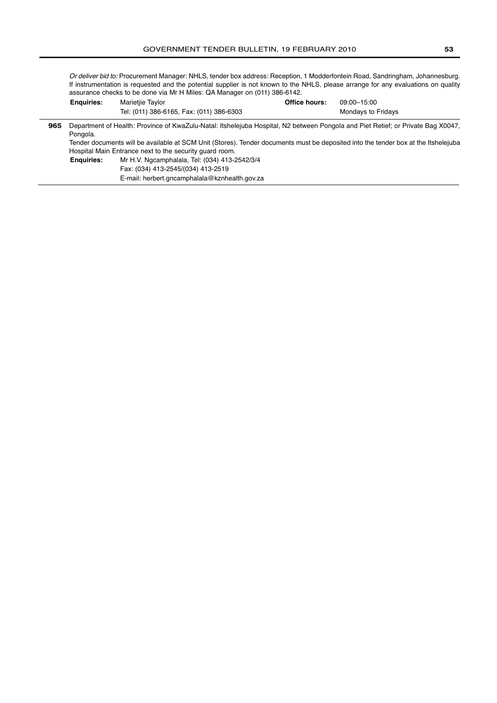Or deliver bid to: Procurement Manager: NHLS, tender box address: Reception, 1 Modderfontein Road, Sandringham, Johannesburg. If instrumentation is requested and the potential supplier is not known to the NHLS, please arrange for any evaluations on quality assurance checks to be done via Mr H Miles: QA Manager on (011) 386-6142. **Office hours:** 09:00–15:00 **Enquiries:** Marietjie Taylor

|     | -----------                                                                                                                                    | Tel: (011) 386-6165, Fax: (011) 386-6303      |  | Mondays to Fridays |
|-----|------------------------------------------------------------------------------------------------------------------------------------------------|-----------------------------------------------|--|--------------------|
| 965 | Department of Health: Province of KwaZulu-Natal: Itshelejuba Hospital, N2 between Pongola and Piet Retief; or Private Bag X0047,               |                                               |  |                    |
|     | Pongola.<br>Tender documents will be available at SCM Unit (Stores). Tender documents must be deposited into the tender box at the Itshelejuba |                                               |  |                    |
|     | Hospital Main Entrance next to the security quard room.                                                                                        |                                               |  |                    |
|     | <b>Enquiries:</b>                                                                                                                              | Mr H.V. Ngcamphalala, Tel: (034) 413-2542/3/4 |  |                    |
|     |                                                                                                                                                | Fax: (034) 413-2545/(034) 413-2519            |  |                    |
|     |                                                                                                                                                | E-mail: herbert.gncamphalala@kznhealth.gov.za |  |                    |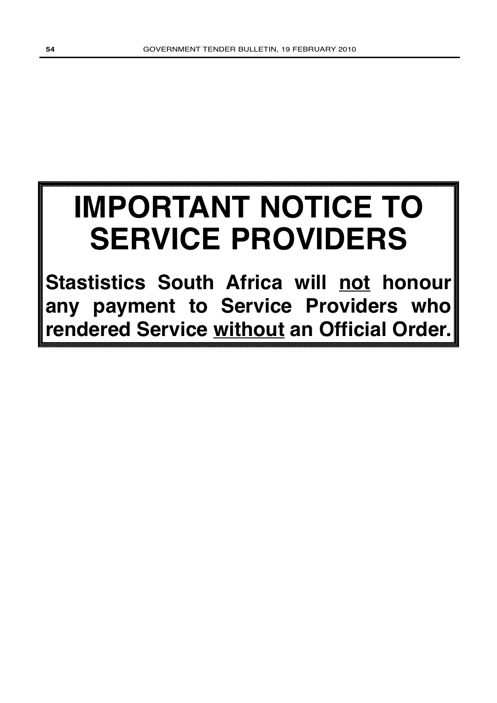# **IMPORTANT NOTICE TO SERVICE PROVIDERS**

**Stastistics South Africa will not honour any payment to Service Providers who rendered Service without an Official Order.**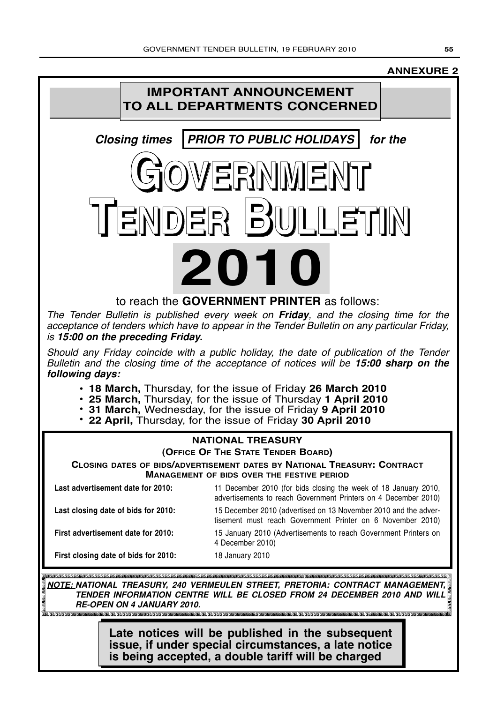### **ANNEXURE 2**